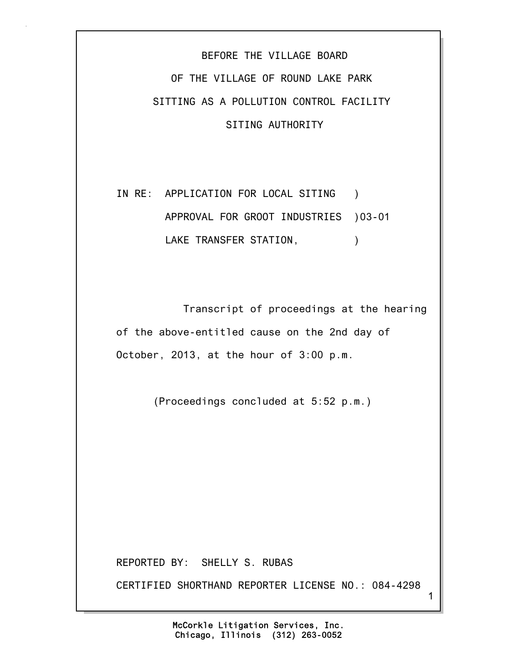## BEFORE THE VILLAGE BOARD OF THE VILLAGE OF ROUND LAKE PARK SITTING AS A POLLUTION CONTROL FACILITY SITING AUTHORITY

IN RE: APPLICATION FOR LOCAL SITING ) APPROVAL FOR GROOT INDUSTRIES )03-01 LAKE TRANSFER STATION,  $\qquad \qquad$ )

 Transcript of proceedings at the hearing of the above-entitled cause on the 2nd day of October, 2013, at the hour of 3:00 p.m.

(Proceedings concluded at 5:52 p.m.)

REPORTED BY: SHELLY S. RUBAS

CERTIFIED SHORTHAND REPORTER LICENSE NO.: 084-4298

1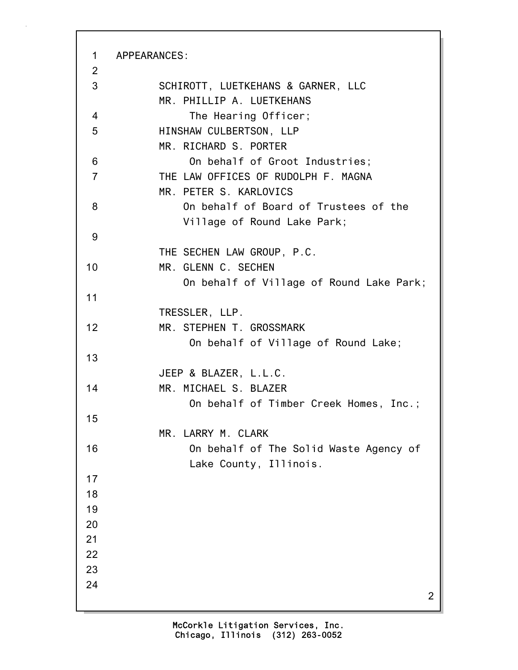2 1 APPEARANCES: 2 3 SCHIROTT, LUETKEHANS & GARNER, LLC MR. PHILLIP A. LUETKEHANS 4 The Hearing Officer; 5 HINSHAW CULBERTSON, LLP MR. RICHARD S. PORTER 6 On behalf of Groot Industries; 7 THE LAW OFFICES OF RUDOLPH F. MAGNA MR. PETER S. KARLOVICS 8 On behalf of Board of Trustees of the Village of Round Lake Park; 9 THE SECHEN LAW GROUP, P.C. 10 MR. GLENN C. SECHEN On behalf of Village of Round Lake Park; 11 TRESSLER, LLP. 12 MR. STEPHEN T. GROSSMARK On behalf of Village of Round Lake; 13 JEEP & BLAZER, L.L.C. 14 MR. MICHAEL S. BLAZER On behalf of Timber Creek Homes, Inc.; 15 MR. LARRY M. CLARK 16 On behalf of The Solid Waste Agency of Lake County, Illinois. 17 18 19 20 21 22 23 24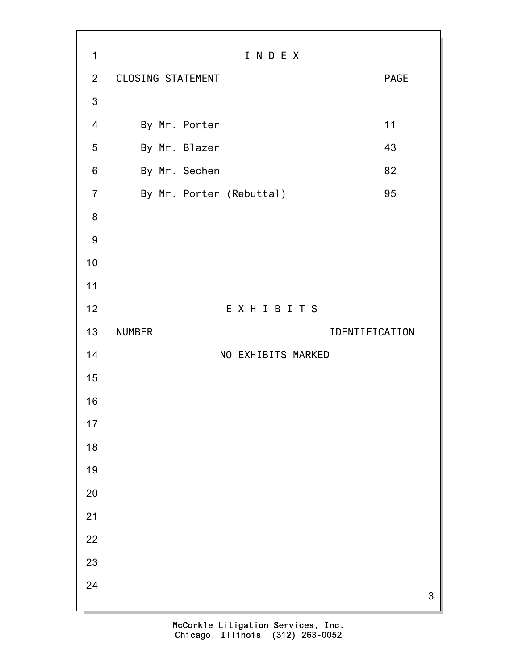3 1 I N D E X 2 CLOSING STATEMENT PAGE 3 4 By Mr. Porter 11 5 By Mr. Blazer 43 6 By Mr. Sechen 82 7 By Mr. Porter (Rebuttal) 95 8 9 10 11 12 E X H I B I T S 13 NUMBER IDENTIFICATION 14 NO EXHIBITS MARKED 15 16 17 18 19 20 21 22 23 24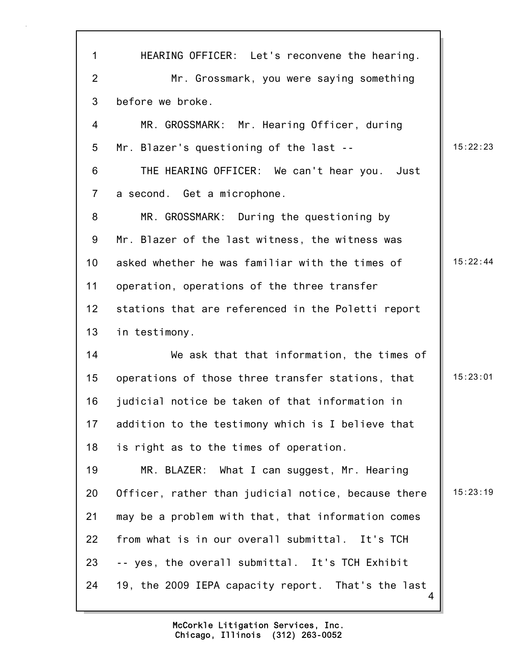| $\mathbf 1$    | HEARING OFFICER: Let's reconvene the hearing.           |          |
|----------------|---------------------------------------------------------|----------|
| $\overline{2}$ | Mr. Grossmark, you were saying something                |          |
| 3              | before we broke.                                        |          |
| 4              | MR. GROSSMARK: Mr. Hearing Officer, during              |          |
| 5              | Mr. Blazer's questioning of the last --                 | 15:22:23 |
| 6              | THE HEARING OFFICER: We can't hear you. Just            |          |
| $\overline{7}$ | a second. Get a microphone.                             |          |
| 8              | MR. GROSSMARK: During the questioning by                |          |
| 9              | Mr. Blazer of the last witness, the witness was         |          |
| 10             | asked whether he was familiar with the times of         | 15:22:44 |
| 11             | operation, operations of the three transfer             |          |
| 12             | stations that are referenced in the Poletti report      |          |
| 13             | in testimony.                                           |          |
| 14             | We ask that that information, the times of              |          |
| 15             | operations of those three transfer stations, that       | 15:23:01 |
| 16             | judicial notice be taken of that information in         |          |
| 17             | addition to the testimony which is I believe that       |          |
| 18             | is right as to the times of operation.                  |          |
| 19             | MR. BLAZER: What I can suggest, Mr. Hearing             |          |
| 20             | Officer, rather than judicial notice, because there     | 15:23:19 |
| 21             | may be a problem with that, that information comes      |          |
| 22             | from what is in our overall submittal. It's TCH         |          |
| 23             | -- yes, the overall submittal. It's TCH Exhibit         |          |
| 24             | 19, the 2009 IEPA capacity report. That's the last<br>4 |          |

 $\mathbf{r}$ 

 $\overline{\phantom{a}}$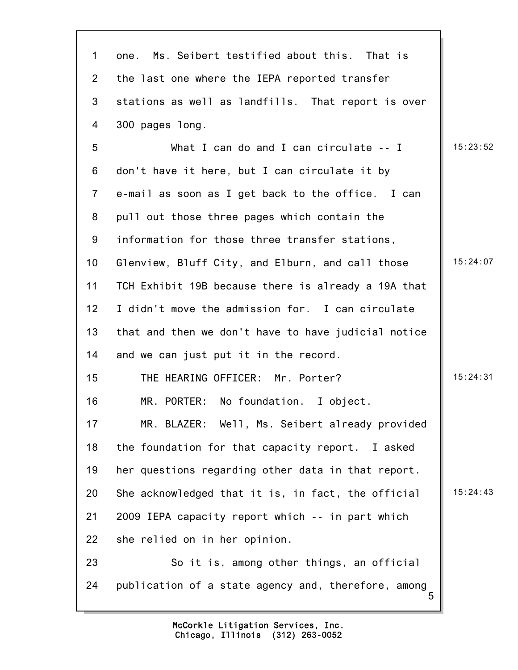| $\mathbf 1$     | Ms. Seibert testified about this. That is<br>one.        |          |
|-----------------|----------------------------------------------------------|----------|
| $\overline{2}$  | the last one where the IEPA reported transfer            |          |
| 3               | stations as well as landfills. That report is over       |          |
| 4               | 300 pages long.                                          |          |
| 5               | What I can do and I can circulate -- I                   | 15:23:52 |
| 6               | don't have it here, but I can circulate it by            |          |
| $\overline{7}$  | e-mail as soon as I get back to the office. I can        |          |
| 8               | pull out those three pages which contain the             |          |
| 9               | information for those three transfer stations,           |          |
| 10              | Glenview, Bluff City, and Elburn, and call those         | 15:24:07 |
| 11              | TCH Exhibit 19B because there is already a 19A that      |          |
| 12 <sub>2</sub> | I didn't move the admission for. I can circulate         |          |
| 13              | that and then we don't have to have judicial notice      |          |
| 14              | and we can just put it in the record.                    |          |
| 15              | THE HEARING OFFICER: Mr. Porter?                         | 15:24:31 |
| 16              | MR. PORTER:<br>No foundation. I object.                  |          |
| 17              | MR. BLAZER: Well, Ms. Seibert already provided           |          |
| 18              | the foundation for that capacity report. I asked         |          |
| 19              | her questions regarding other data in that report.       |          |
| 20              | She acknowledged that it is, in fact, the official       | 15:24:43 |
| 21              | 2009 IEPA capacity report which -- in part which         |          |
| 22              | she relied on in her opinion.                            |          |
| 23              | So it is, among other things, an official                |          |
| 24              | publication of a state agency and, therefore, among<br>5 |          |
|                 |                                                          |          |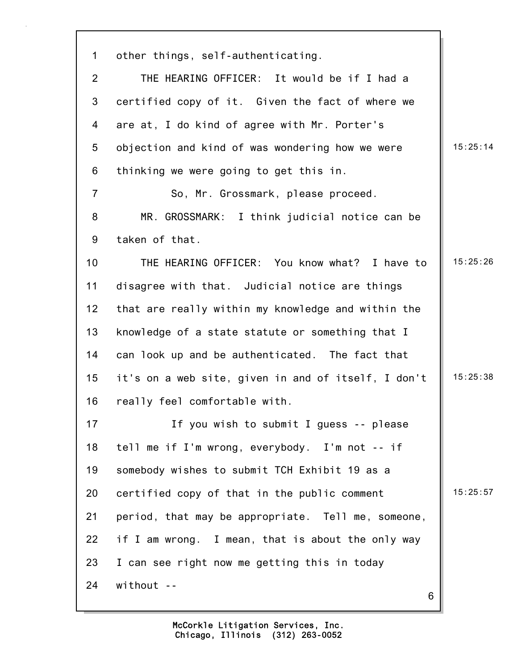| 1              | other things, self-authenticating.                  |          |
|----------------|-----------------------------------------------------|----------|
| $\overline{2}$ | THE HEARING OFFICER: It would be if I had a         |          |
| 3              | certified copy of it. Given the fact of where we    |          |
| 4              | are at, I do kind of agree with Mr. Porter's        |          |
| 5              | objection and kind of was wondering how we were     | 15:25:14 |
| 6              | thinking we were going to get this in.              |          |
| $\overline{7}$ | So, Mr. Grossmark, please proceed.                  |          |
| 8              | MR. GROSSMARK: I think judicial notice can be       |          |
| 9              | taken of that.                                      |          |
| 10             | THE HEARING OFFICER: You know what? I have to       | 15:25:26 |
| 11             | disagree with that. Judicial notice are things      |          |
| 12             | that are really within my knowledge and within the  |          |
| 13             | knowledge of a state statute or something that I    |          |
| 14             | can look up and be authenticated. The fact that     |          |
| 15             | it's on a web site, given in and of itself, I don't | 15:25:38 |
| 16             | really feel comfortable with.                       |          |
| 17             | If you wish to submit I guess -- please             |          |
| 18             | tell me if I'm wrong, everybody. I'm not -- if      |          |
| 19             | somebody wishes to submit TCH Exhibit 19 as a       |          |
| 20             | certified copy of that in the public comment        | 15:25:57 |
| 21             | period, that may be appropriate. Tell me, someone,  |          |
| 22             | if I am wrong. I mean, that is about the only way   |          |
| 23             | I can see right now me getting this in today        |          |
| 24             | without --                                          |          |
|                | 6                                                   |          |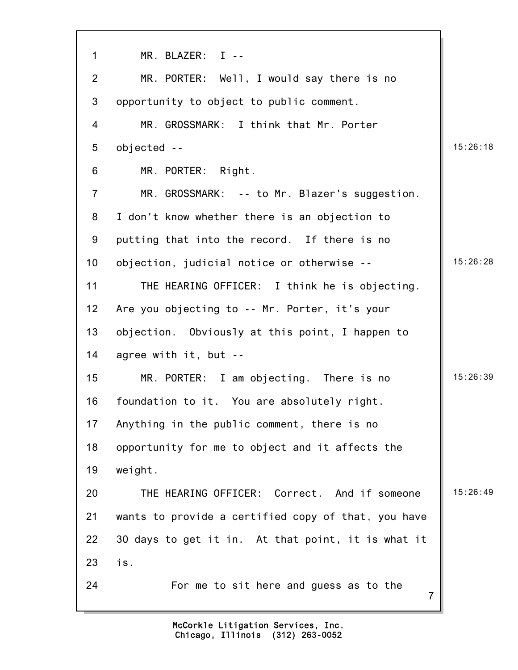| $\mathbf 1$    | MR. BLAZER: I --                                         |          |
|----------------|----------------------------------------------------------|----------|
| $\overline{2}$ | MR. PORTER: Well, I would say there is no                |          |
| 3              | opportunity to object to public comment.                 |          |
| 4              | MR. GROSSMARK: I think that Mr. Porter                   |          |
| 5              | objected --                                              | 15:26:18 |
| 6              | MR. PORTER: Right.                                       |          |
| $\overline{7}$ | MR. GROSSMARK: -- to Mr. Blazer's suggestion.            |          |
| 8              | I don't know whether there is an objection to            |          |
| 9              | putting that into the record. If there is no             |          |
| 10             | objection, judicial notice or otherwise --               | 15:26:28 |
| 11             | THE HEARING OFFICER: I think he is objecting.            |          |
| 12             | Are you objecting to -- Mr. Porter, it's your            |          |
| 13             | objection. Obviously at this point, I happen to          |          |
| 14             | agree with it, but --                                    |          |
| 15             | MR. PORTER: I am objecting. There is no                  | 15:26:39 |
| 16             | foundation to it. You are absolutely right.              |          |
| 17             | Anything in the public comment, there is no              |          |
| 18             | opportunity for me to object and it affects the          |          |
| 19             | weight.                                                  |          |
| 20             | THE HEARING OFFICER: Correct. And if someone             | 15:26:49 |
| 21             | wants to provide a certified copy of that, you have      |          |
| 22             | 30 days to get it in. At that point, it is what it       |          |
| 23             | is.                                                      |          |
| 24             | For me to sit here and guess as to the<br>$\overline{7}$ |          |
|                |                                                          |          |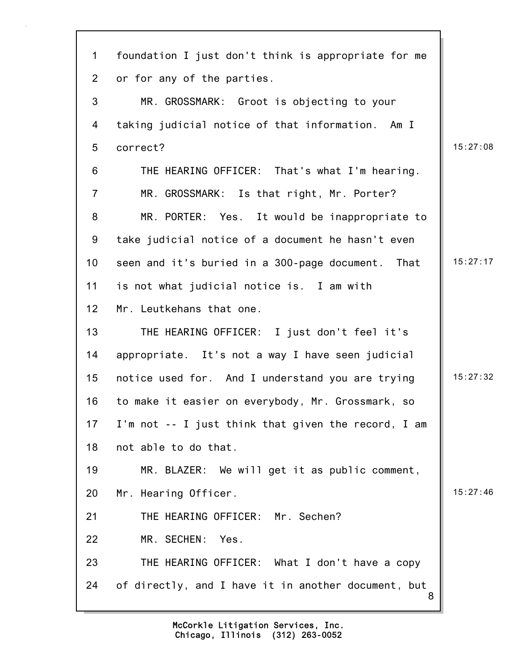| $\mathbf 1$    | foundation I just don't think is appropriate for me |          |
|----------------|-----------------------------------------------------|----------|
| $\overline{2}$ | or for any of the parties.                          |          |
| 3              | MR. GROSSMARK: Groot is objecting to your           |          |
| 4              | taking judicial notice of that information. Am I    |          |
| 5              | correct?                                            | 15:27:08 |
| 6              | THE HEARING OFFICER: That's what I'm hearing.       |          |
| $\overline{7}$ | MR. GROSSMARK: Is that right, Mr. Porter?           |          |
| 8              | MR. PORTER: Yes. It would be inappropriate to       |          |
| 9              | take judicial notice of a document he hasn't even   |          |
| 10             | seen and it's buried in a 300-page document. That   | 15:27:17 |
| 11             | is not what judicial notice is. I am with           |          |
| 12             | Mr. Leutkehans that one.                            |          |
| 13             | THE HEARING OFFICER: I just don't feel it's         |          |
| 14             | appropriate. It's not a way I have seen judicial    |          |
| 15             | notice used for. And I understand you are trying    | 15:27:32 |
| 16             | to make it easier on everybody, Mr. Grossmark, so   |          |
| 17             | I'm not -- I just think that given the record, I am |          |
| 18             | not able to do that.                                |          |
| 19             | MR. BLAZER: We will get it as public comment,       |          |
| 20             | Mr. Hearing Officer.                                | 15:27:46 |
| 21             | THE HEARING OFFICER: Mr. Sechen?                    |          |
| 22             | MR. SECHEN: Yes.                                    |          |
| 23             | THE HEARING OFFICER: What I don't have a copy       |          |
| 24             | of directly, and I have it in another document, but |          |
|                |                                                     |          |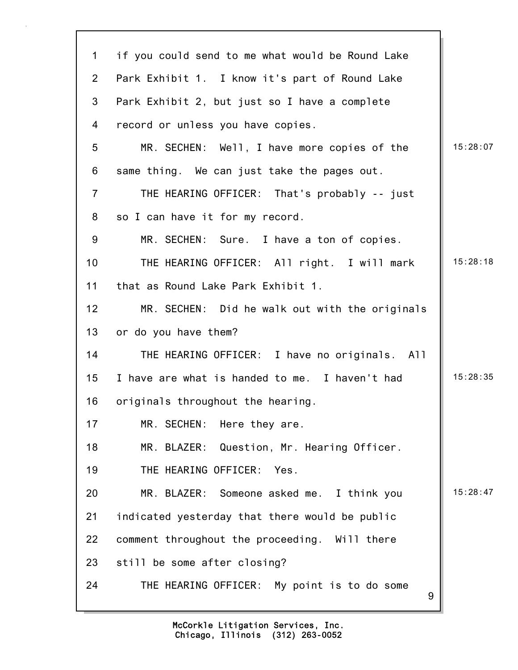| $\mathbf{1}$    | if you could send to me what would be Round Lake |          |
|-----------------|--------------------------------------------------|----------|
| $\overline{2}$  | Park Exhibit 1. I know it's part of Round Lake   |          |
| 3               | Park Exhibit 2, but just so I have a complete    |          |
| $\overline{4}$  | record or unless you have copies.                |          |
| 5               | MR. SECHEN: Well, I have more copies of the      | 15:28:07 |
| 6               | same thing. We can just take the pages out.      |          |
| $\overline{7}$  | THE HEARING OFFICER: That's probably -- just     |          |
| 8               | so I can have it for my record.                  |          |
| 9               | MR. SECHEN: Sure. I have a ton of copies.        |          |
| 10 <sup>°</sup> | THE HEARING OFFICER: All right. I will mark      | 15:28:18 |
| 11              | that as Round Lake Park Exhibit 1.               |          |
| 12              | MR. SECHEN: Did he walk out with the originals   |          |
| 13              | or do you have them?                             |          |
| 14              | THE HEARING OFFICER: I have no originals. All    |          |
| 15              | I have are what is handed to me. I haven't had   | 15:28:35 |
| 16              | originals throughout the hearing.                |          |
| 17              | MR. SECHEN: Here they are.                       |          |
| 18              | MR. BLAZER: Question, Mr. Hearing Officer.       |          |
| 19              | THE HEARING OFFICER: Yes.                        |          |
| 20              | MR. BLAZER: Someone asked me. I think you        | 15:28:47 |
| 21              | indicated yesterday that there would be public   |          |
| 22              | comment throughout the proceeding. Will there    |          |
| 23              | still be some after closing?                     |          |
| 24              | THE HEARING OFFICER: My point is to do some<br>9 |          |
|                 |                                                  |          |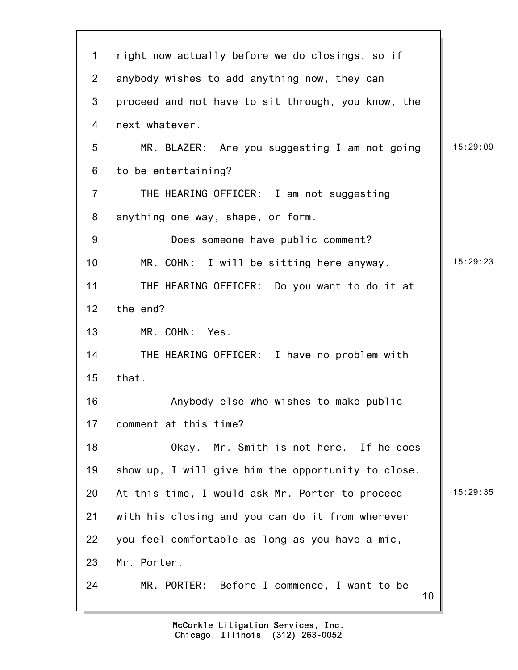| 1               | right now actually before we do closings, so if    |          |
|-----------------|----------------------------------------------------|----------|
| $\overline{2}$  | anybody wishes to add anything now, they can       |          |
| 3               | proceed and not have to sit through, you know, the |          |
| 4               | next whatever.                                     |          |
| 5               | MR. BLAZER: Are you suggesting I am not going      | 15:29:09 |
| 6               | to be entertaining?                                |          |
| $\overline{7}$  | THE HEARING OFFICER: I am not suggesting           |          |
| 8               | anything one way, shape, or form.                  |          |
| $9\,$           | Does someone have public comment?                  |          |
| 10 <sub>1</sub> | MR. COHN: I will be sitting here anyway.           | 15:29:23 |
| 11              | THE HEARING OFFICER: Do you want to do it at       |          |
| 12              | the end?                                           |          |
| 13              | MR. COHN: Yes.                                     |          |
| 14              | THE HEARING OFFICER: I have no problem with        |          |
| 15              | that.                                              |          |
| 16              | Anybody else who wishes to make public             |          |
| 17              | comment at this time?                              |          |
| 18              | Okay. Mr. Smith is not here. If he does            |          |
| 19              | show up, I will give him the opportunity to close. |          |
| 20              | At this time, I would ask Mr. Porter to proceed    | 15:29:35 |
| 21              | with his closing and you can do it from wherever   |          |
| 22              | you feel comfortable as long as you have a mic,    |          |
| 23              | Mr. Porter.                                        |          |
| 24              | MR. PORTER: Before I commence, I want to be<br>10  |          |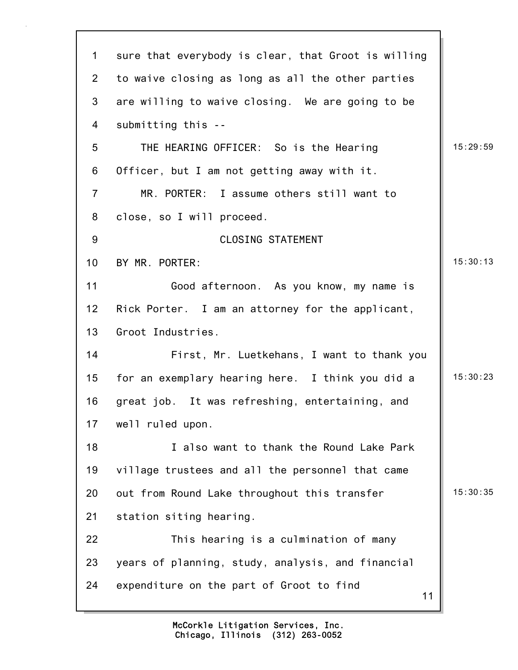| $\mathbf 1$    | sure that everybody is clear, that Groot is willing |          |
|----------------|-----------------------------------------------------|----------|
| $\overline{2}$ | to waive closing as long as all the other parties   |          |
| 3              | are willing to waive closing. We are going to be    |          |
| 4              | submitting this --                                  |          |
| 5              | THE HEARING OFFICER: So is the Hearing              | 15:29:59 |
| 6              | Officer, but I am not getting away with it.         |          |
| $\overline{7}$ | MR. PORTER: I assume others still want to           |          |
| 8              | close, so I will proceed.                           |          |
| $9\,$          | <b>CLOSING STATEMENT</b>                            |          |
| 10             | BY MR. PORTER:                                      | 15:30:13 |
| 11             | Good afternoon. As you know, my name is             |          |
| 12             | Rick Porter. I am an attorney for the applicant,    |          |
| 13             | Groot Industries.                                   |          |
| 14             | First, Mr. Luetkehans, I want to thank you          |          |
| 15             | for an exemplary hearing here. I think you did a    | 15:30:23 |
| 16             | great job. It was refreshing, entertaining, and     |          |
| 17             | well ruled upon.                                    |          |
| 18             | I also want to thank the Round Lake Park            |          |
| 19             | village trustees and all the personnel that came    |          |
| 20             | out from Round Lake throughout this transfer        | 15:30:35 |
| 21             | station siting hearing.                             |          |
| 22             | This hearing is a culmination of many               |          |
| 23             | years of planning, study, analysis, and financial   |          |
| 24             | expenditure on the part of Groot to find<br>11      |          |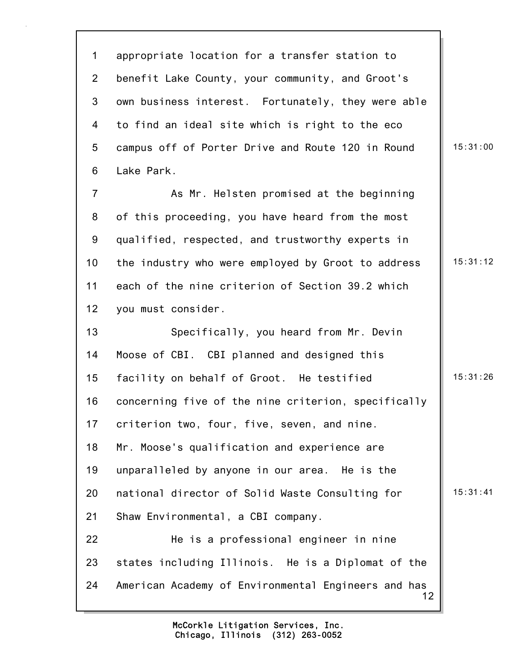12 1 appropriate location for a transfer station to 2 benefit Lake County, your community, and Groot's 3 own business interest. Fortunately, they were able 4 to find an ideal site which is right to the eco 5 campus off of Porter Drive and Route 120 in Round 15:31:00 6 Lake Park. 7 As Mr. Helsten promised at the beginning 8 of this proceeding, you have heard from the most 9 qualified, respected, and trustworthy experts in 10 the industry who were employed by Groot to address | 15:31:12 11 each of the nine criterion of Section 39.2 which 12 you must consider. 13 Specifically, you heard from Mr. Devin 14 Moose of CBI. CBI planned and designed this 15 facility on behalf of Groot. He testified | 15:31:26 16 concerning five of the nine criterion, specifically 17 criterion two, four, five, seven, and nine. 18 Mr. Moose's qualification and experience are 19 unparalleled by anyone in our area. He is the 20 national director of Solid Waste Consulting for | 15:31:41 21 Shaw Environmental, a CBI company. 22 He is a professional engineer in nine 23 states including Illinois. He is a Diplomat of the 24 American Academy of Environmental Engineers and has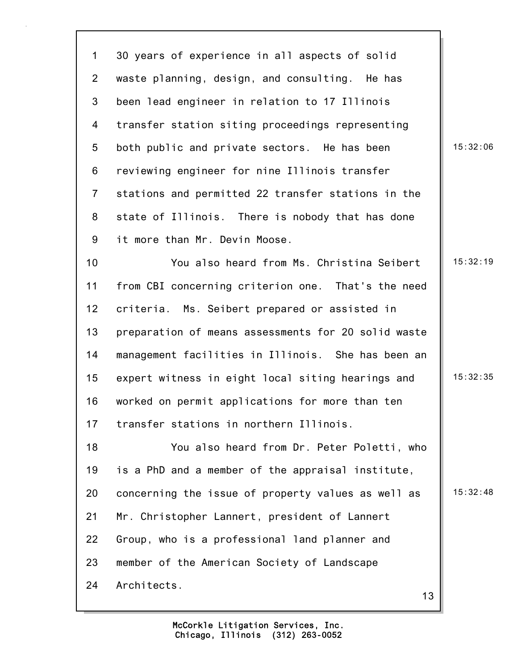1 30 years of experience in all aspects of solid 2 waste planning, design, and consulting. He has 3 been lead engineer in relation to 17 Illinois 4 transfer station siting proceedings representing 5 both public and private sectors. He has been | 15:32:06 6 reviewing engineer for nine Illinois transfer 7 stations and permitted 22 transfer stations in the 8 state of Illinois. There is nobody that has done 9 it more than Mr. Devin Moose. 10 You also heard from Ms. Christina Seibert 15:32:19 11 from CBI concerning criterion one. That's the need 12 criteria. Ms. Seibert prepared or assisted in 13 preparation of means assessments for 20 solid waste 14 management facilities in Illinois. She has been an 15 expert witness in eight local siting hearings and | 15:32:35 16 worked on permit applications for more than ten 17 transfer stations in northern Illinois. 18 You also heard from Dr. Peter Poletti, who 19 is a PhD and a member of the appraisal institute, 20 concerning the issue of property values as well as  $\parallel$  15:32:48 21 Mr. Christopher Lannert, president of Lannert 22 Group, who is a professional land planner and 23 member of the American Society of Landscape

24 Architects.

13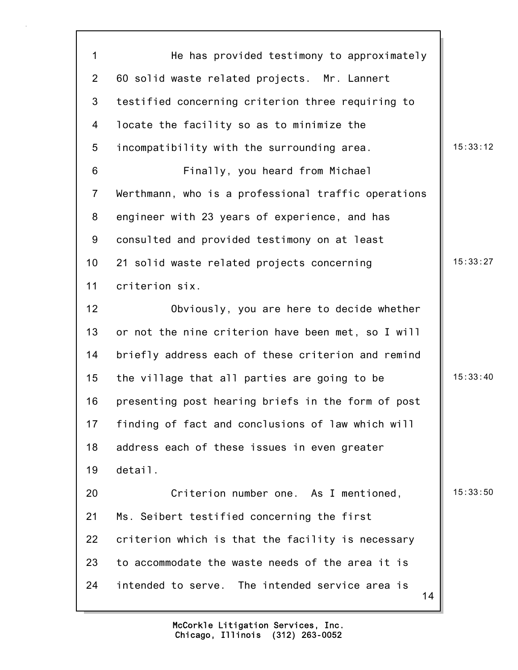14 1 He has provided testimony to approximately 2 60 solid waste related projects. Mr. Lannert 3 testified concerning criterion three requiring to 4 locate the facility so as to minimize the 5 incompatibility with the surrounding area.  $\|$  15:33:12 6 Finally, you heard from Michael 7 Werthmann, who is a professional traffic operations 8 engineer with 23 years of experience, and has 9 consulted and provided testimony on at least 10 21 solid waste related projects concerning 15:33:27 11 criterion six. 12 Obviously, you are here to decide whether 13 or not the nine criterion have been met, so I will 14 briefly address each of these criterion and remind 15 the village that all parties are going to be  $\parallel$  15:33:40 16 presenting post hearing briefs in the form of post 17 finding of fact and conclusions of law which will 18 address each of these issues in even greater 19 detail. 20 **Criterion number one.** As I mentioned, 15:33:50 21 Ms. Seibert testified concerning the first 22 criterion which is that the facility is necessary 23 to accommodate the waste needs of the area it is 24 intended to serve. The intended service area is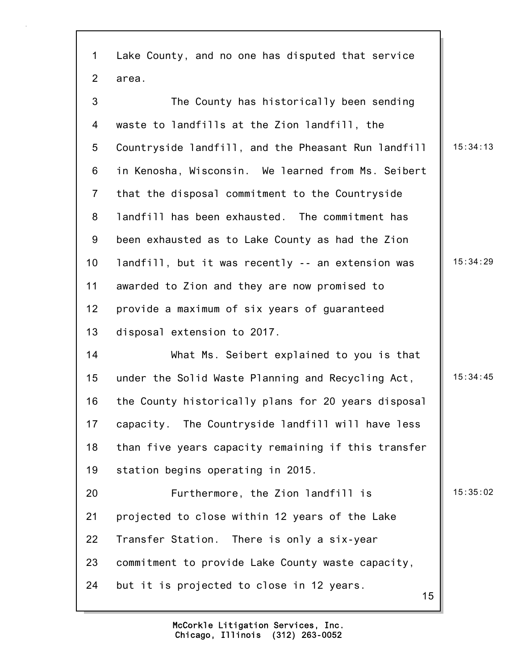| $\mathbf{1}$    | Lake County, and no one has disputed that service   |          |
|-----------------|-----------------------------------------------------|----------|
| $\overline{2}$  | area.                                               |          |
| 3               | The County has historically been sending            |          |
| 4               | waste to landfills at the Zion landfill, the        |          |
| 5               | Countryside landfill, and the Pheasant Run landfill | 15:34:13 |
| 6               | in Kenosha, Wisconsin. We learned from Ms. Seibert  |          |
| $\overline{7}$  | that the disposal commitment to the Countryside     |          |
| 8               | landfill has been exhausted. The commitment has     |          |
| 9               | been exhausted as to Lake County as had the Zion    |          |
| 10 <sub>1</sub> | landfill, but it was recently -- an extension was   | 15:34:29 |
| 11              | awarded to Zion and they are now promised to        |          |
| 12              | provide a maximum of six years of guaranteed        |          |
| 13              | disposal extension to 2017.                         |          |
| 14              | What Ms. Seibert explained to you is that           |          |
| 15              | under the Solid Waste Planning and Recycling Act,   | 15:34:45 |
| 16              | the County historically plans for 20 years disposal |          |
| 17              | capacity. The Countryside landfill will have less   |          |
| 18              | than five years capacity remaining if this transfer |          |
| 19              | station begins operating in 2015.                   |          |
| 20              | Furthermore, the Zion landfill is                   | 15:35:02 |
| 21              | projected to close within 12 years of the Lake      |          |
| 22              | Transfer Station. There is only a six-year          |          |
| 23              | commitment to provide Lake County waste capacity,   |          |
| 24              | but it is projected to close in 12 years.<br>15     |          |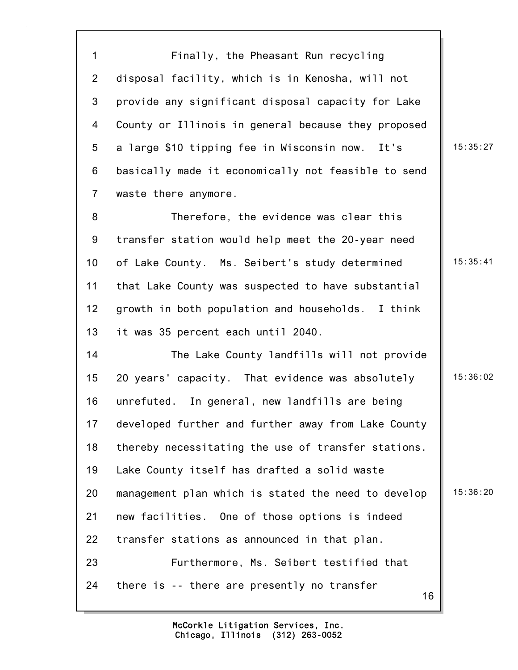1 Finally, the Pheasant Run recycling 2 disposal facility, which is in Kenosha, will not 3 provide any significant disposal capacity for Lake 4 County or Illinois in general because they proposed 5 a large \$10 tipping fee in Wisconsin now. It's | 15:35:27 6 basically made it economically not feasible to send 7 waste there anymore.

8 Therefore, the evidence was clear this 9 transfer station would help meet the 20-year need 10 of Lake County. Ms. Seibert's study determined | 15:35:41 11 that Lake County was suspected to have substantial 12 growth in both population and households. I think 13 it was 35 percent each until 2040.

16 14 The Lake County landfills will not provide 15 20 years' capacity. That evidence was absolutely 15:36:02 16 unrefuted. In general, new landfills are being 17 developed further and further away from Lake County 18 thereby necessitating the use of transfer stations. 19 Lake County itself has drafted a solid waste 20 management plan which is stated the need to develop  $\parallel$  15:36:20 21 new facilities. One of those options is indeed 22 transfer stations as announced in that plan. 23 Furthermore, Ms. Seibert testified that 24 there is -- there are presently no transfer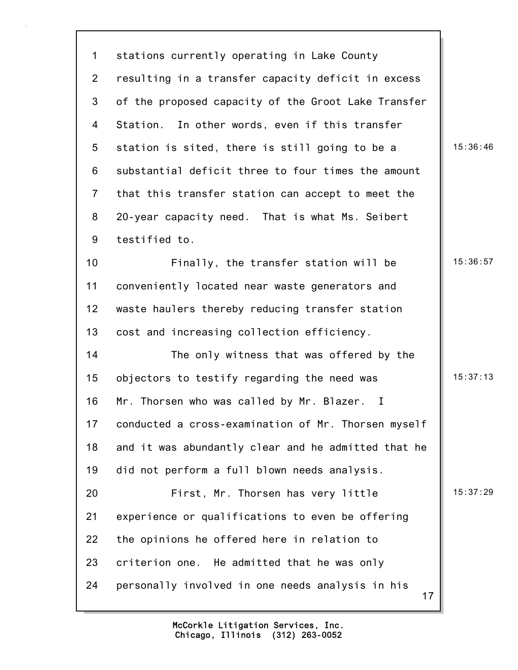17 1 stations currently operating in Lake County 2 resulting in a transfer capacity deficit in excess 3 of the proposed capacity of the Groot Lake Transfer 4 Station. In other words, even if this transfer 5 station is sited, there is still going to be a  $\vert$  15:36:46 6 substantial deficit three to four times the amount 7 that this transfer station can accept to meet the 8 20-year capacity need. That is what Ms. Seibert 9 testified to. 10 **Finally, the transfer station will be** 15:36:57 11 conveniently located near waste generators and 12 waste haulers thereby reducing transfer station 13 cost and increasing collection efficiency. 14 The only witness that was offered by the 15 objectors to testify regarding the need was  $\parallel$  15:37:13 16 Mr. Thorsen who was called by Mr. Blazer. I 17 conducted a cross-examination of Mr. Thorsen myself 18 and it was abundantly clear and he admitted that he 19 did not perform a full blown needs analysis. 20 **First, Mr. Thorsen has very little** | 15:37:29 21 experience or qualifications to even be offering 22 the opinions he offered here in relation to 23 criterion one. He admitted that he was only 24 personally involved in one needs analysis in his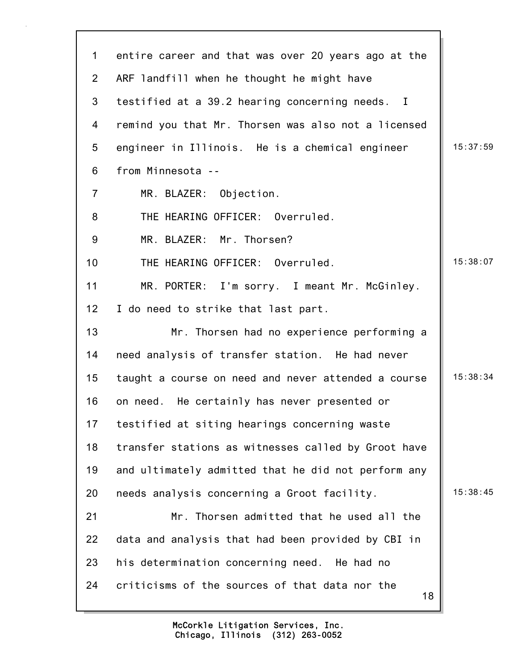| $\mathbf 1$    | entire career and that was over 20 years ago at the  |          |
|----------------|------------------------------------------------------|----------|
| $\overline{2}$ | ARF landfill when he thought he might have           |          |
| 3              | testified at a 39.2 hearing concerning needs. I      |          |
| 4              | remind you that Mr. Thorsen was also not a licensed  |          |
| 5              | engineer in Illinois. He is a chemical engineer      | 15:37:59 |
| 6              | from Minnesota --                                    |          |
| $\overline{7}$ | MR. BLAZER: Objection.                               |          |
| 8              | THE HEARING OFFICER: Overruled.                      |          |
| 9              | MR. BLAZER: Mr. Thorsen?                             |          |
| 10             | THE HEARING OFFICER: Overruled.                      | 15:38:07 |
| 11             | MR. PORTER: I'm sorry. I meant Mr. McGinley.         |          |
| 12             | I do need to strike that last part.                  |          |
| 13             | Mr. Thorsen had no experience performing a           |          |
| 14             | need analysis of transfer station. He had never      |          |
| 15             | taught a course on need and never attended a course  | 15:38:34 |
| 16             | on need. He certainly has never presented or         |          |
| 17             | testified at siting hearings concerning waste        |          |
| 18             | transfer stations as witnesses called by Groot have  |          |
| 19             | and ultimately admitted that he did not perform any  |          |
| 20             | needs analysis concerning a Groot facility.          | 15:38:45 |
| 21             | Mr. Thorsen admitted that he used all the            |          |
| 22             | data and analysis that had been provided by CBI in   |          |
| 23             | his determination concerning need. He had no         |          |
| 24             | criticisms of the sources of that data nor the<br>18 |          |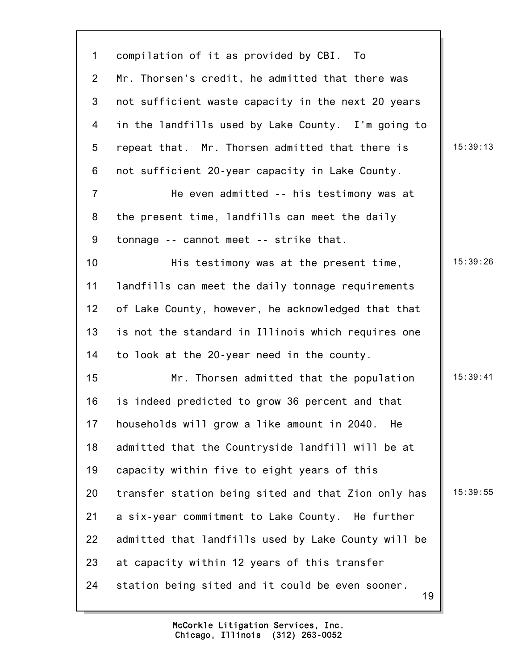19 1 compilation of it as provided by CBI. To 2 Mr. Thorsen's credit, he admitted that there was 3 not sufficient waste capacity in the next 20 years 4 in the landfills used by Lake County. I'm going to 5 repeat that. Mr. Thorsen admitted that there is 15:39:13 6 not sufficient 20-year capacity in Lake County. 7 He even admitted -- his testimony was at 8 the present time, landfills can meet the daily 9 tonnage -- cannot meet -- strike that. 10 **His testimony was at the present time,** 15:39:26 11 landfills can meet the daily tonnage requirements 12 of Lake County, however, he acknowledged that that 13 is not the standard in Illinois which requires one 14 to look at the 20-year need in the county. 15 Mr. Thorsen admitted that the population | 15:39:41 16 is indeed predicted to grow 36 percent and that 17 households will grow a like amount in 2040. He 18 admitted that the Countryside landfill will be at 19 capacity within five to eight years of this 20 transfer station being sited and that Zion only has  $\parallel$  15:39:55 21 a six-year commitment to Lake County. He further 22 admitted that landfills used by Lake County will be 23 at capacity within 12 years of this transfer 24 station being sited and it could be even sooner.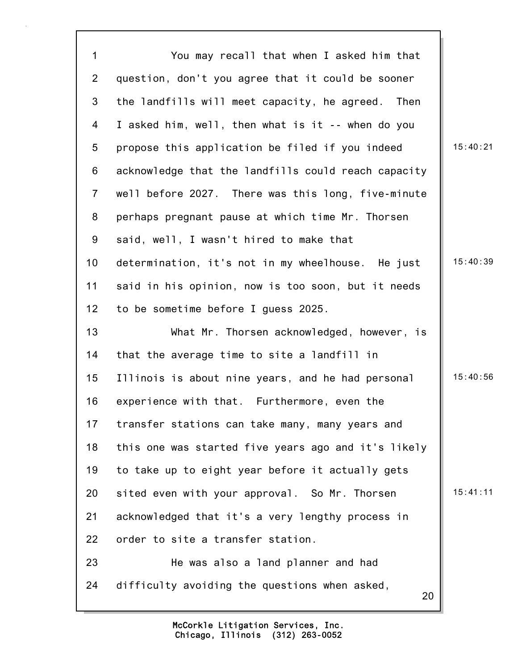20 1 You may recall that when I asked him that 2 question, don't you agree that it could be sooner 3 the landfills will meet capacity, he agreed. Then 4 I asked him, well, then what is it -- when do you 5 propose this application be filed if you indeed | 15:40:21 6 acknowledge that the landfills could reach capacity 7 well before 2027. There was this long, five-minute 8 perhaps pregnant pause at which time Mr. Thorsen 9 said, well, I wasn't hired to make that 10 determination, it's not in my wheelhouse. He just | 15:40:39 11 said in his opinion, now is too soon, but it needs 12 to be sometime before I guess 2025. 13 What Mr. Thorsen acknowledged, however, is 14 that the average time to site a landfill in 15 Illinois is about nine years, and he had personal | 15:40:56 16 experience with that. Furthermore, even the 17 transfer stations can take many, many years and 18 this one was started five years ago and it's likely 19 to take up to eight year before it actually gets 20 sited even with your approval. So Mr. Thorsen 15:41:11 21 acknowledged that it's a very lengthy process in 22 order to site a transfer station. 23 He was also a land planner and had 24 difficulty avoiding the questions when asked,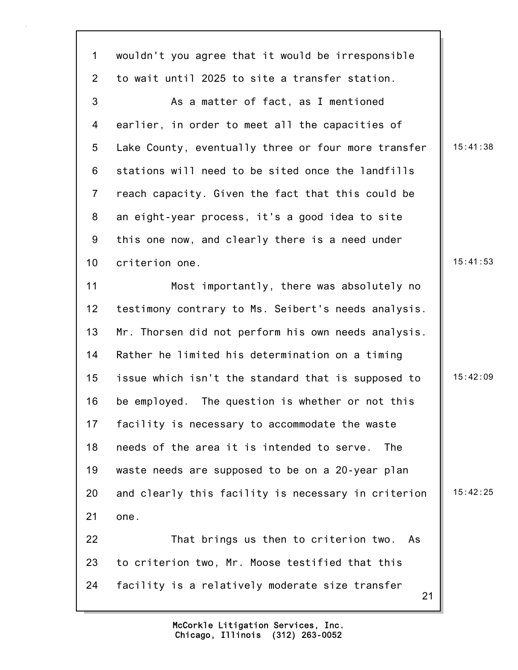21 1 wouldn't you agree that it would be irresponsible 2 to wait until 2025 to site a transfer station. 3 As a matter of fact, as I mentioned 4 earlier, in order to meet all the capacities of 5 Lake County, eventually three or four more transfer | 15:41:38 6 stations will need to be sited once the landfills 7 reach capacity. Given the fact that this could be 8 an eight-year process, it's a good idea to site 9 this one now, and clearly there is a need under 10 criterion one. 15:41:53 11 Most importantly, there was absolutely no 12 testimony contrary to Ms. Seibert's needs analysis. 13 Mr. Thorsen did not perform his own needs analysis. 14 Rather he limited his determination on a timing 15 issue which isn't the standard that is supposed to  $\parallel$  15:42:09 16 be employed. The question is whether or not this 17 facility is necessary to accommodate the waste 18 needs of the area it is intended to serve. The 19 waste needs are supposed to be on a 20-year plan 20 and clearly this facility is necessary in criterion  $\parallel$  15:42:25 21 one. 22 That brings us then to criterion two. As 23 to criterion two, Mr. Moose testified that this 24 facility is a relatively moderate size transfer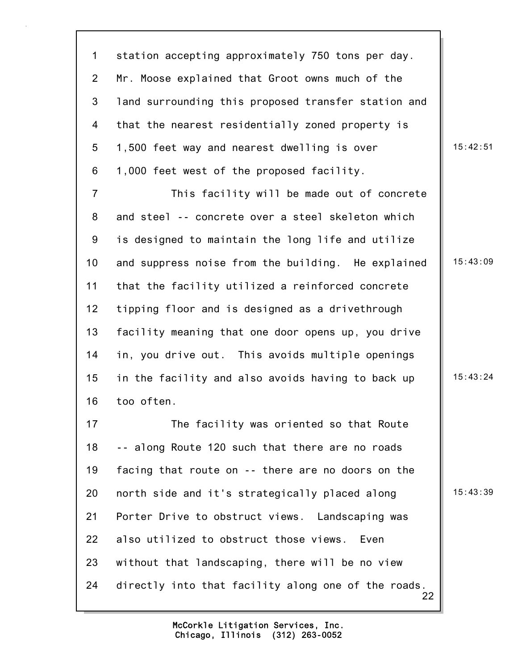1 station accepting approximately 750 tons per day. 2 Mr. Moose explained that Groot owns much of the 3 land surrounding this proposed transfer station and 4 that the nearest residentially zoned property is 5 1,500 feet way and nearest dwelling is over  $\vert$  15:42:51 6 1,000 feet west of the proposed facility.

7 This facility will be made out of concrete 8 and steel -- concrete over a steel skeleton which 9 is designed to maintain the long life and utilize 10 and suppress noise from the building. He explained | 15:43:09 11 that the facility utilized a reinforced concrete 12 tipping floor and is designed as a drivethrough 13 facility meaning that one door opens up, you drive 14 in, you drive out. This avoids multiple openings 15 in the facility and also avoids having to back up  $\parallel$  15:43:24 16 too often.

22 17 The facility was oriented so that Route 18 -- along Route 120 such that there are no roads 19 facing that route on -- there are no doors on the 20 north side and it's strategically placed along 15:43:39 21 Porter Drive to obstruct views. Landscaping was 22 also utilized to obstruct those views. Even 23 without that landscaping, there will be no view 24 directly into that facility along one of the roads.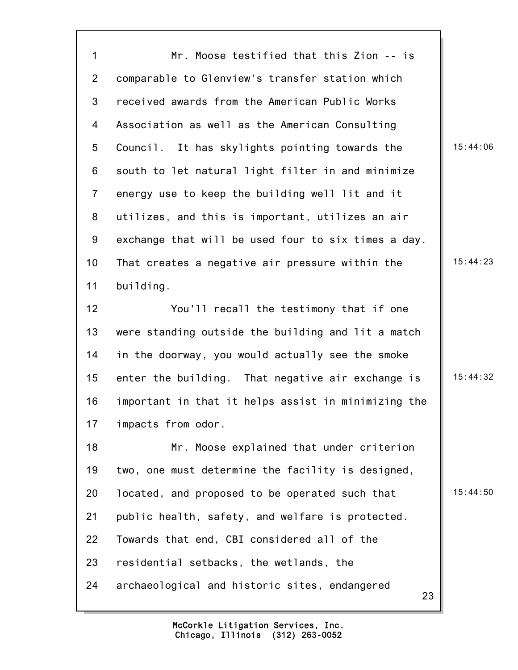1 Mr. Moose testified that this Zion -- is 2 comparable to Glenview's transfer station which 3 received awards from the American Public Works 4 Association as well as the American Consulting 5 Council. It has skylights pointing towards the 15:44:06 6 south to let natural light filter in and minimize 7 energy use to keep the building well lit and it 8 utilizes, and this is important, utilizes an air 9 exchange that will be used four to six times a day. 10 That creates a negative air pressure within the 15:44:23 11 building. 12 You'll recall the testimony that if one 13 were standing outside the building and lit a match 14 in the doorway, you would actually see the smoke 15 enter the building. That negative air exchange is  $\parallel$  15:44:32 16 important in that it helps assist in minimizing the 17 impacts from odor. 18 Mr. Moose explained that under criterion 19 two, one must determine the facility is designed, 20 located, and proposed to be operated such that 15:44:50 21 public health, safety, and welfare is protected.

22 Towards that end, CBI considered all of the

23 residential setbacks, the wetlands, the

24 archaeological and historic sites, endangered

23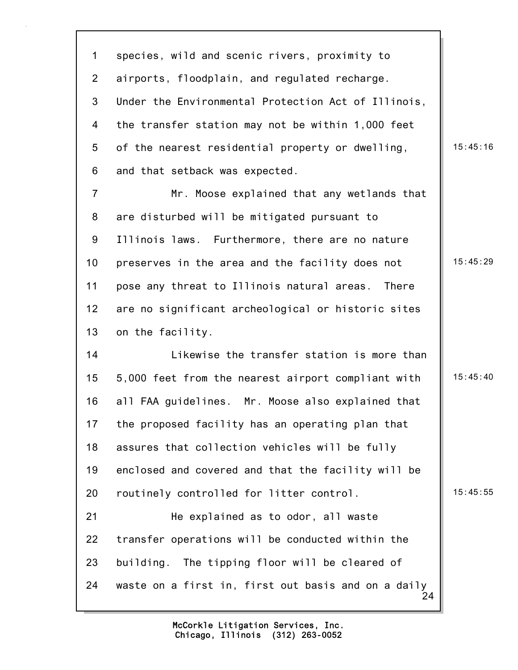1 species, wild and scenic rivers, proximity to 2 airports, floodplain, and regulated recharge. 3 Under the Environmental Protection Act of Illinois, 4 the transfer station may not be within 1,000 feet 5 of the nearest residential property or dwelling, 15:45:16 6 and that setback was expected.

7 Mr. Moose explained that any wetlands that 8 are disturbed will be mitigated pursuant to 9 Illinois laws. Furthermore, there are no nature 10 preserves in the area and the facility does not  $\parallel$  15:45:29 11 pose any threat to Illinois natural areas. There 12 are no significant archeological or historic sites 13 on the facility.

24 14 Likewise the transfer station is more than 15 5,000 feet from the nearest airport compliant with 15:45:40 16 all FAA guidelines. Mr. Moose also explained that 17 the proposed facility has an operating plan that 18 assures that collection vehicles will be fully 19 enclosed and covered and that the facility will be 20 routinely controlled for litter control. 15:45:55 21 He explained as to odor, all waste 22 transfer operations will be conducted within the 23 building. The tipping floor will be cleared of 24 waste on a first in, first out basis and on a daily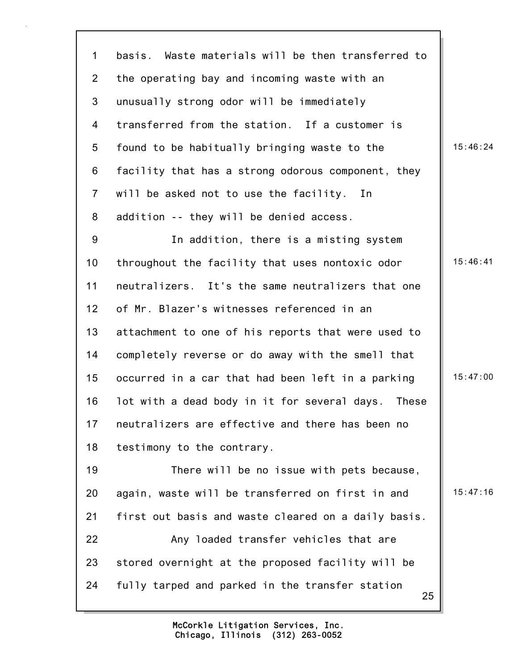1 basis. Waste materials will be then transferred to 2 the operating bay and incoming waste with an 3 unusually strong odor will be immediately 4 transferred from the station. If a customer is 5 found to be habitually bringing waste to the 15:46:24 6 facility that has a strong odorous component, they 7 will be asked not to use the facility. In 8 addition -- they will be denied access. 9 In addition, there is a misting system 10 throughout the facility that uses nontoxic odor 15:46:41 11 neutralizers. It's the same neutralizers that one 12 of Mr. Blazer's witnesses referenced in an 13 attachment to one of his reports that were used to 14 completely reverse or do away with the smell that 15 occurred in a car that had been left in a parking  $\parallel$  15:47:00 16 lot with a dead body in it for several days. These

18 testimony to the contrary.

25 19 There will be no issue with pets because, 20 again, waste will be transferred on first in and  $\parallel$  15:47:16 21 first out basis and waste cleared on a daily basis. 22 Any loaded transfer vehicles that are 23 stored overnight at the proposed facility will be 24 fully tarped and parked in the transfer station

17 neutralizers are effective and there has been no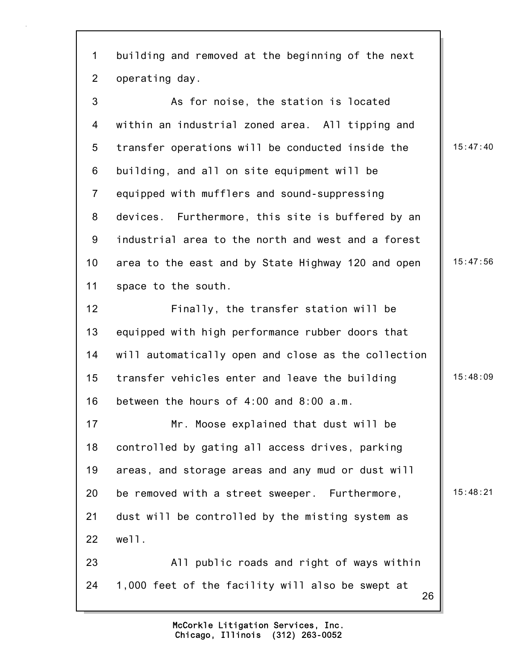1 building and removed at the beginning of the next 2 operating day.

3 As for noise, the station is located 4 within an industrial zoned area. All tipping and 5 transfer operations will be conducted inside the | 15:47:40 6 building, and all on site equipment will be 7 equipped with mufflers and sound-suppressing 8 devices. Furthermore, this site is buffered by an 9 industrial area to the north and west and a forest 10 area to the east and by State Highway 120 and open | 15:47:56 11 space to the south.

12 Finally, the transfer station will be 13 equipped with high performance rubber doors that 14 will automatically open and close as the collection 15 transfer vehicles enter and leave the building 15:48:09 16 between the hours of 4:00 and 8:00 a.m.

17 Mr. Moose explained that dust will be 18 controlled by gating all access drives, parking 19 areas, and storage areas and any mud or dust will 20 be removed with a street sweeper. Furthermore, 15:48:21 21 dust will be controlled by the misting system as 22 well. 23 All public roads and right of ways within

26 24 1,000 feet of the facility will also be swept at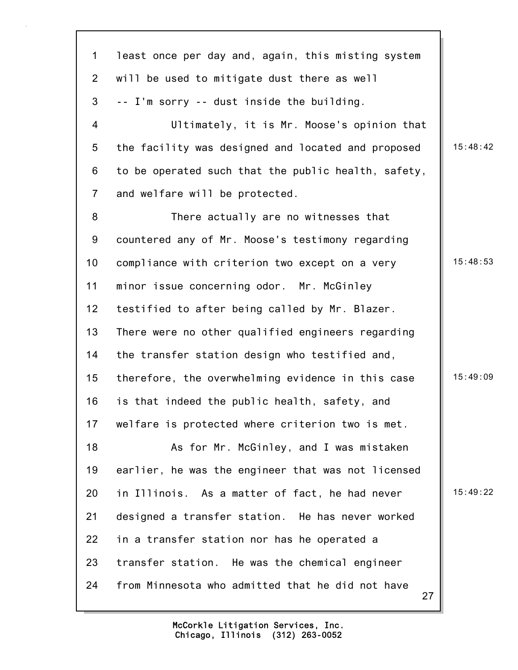| $\mathbf 1$    | least once per day and, again, this misting system     |          |
|----------------|--------------------------------------------------------|----------|
| $\overline{2}$ | will be used to mitigate dust there as well            |          |
| 3              | -- I'm sorry -- dust inside the building.              |          |
| 4              | Ultimately, it is Mr. Moose's opinion that             |          |
| 5              | the facility was designed and located and proposed     | 15:48:42 |
| 6              | to be operated such that the public health, safety,    |          |
| $\overline{7}$ | and welfare will be protected.                         |          |
| 8              | There actually are no witnesses that                   |          |
| 9              | countered any of Mr. Moose's testimony regarding       |          |
| 10             | compliance with criterion two except on a very         | 15:48:53 |
| 11             | minor issue concerning odor. Mr. McGinley              |          |
| 12             | testified to after being called by Mr. Blazer.         |          |
| 13             | There were no other qualified engineers regarding      |          |
| 14             | the transfer station design who testified and,         |          |
| 15             | therefore, the overwhelming evidence in this case      | 15:49:09 |
| 16             | is that indeed the public health, safety, and          |          |
| 17             | welfare is protected where criterion two is met.       |          |
| 18             | As for Mr. McGinley, and I was mistaken                |          |
| 19             | earlier, he was the engineer that was not licensed     |          |
| 20             | in Illinois. As a matter of fact, he had never         | 15:49:22 |
| 21             | designed a transfer station. He has never worked       |          |
| 22             | in a transfer station nor has he operated a            |          |
| 23             | transfer station. He was the chemical engineer         |          |
| 24             | from Minnesota who admitted that he did not have<br>27 |          |
|                |                                                        |          |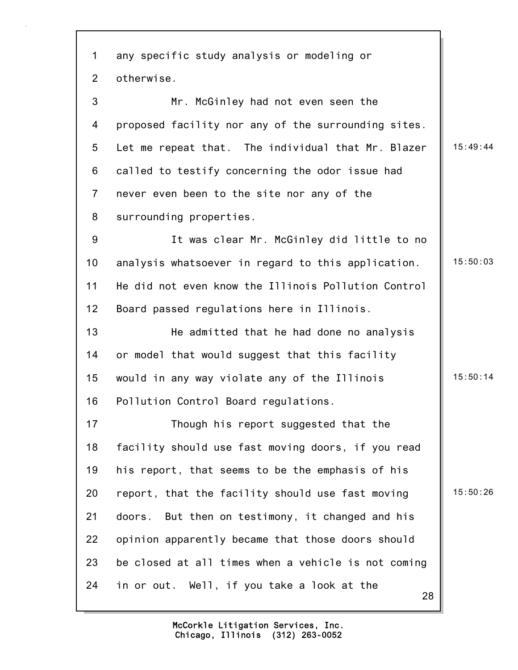28 1 any specific study analysis or modeling or 2 otherwise. 3 Mr. McGinley had not even seen the 4 proposed facility nor any of the surrounding sites. 5 Let me repeat that. The individual that Mr. Blazer  $\parallel$  15:49:44 6 called to testify concerning the odor issue had 7 never even been to the site nor any of the 8 surrounding properties. 9 It was clear Mr. McGinley did little to no 10 analysis whatsoever in regard to this application. | 15:50:03 11 He did not even know the Illinois Pollution Control 12 Board passed regulations here in Illinois. 13 He admitted that he had done no analysis 14 or model that would suggest that this facility 15 would in any way violate any of the Illinois  $\|\cdot\|$  15:50:14 16 Pollution Control Board regulations. 17 Though his report suggested that the 18 facility should use fast moving doors, if you read 19 his report, that seems to be the emphasis of his 20 report, that the facility should use fast moving  $\parallel$  15:50:26 21 doors. But then on testimony, it changed and his 22 opinion apparently became that those doors should 23 be closed at all times when a vehicle is not coming 24 in or out. Well, if you take a look at the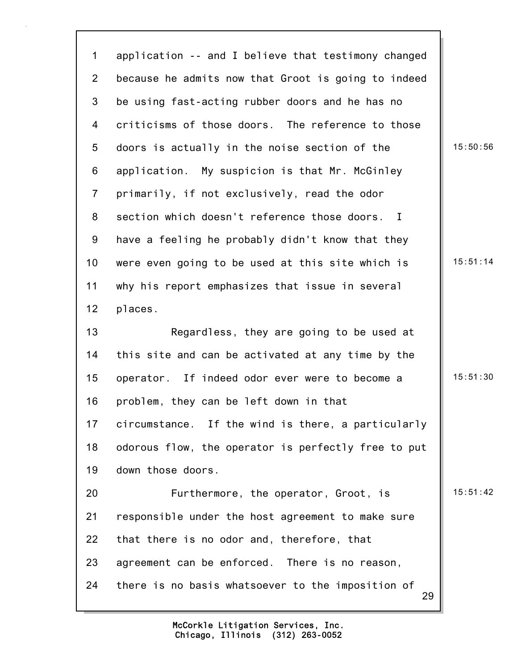29 1 application -- and I believe that testimony changed 2 because he admits now that Groot is going to indeed 3 be using fast-acting rubber doors and he has no 4 criticisms of those doors. The reference to those 5 doors is actually in the noise section of the 15:50:56 6 application. My suspicion is that Mr. McGinley 7 primarily, if not exclusively, read the odor 8 section which doesn't reference those doors. I 9 have a feeling he probably didn't know that they 10 were even going to be used at this site which is  $\parallel$  15:51:14 11 why his report emphasizes that issue in several 12 places. 13 Regardless, they are going to be used at 14 this site and can be activated at any time by the 15 operator. If indeed odor ever were to become a 15:51:30 16 problem, they can be left down in that 17 circumstance. If the wind is there, a particularly 18 odorous flow, the operator is perfectly free to put 19 down those doors. 20 **Furthermore, the operator, Groot, is** 15:51:42 21 responsible under the host agreement to make sure 22 that there is no odor and, therefore, that 23 agreement can be enforced. There is no reason, 24 there is no basis whatsoever to the imposition of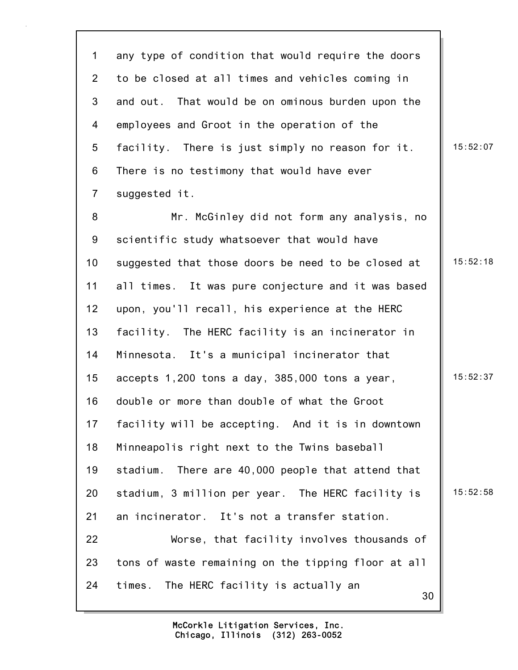30 1 any type of condition that would require the doors 2 to be closed at all times and vehicles coming in 3 and out. That would be on ominous burden upon the 4 employees and Groot in the operation of the 5 facility. There is just simply no reason for it.  $\parallel$  15:52:07 6 There is no testimony that would have ever 7 suggested it. 8 Mr. McGinley did not form any analysis, no 9 scientific study whatsoever that would have 10 suggested that those doors be need to be closed at | 15:52:18 11 all times. It was pure conjecture and it was based 12 upon, you'll recall, his experience at the HERC 13 facility. The HERC facility is an incinerator in 14 Minnesota. It's a municipal incinerator that 15 accepts 1,200 tons a day, 385,000 tons a year, 15:52:37 16 double or more than double of what the Groot 17 facility will be accepting. And it is in downtown 18 Minneapolis right next to the Twins baseball 19 stadium. There are 40,000 people that attend that 20 stadium, 3 million per year. The HERC facility is  $\parallel$  15:52:58 21 an incinerator. It's not a transfer station. 22 Worse, that facility involves thousands of 23 tons of waste remaining on the tipping floor at all 24 times. The HERC facility is actually an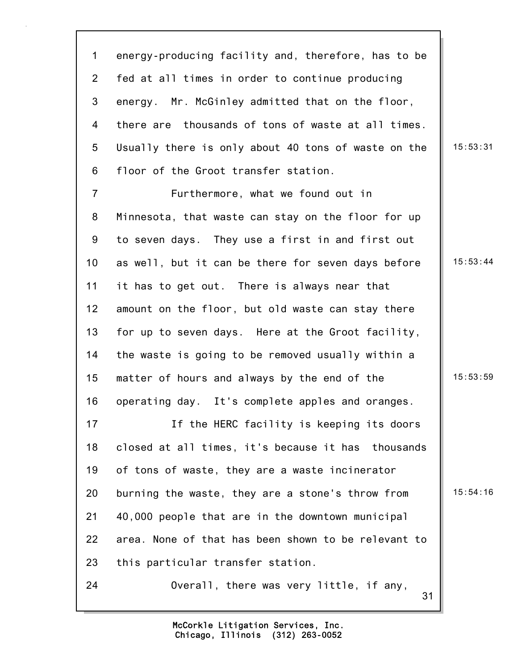1 energy-producing facility and, therefore, has to be 2 fed at all times in order to continue producing 3 energy. Mr. McGinley admitted that on the floor, 4 there are thousands of tons of waste at all times. 5 Usually there is only about 40 tons of waste on the  $\parallel$  15:53:31 6 floor of the Groot transfer station. 7 Furthermore, what we found out in

8 Minnesota, that waste can stay on the floor for up 9 to seven days. They use a first in and first out 10 as well, but it can be there for seven days before  $\parallel$  15:53:44 11 it has to get out. There is always near that 12 amount on the floor, but old waste can stay there 13 for up to seven days. Here at the Groot facility, 14 the waste is going to be removed usually within a 15 matter of hours and always by the end of the  $\vert$  15:53:59 16 operating day. It's complete apples and oranges.

17 If the HERC facility is keeping its doors 18 closed at all times, it's because it has thousands 19 of tons of waste, they are a waste incinerator 20 burning the waste, they are a stone's throw from | 15:54:16 21 40,000 people that are in the downtown municipal 22 area. None of that has been shown to be relevant to 23 this particular transfer station.

24 Overall, there was very little, if any,

31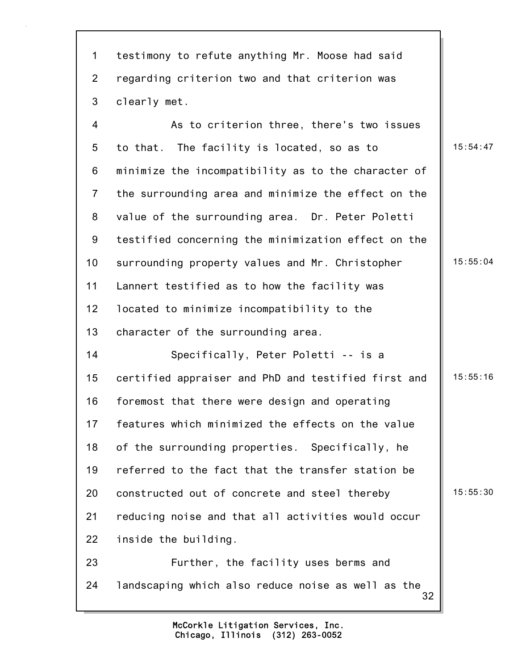| $\mathbf{1}$   | testimony to refute anything Mr. Moose had said          |          |
|----------------|----------------------------------------------------------|----------|
| $\overline{2}$ | regarding criterion two and that criterion was           |          |
| 3              | clearly met.                                             |          |
| $\overline{4}$ | As to criterion three, there's two issues                |          |
| 5              | to that. The facility is located, so as to               | 15:54:47 |
| 6              | minimize the incompatibility as to the character of      |          |
| $\overline{7}$ | the surrounding area and minimize the effect on the      |          |
| 8              | value of the surrounding area. Dr. Peter Poletti         |          |
| 9              | testified concerning the minimization effect on the      |          |
| 10             | surrounding property values and Mr. Christopher          | 15:55:04 |
| 11             | Lannert testified as to how the facility was             |          |
| 12             | located to minimize incompatibility to the               |          |
| 13             | character of the surrounding area.                       |          |
| 14             | Specifically, Peter Poletti -- is a                      |          |
| 15             | certified appraiser and PhD and testified first and      | 15:55:16 |
| 16             | foremost that there were design and operating            |          |
| 17             | features which minimized the effects on the value        |          |
| 18             | of the surrounding properties. Specifically, he          |          |
| 19             | referred to the fact that the transfer station be        |          |
| 20             | constructed out of concrete and steel thereby            | 15:55:30 |
| 21             | reducing noise and that all activities would occur       |          |
| 22             | inside the building.                                     |          |
| 23             | Further, the facility uses berms and                     |          |
| 24             | landscaping which also reduce noise as well as the<br>32 |          |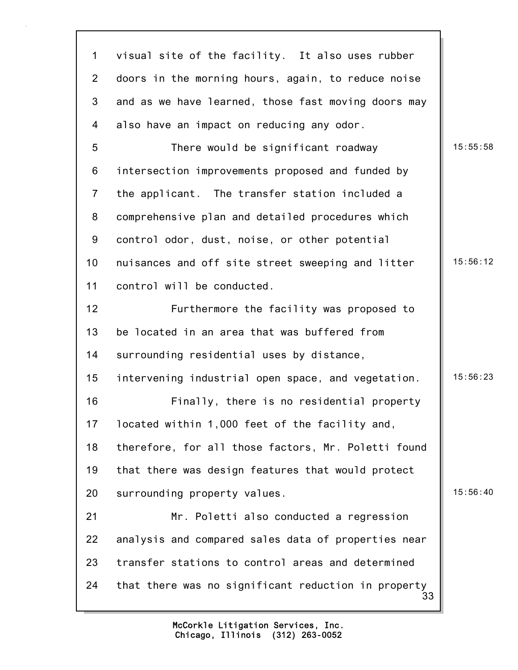| $\mathbf 1$     | visual site of the facility. It also uses rubber          |          |
|-----------------|-----------------------------------------------------------|----------|
| $\overline{2}$  | doors in the morning hours, again, to reduce noise        |          |
| 3               | and as we have learned, those fast moving doors may       |          |
| 4               | also have an impact on reducing any odor.                 |          |
| 5               | There would be significant roadway                        | 15:55:58 |
| 6               | intersection improvements proposed and funded by          |          |
| $\overline{7}$  | the applicant. The transfer station included a            |          |
| 8               | comprehensive plan and detailed procedures which          |          |
| 9               | control odor, dust, noise, or other potential             |          |
| 10 <sub>1</sub> | nuisances and off site street sweeping and litter         | 15:56:12 |
| 11              | control will be conducted.                                |          |
| 12              | Furthermore the facility was proposed to                  |          |
| 13              | be located in an area that was buffered from              |          |
| 14              | surrounding residential uses by distance,                 |          |
| 15              | intervening industrial open space, and vegetation.        | 15:56:23 |
| 16              | Finally, there is no residential property                 |          |
| 17              | located within 1,000 feet of the facility and,            |          |
| 18              | therefore, for all those factors, Mr. Poletti found       |          |
| 19              | that there was design features that would protect         |          |
| 20              | surrounding property values.                              | 15:56:40 |
| 21              | Mr. Poletti also conducted a regression                   |          |
| 22              | analysis and compared sales data of properties near       |          |
| 23              | transfer stations to control areas and determined         |          |
| 24              | that there was no significant reduction in property<br>33 |          |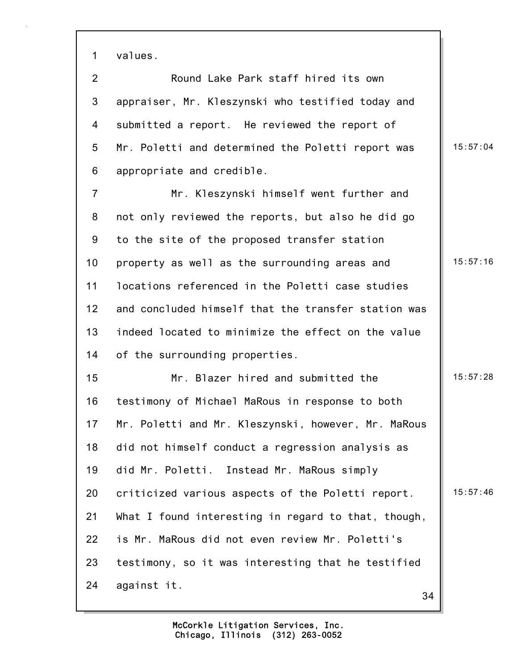1 values.

2 Round Lake Park staff hired its own 3 appraiser, Mr. Kleszynski who testified today and 4 submitted a report. He reviewed the report of 5 Mr. Poletti and determined the Poletti report was | 15:57:04 6 appropriate and credible.

7 Mr. Kleszynski himself went further and 8 not only reviewed the reports, but also he did go 9 to the site of the proposed transfer station 10 property as well as the surrounding areas and 15:57:16 11 locations referenced in the Poletti case studies 12 and concluded himself that the transfer station was 13 indeed located to minimize the effect on the value 14 of the surrounding properties.

34 15 Mr. Blazer hired and submitted the 15:57:28 16 testimony of Michael MaRous in response to both 17 Mr. Poletti and Mr. Kleszynski, however, Mr. MaRous 18 did not himself conduct a regression analysis as 19 did Mr. Poletti. Instead Mr. MaRous simply 20 criticized various aspects of the Poletti report.  $\parallel$  15:57:46 21 What I found interesting in regard to that, though, 22 is Mr. MaRous did not even review Mr. Poletti's 23 testimony, so it was interesting that he testified 24 against it.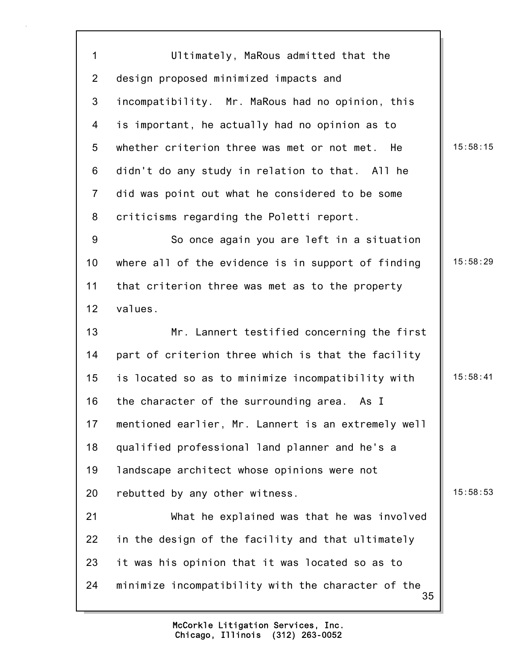35 1 Ultimately, MaRous admitted that the 2 design proposed minimized impacts and 3 incompatibility. Mr. MaRous had no opinion, this 4 is important, he actually had no opinion as to 5 whether criterion three was met or not met. He 15:58:15 6 didn't do any study in relation to that. All he 7 did was point out what he considered to be some 8 criticisms regarding the Poletti report. 9 So once again you are left in a situation 10 where all of the evidence is in support of finding  $\parallel$  15:58:29 11 that criterion three was met as to the property 12 values. 13 Mr. Lannert testified concerning the first 14 part of criterion three which is that the facility 15 is located so as to minimize incompatibility with 15:58:41 16 the character of the surrounding area. As I 17 mentioned earlier, Mr. Lannert is an extremely well 18 qualified professional land planner and he's a 19 landscape architect whose opinions were not 20 rebutted by any other witness.  $\vert$  15:58:53 21 What he explained was that he was involved 22 in the design of the facility and that ultimately 23 it was his opinion that it was located so as to 24 minimize incompatibility with the character of the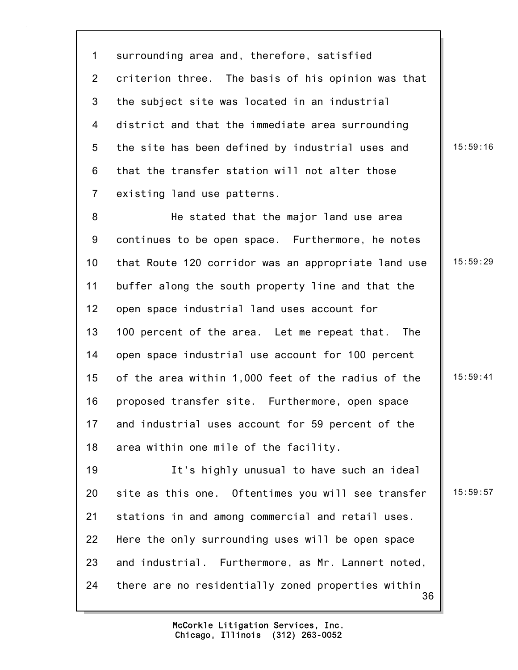1 surrounding area and, therefore, satisfied 2 criterion three. The basis of his opinion was that 3 the subject site was located in an industrial 4 district and that the immediate area surrounding 5 the site has been defined by industrial uses and  $\parallel$  15:59:16 6 that the transfer station will not alter those 7 existing land use patterns.

8 He stated that the major land use area 9 continues to be open space. Furthermore, he notes 10 that Route 120 corridor was an appropriate land use  $\parallel$  15:59:29 11 buffer along the south property line and that the 12 open space industrial land uses account for 13 100 percent of the area. Let me repeat that. The 14 open space industrial use account for 100 percent 15 of the area within 1,000 feet of the radius of the | 15:59:41 16 proposed transfer site. Furthermore, open space 17 and industrial uses account for 59 percent of the 18 area within one mile of the facility. 19 It's highly unusual to have such an ideal 20 site as this one. Oftentimes you will see transfer  $\parallel$  15:59:57 21 stations in and among commercial and retail uses.

22 Here the only surrounding uses will be open space 23 and industrial. Furthermore, as Mr. Lannert noted,

24 there are no residentially zoned properties within

36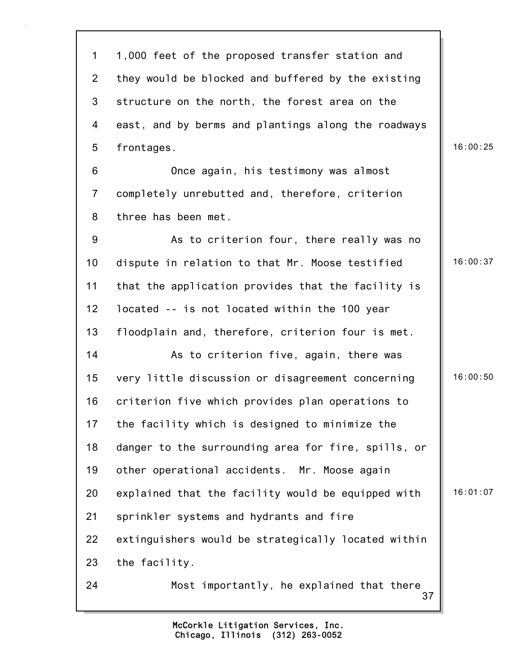| $\mathbf 1$     | 1,000 feet of the proposed transfer station and     |          |
|-----------------|-----------------------------------------------------|----------|
| $2^{\circ}$     | they would be blocked and buffered by the existing  |          |
| 3               | structure on the north, the forest area on the      |          |
| 4               | east, and by berms and plantings along the roadways |          |
| 5               | frontages.                                          | 16:00:25 |
| 6               | Once again, his testimony was almost                |          |
| $\overline{7}$  | completely unrebutted and, therefore, criterion     |          |
| 8               | three has been met.                                 |          |
| 9               | As to criterion four, there really was no           |          |
| 10 <sub>1</sub> | dispute in relation to that Mr. Moose testified     | 16:00:37 |
| 11              | that the application provides that the facility is  |          |
| 12              | located -- is not located within the 100 year       |          |
| 13              | floodplain and, therefore, criterion four is met.   |          |
| 14              | As to criterion five, again, there was              |          |
| 15              | very little discussion or disagreement concerning   | 16:00:50 |
| 16              | criterion five which provides plan operations to    |          |
| 17              | the facility which is designed to minimize the      |          |
| 18              | danger to the surrounding area for fire, spills, or |          |
| 19              | other operational accidents. Mr. Moose again        |          |
| 20              | explained that the facility would be equipped with  | 16:01:07 |
| 21              | sprinkler systems and hydrants and fire             |          |
| 22              | extinguishers would be strategically located within |          |
| 23              | the facility.                                       |          |
| 24              | Most importantly, he explained that there<br>37     |          |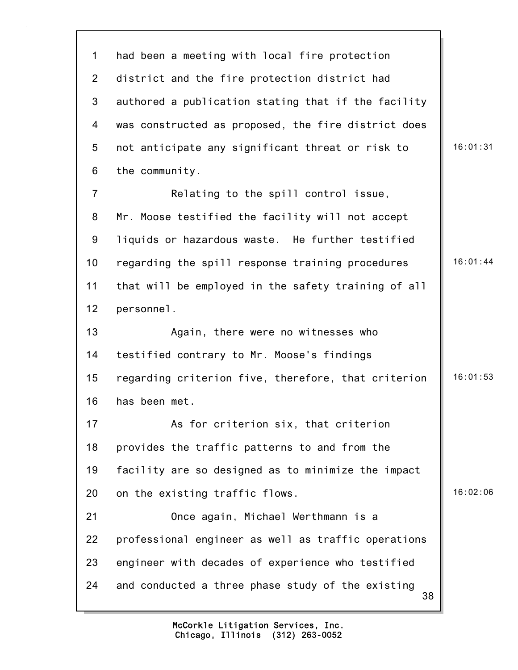38 1 had been a meeting with local fire protection 2 district and the fire protection district had 3 authored a publication stating that if the facility 4 was constructed as proposed, the fire district does 5 not anticipate any significant threat or risk to | 16:01:31 6 the community. 7 Relating to the spill control issue, 8 Mr. Moose testified the facility will not accept 9 liquids or hazardous waste. He further testified 10 regarding the spill response training procedures  $\parallel$  16:01:44 11 that will be employed in the safety training of all 12 personnel. 13 Again, there were no witnesses who 14 testified contrary to Mr. Moose's findings 15 regarding criterion five, therefore, that criterion | 16:01:53 16 has been met. 17 As for criterion six, that criterion 18 provides the traffic patterns to and from the 19 facility are so designed as to minimize the impact 20 on the existing traffic flows. 16:02:06 21 Once again, Michael Werthmann is a 22 professional engineer as well as traffic operations 23 engineer with decades of experience who testified 24 and conducted a three phase study of the existing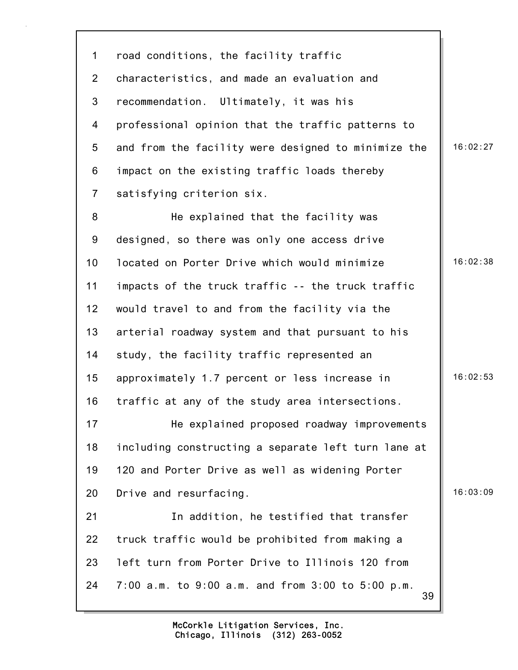39 1 road conditions, the facility traffic 2 characteristics, and made an evaluation and 3 recommendation. Ultimately, it was his 4 professional opinion that the traffic patterns to 5 and from the facility were designed to minimize the  $\parallel$  16:02:27 6 impact on the existing traffic loads thereby 7 satisfying criterion six. 8 He explained that the facility was 9 designed, so there was only one access drive 10 located on Porter Drive which would minimize 16:02:38 11 impacts of the truck traffic -- the truck traffic 12 would travel to and from the facility via the 13 arterial roadway system and that pursuant to his 14 study, the facility traffic represented an 15 approximately 1.7 percent or less increase in 16:02:53 16 traffic at any of the study area intersections. 17 **He explained proposed roadway improvements** 18 including constructing a separate left turn lane at 19 120 and Porter Drive as well as widening Porter 20 Drive and resurfacing. 20 16:03:09 21 In addition, he testified that transfer 22 truck traffic would be prohibited from making a 23 left turn from Porter Drive to Illinois 120 from 24 7:00 a.m. to 9:00 a.m. and from 3:00 to 5:00 p.m.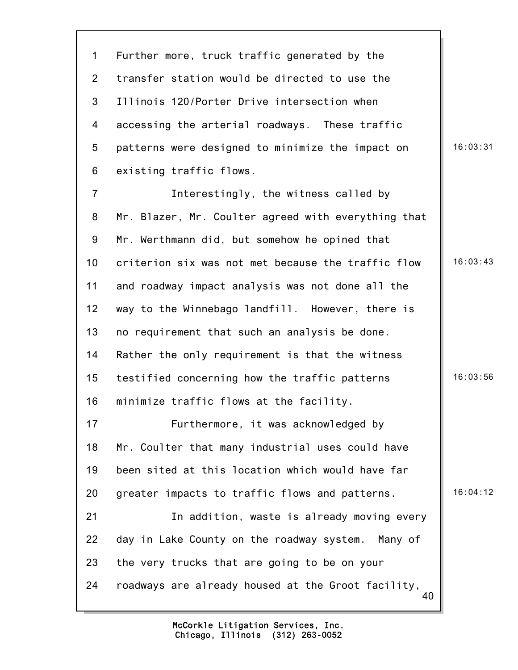40 1 Further more, truck traffic generated by the 2 transfer station would be directed to use the 3 Illinois 120/Porter Drive intersection when 4 accessing the arterial roadways. These traffic 5 patterns were designed to minimize the impact on  $\parallel$  16:03:31 6 existing traffic flows. 7 Interestingly, the witness called by 8 Mr. Blazer, Mr. Coulter agreed with everything that 9 Mr. Werthmann did, but somehow he opined that 10 criterion six was not met because the traffic flow 16:03:43 11 and roadway impact analysis was not done all the 12 way to the Winnebago landfill. However, there is 13 no requirement that such an analysis be done. 14 Rather the only requirement is that the witness 15 testified concerning how the traffic patterns 16:03:56 16 minimize traffic flows at the facility. 17 Furthermore, it was acknowledged by 18 Mr. Coulter that many industrial uses could have 19 been sited at this location which would have far 20 greater impacts to traffic flows and patterns.  $\|\cdot\|$  16:04:12 21 In addition, waste is already moving every 22 day in Lake County on the roadway system. Many of 23 the very trucks that are going to be on your 24 roadways are already housed at the Groot facility,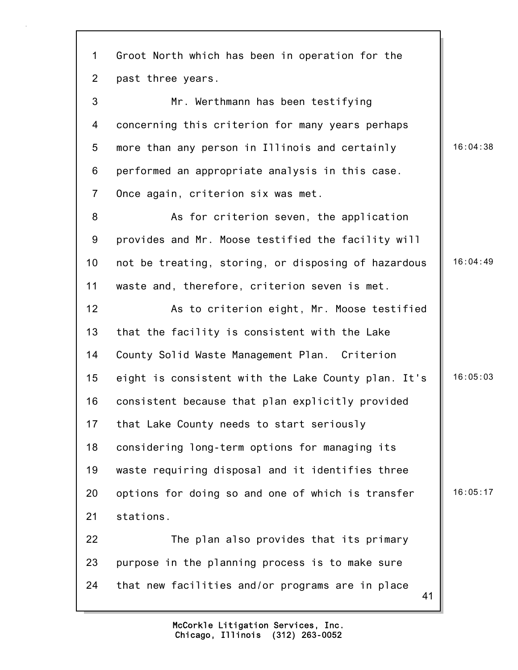41 1 Groot North which has been in operation for the 2 past three years. 3 Mr. Werthmann has been testifying 4 concerning this criterion for many years perhaps 5 more than any person in Illinois and certainly 16:04:38 6 performed an appropriate analysis in this case. 7 Once again, criterion six was met. 8 As for criterion seven, the application 9 provides and Mr. Moose testified the facility will 10 not be treating, storing, or disposing of hazardous | 16:04:49 11 waste and, therefore, criterion seven is met. 12 As to criterion eight, Mr. Moose testified 13 that the facility is consistent with the Lake 14 County Solid Waste Management Plan. Criterion 15 eight is consistent with the Lake County plan. It's 16:05:03 16 consistent because that plan explicitly provided 17 that Lake County needs to start seriously 18 considering long-term options for managing its 19 waste requiring disposal and it identifies three 20 options for doing so and one of which is transfer  $\parallel$  16:05:17 21 stations. 22 The plan also provides that its primary 23 purpose in the planning process is to make sure 24 that new facilities and/or programs are in place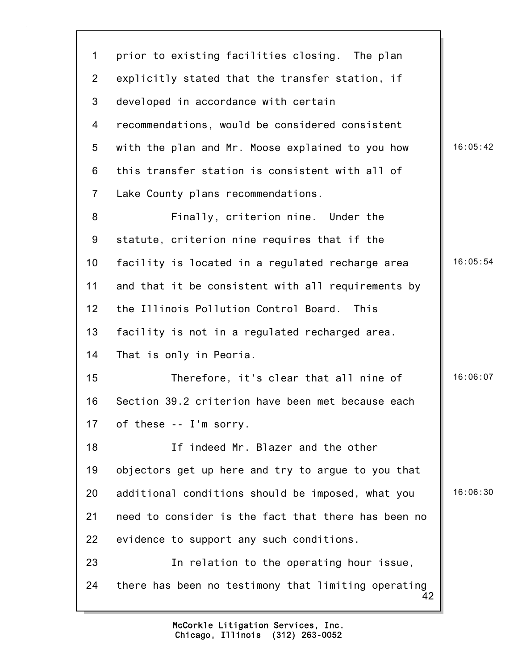42 1 prior to existing facilities closing. The plan 2 explicitly stated that the transfer station, if 3 developed in accordance with certain 4 recommendations, would be considered consistent 5 with the plan and Mr. Moose explained to you how | 16:05:42 6 this transfer station is consistent with all of 7 Lake County plans recommendations. 8 Finally, criterion nine. Under the 9 statute, criterion nine requires that if the 10 facility is located in a regulated recharge area 16:05:54 11 and that it be consistent with all requirements by 12 the Illinois Pollution Control Board. This 13 facility is not in a regulated recharged area. 14 That is only in Peoria. 15 Therefore, it's clear that all nine of 16:06:07 16 Section 39.2 criterion have been met because each 17 of these -- I'm sorry. 18 If indeed Mr. Blazer and the other 19 objectors get up here and try to argue to you that 20 additional conditions should be imposed, what you  $\parallel$  16:06:30 21 need to consider is the fact that there has been no 22 evidence to support any such conditions. 23 In relation to the operating hour issue, 24 there has been no testimony that limiting operating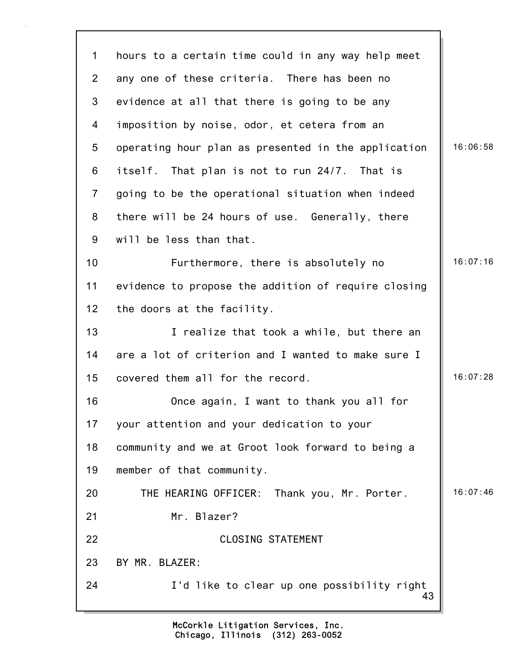| $\mathbf 1$     | hours to a certain time could in any way help meet  |          |
|-----------------|-----------------------------------------------------|----------|
| $\overline{2}$  | any one of these criteria. There has been no        |          |
| 3               | evidence at all that there is going to be any       |          |
| 4               | imposition by noise, odor, et cetera from an        |          |
| 5               | operating hour plan as presented in the application | 16:06:58 |
| 6               | itself. That plan is not to run 24/7. That is       |          |
| $\overline{7}$  | going to be the operational situation when indeed   |          |
| 8               | there will be 24 hours of use. Generally, there     |          |
| 9               | will be less than that.                             |          |
| 10              | Furthermore, there is absolutely no                 | 16:07:16 |
| 11              | evidence to propose the addition of require closing |          |
| 12 <sub>2</sub> | the doors at the facility.                          |          |
| 13              | I realize that took a while, but there an           |          |
| 14              | are a lot of criterion and I wanted to make sure I  |          |
| 15              | covered them all for the record.                    | 16:07:28 |
| 16              | Once again, I want to thank you all for             |          |
| 17              | your attention and your dedication to your          |          |
| 18              | community and we at Groot look forward to being a   |          |
| 19              | member of that community.                           |          |
| 20              | THE HEARING OFFICER: Thank you, Mr. Porter.         | 16:07:46 |
| 21              | Mr. Blazer?                                         |          |
| 22              | <b>CLOSING STATEMENT</b>                            |          |
| 23              | BY MR. BLAZER:                                      |          |
| 24              | I'd like to clear up one possibility right<br>43    |          |
|                 |                                                     |          |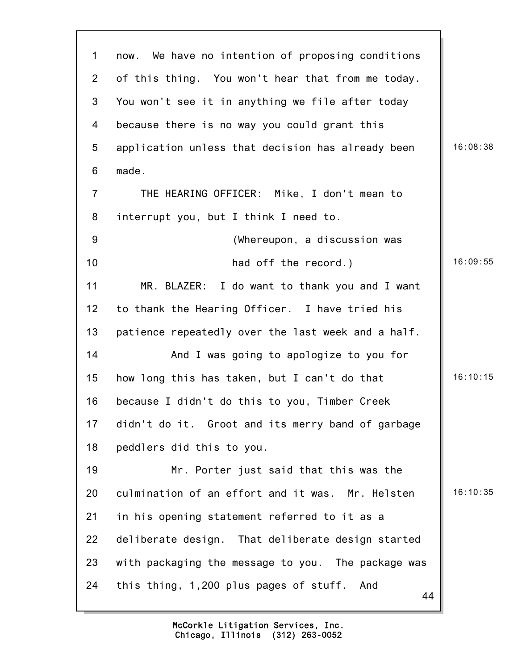| $\mathbf 1$    | We have no intention of proposing conditions<br>now. |          |
|----------------|------------------------------------------------------|----------|
| $\overline{2}$ | of this thing. You won't hear that from me today.    |          |
| 3              | You won't see it in anything we file after today     |          |
| 4              | because there is no way you could grant this         |          |
| 5              | application unless that decision has already been    | 16:08:38 |
| 6              | made.                                                |          |
| $\overline{7}$ | THE HEARING OFFICER: Mike, I don't mean to           |          |
| 8              | interrupt you, but I think I need to.                |          |
| 9              | (Whereupon, a discussion was                         |          |
| 10             | had off the record.)                                 | 16:09:55 |
| 11             | MR. BLAZER: I do want to thank you and I want        |          |
| 12             | to thank the Hearing Officer. I have tried his       |          |
| 13             | patience repeatedly over the last week and a half.   |          |
| 14             | And I was going to apologize to you for              |          |
| 15             | how long this has taken, but I can't do that         | 16:10:15 |
| 16             | because I didn't do this to you, Timber Creek        |          |
| 17             | didn't do it. Groot and its merry band of garbage    |          |
| 18             | peddlers did this to you.                            |          |
| 19             | Mr. Porter just said that this was the               |          |
| 20             | culmination of an effort and it was. Mr. Helsten     | 16:10:35 |
| 21             | in his opening statement referred to it as a         |          |
| 22             | deliberate design. That deliberate design started    |          |
| 23             | with packaging the message to you. The package was   |          |
| 24             | this thing, 1,200 plus pages of stuff. And<br>44     |          |
|                |                                                      |          |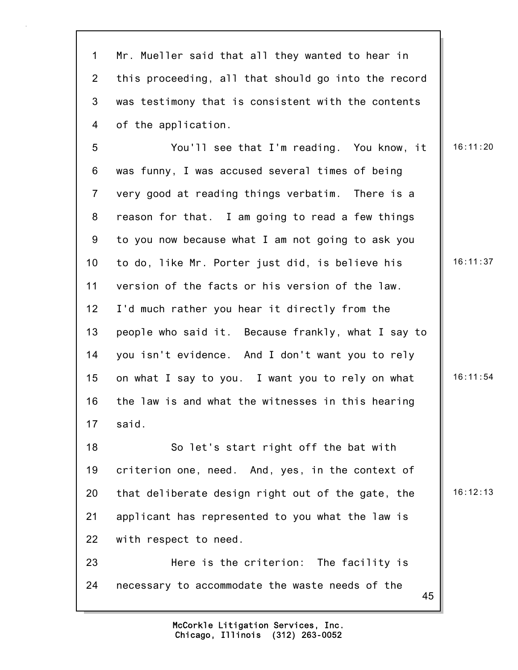1 Mr. Mueller said that all they wanted to hear in 2 this proceeding, all that should go into the record 3 was testimony that is consistent with the contents 4 of the application.

5 You'll see that I'm reading. You know, it | 16:11:20 6 was funny, I was accused several times of being 7 very good at reading things verbatim. There is a 8 reason for that. I am going to read a few things 9 to you now because what I am not going to ask you 10 to do, like Mr. Porter just did, is believe his  $\parallel$  16:11:37 11 version of the facts or his version of the law. 12 I'd much rather you hear it directly from the 13 people who said it. Because frankly, what I say to 14 you isn't evidence. And I don't want you to rely 15 on what I say to you. I want you to rely on what  $\parallel$  16:11:54 16 the law is and what the witnesses in this hearing 17 said. 18 So let's start right off the bat with 19 criterion one, need. And, yes, in the context of

20 that deliberate design right out of the gate, the  $\parallel$  16:12:13 21 applicant has represented to you what the law is 22 with respect to need.

23 Here is the criterion: The facility is 24 necessary to accommodate the waste needs of the

> Chicago, Illinois (312) 263-0052 McCorkle Litigation Services, Inc.

45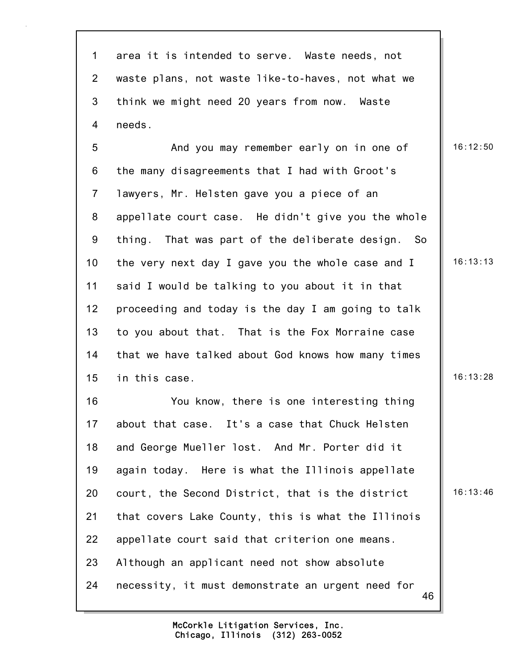46 1 area it is intended to serve. Waste needs, not 2 waste plans, not waste like-to-haves, not what we 3 think we might need 20 years from now. Waste 4 needs. 5 And you may remember early on in one of 16:12:50 6 the many disagreements that I had with Groot's 7 lawyers, Mr. Helsten gave you a piece of an 8 appellate court case. He didn't give you the whole 9 thing. That was part of the deliberate design. So 10 the very next day I gave you the whole case and I 16:13:13 11 said I would be talking to you about it in that 12 proceeding and today is the day I am going to talk 13 to you about that. That is the Fox Morraine case 14 that we have talked about God knows how many times 15 in this case. 15 and 16:13:28 16 You know, there is one interesting thing 17 about that case. It's a case that Chuck Helsten 18 and George Mueller lost. And Mr. Porter did it 19 again today. Here is what the Illinois appellate 20 court, the Second District, that is the district | 16:13:46 21 that covers Lake County, this is what the Illinois 22 appellate court said that criterion one means. 23 Although an applicant need not show absolute 24 necessity, it must demonstrate an urgent need for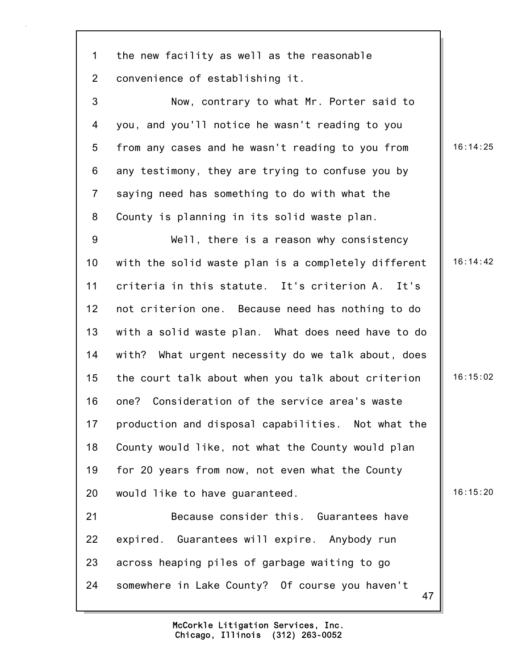1 the new facility as well as the reasonable 2 convenience of establishing it.

3 Now, contrary to what Mr. Porter said to 4 you, and you'll notice he wasn't reading to you 5 from any cases and he wasn't reading to you from | 16:14:25 6 any testimony, they are trying to confuse you by 7 saying need has something to do with what the 8 County is planning in its solid waste plan.

9 Well, there is a reason why consistency 10 with the solid waste plan is a completely different 16:14:42 11 criteria in this statute. It's criterion A. It's 12 not criterion one. Because need has nothing to do 13 with a solid waste plan. What does need have to do 14 with? What urgent necessity do we talk about, does 15 the court talk about when you talk about criterion | 16:15:02 16 one? Consideration of the service area's waste 17 production and disposal capabilities. Not what the 18 County would like, not what the County would plan 19 for 20 years from now, not even what the County 20 would like to have quaranteed. 16:15:20 21 Because consider this. Guarantees have 22 expired. Guarantees will expire. Anybody run 23 across heaping piles of garbage waiting to go 24 somewhere in Lake County? Of course you haven't

47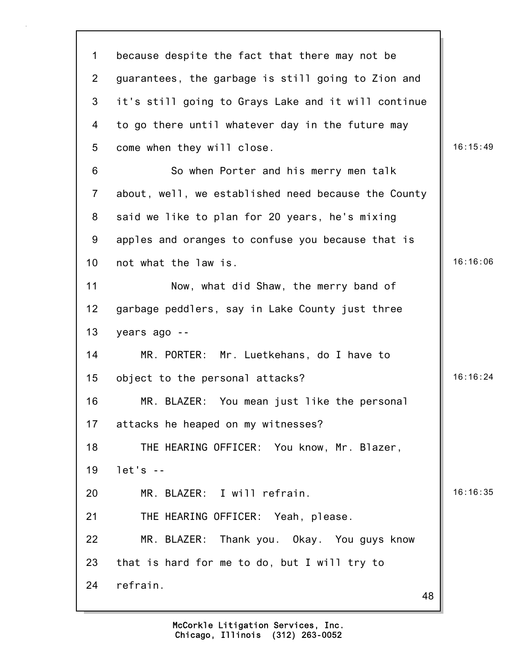| $\mathbf 1$     | because despite the fact that there may not be      |          |
|-----------------|-----------------------------------------------------|----------|
| $\overline{2}$  | guarantees, the garbage is still going to Zion and  |          |
| 3               | it's still going to Grays Lake and it will continue |          |
| 4               | to go there until whatever day in the future may    |          |
| 5               | come when they will close.                          | 16:15:49 |
| 6               | So when Porter and his merry men talk               |          |
| $\overline{7}$  | about, well, we established need because the County |          |
| 8               | said we like to plan for 20 years, he's mixing      |          |
| 9               | apples and oranges to confuse you because that is   |          |
| 10              | not what the law is.                                | 16:16:06 |
| 11              | Now, what did Shaw, the merry band of               |          |
| 12 <sub>2</sub> | garbage peddlers, say in Lake County just three     |          |
| 13              | years ago --                                        |          |
| 14              | MR. PORTER: Mr. Luetkehans, do I have to            |          |
| 15              | object to the personal attacks?                     | 16:16:24 |
| 16              | MR. BLAZER: You mean just like the personal         |          |
| 17              | attacks he heaped on my witnesses?                  |          |
| 18              | THE HEARING OFFICER: You know, Mr. Blazer,          |          |
| 19              | $let's - -$                                         |          |
| 20              | MR. BLAZER: I will refrain.                         | 16:16:35 |
| 21              | THE HEARING OFFICER: Yeah, please.                  |          |
| 22              | MR. BLAZER: Thank you. Okay. You guys know          |          |
| 23              | that is hard for me to do, but I will try to        |          |
| 24              | refrain.<br>48                                      |          |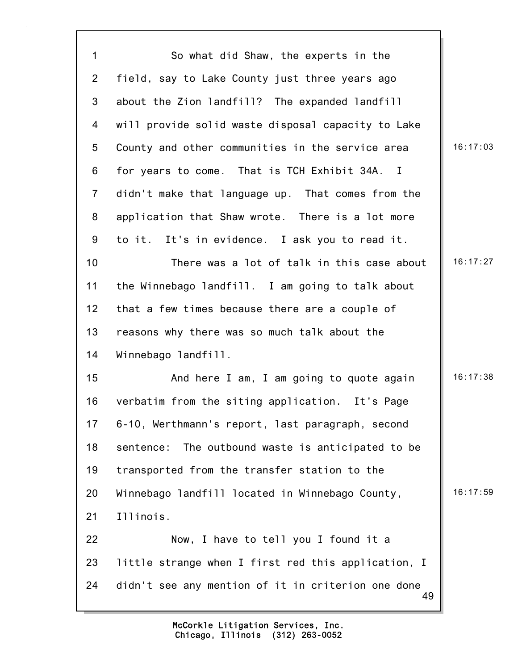| $\mathbf{1}$    | So what did Shaw, the experts in the                     |          |
|-----------------|----------------------------------------------------------|----------|
| $\overline{2}$  | field, say to Lake County just three years ago           |          |
| 3               | about the Zion landfill? The expanded landfill           |          |
| 4               | will provide solid waste disposal capacity to Lake       |          |
| 5               | County and other communities in the service area         | 16:17:03 |
| 6               | for years to come. That is TCH Exhibit 34A. I            |          |
| $\overline{7}$  | didn't make that language up. That comes from the        |          |
| 8               | application that Shaw wrote. There is a lot more         |          |
| 9               | to it. It's in evidence. I ask you to read it.           |          |
| 10 <sub>1</sub> | There was a lot of talk in this case about               | 16:17:27 |
| 11              | the Winnebago landfill. I am going to talk about         |          |
| 12 <sub>2</sub> | that a few times because there are a couple of           |          |
| 13              | reasons why there was so much talk about the             |          |
| 14              | Winnebago landfill.                                      |          |
| 15              | And here I am, I am going to quote again                 | 16:17:38 |
| 16              | verbatim from the siting application. It's Page          |          |
| 17              | 6-10, Werthmann's report, last paragraph, second         |          |
| 18              | sentence: The outbound waste is anticipated to be        |          |
| 19              | transported from the transfer station to the             |          |
| 20              | Winnebago landfill located in Winnebago County,          | 16:17:59 |
| 21              | Illinois.                                                |          |
| 22              | Now, I have to tell you I found it a                     |          |
| 23              | little strange when I first red this application, I      |          |
| 24              | didn't see any mention of it in criterion one done<br>49 |          |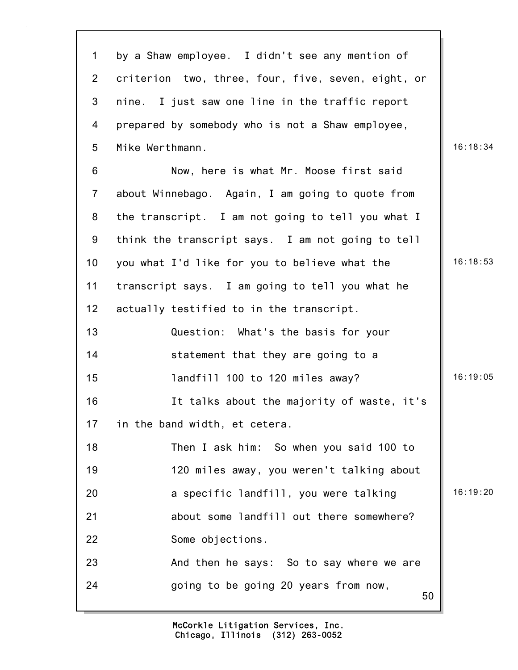| $\mathbf 1$     | by a Shaw employee. I didn't see any mention of    |          |
|-----------------|----------------------------------------------------|----------|
| $\overline{2}$  | criterion two, three, four, five, seven, eight, or |          |
| 3               | nine. I just saw one line in the traffic report    |          |
| 4               | prepared by somebody who is not a Shaw employee,   |          |
| 5               | Mike Werthmann.                                    | 16:18:34 |
| 6               | Now, here is what Mr. Moose first said             |          |
| $\overline{7}$  | about Winnebago. Again, I am going to quote from   |          |
| 8               | the transcript. I am not going to tell you what I  |          |
| 9               | think the transcript says. I am not going to tell  |          |
| 10 <sub>1</sub> | you what I'd like for you to believe what the      | 16:18:53 |
| 11              | transcript says. I am going to tell you what he    |          |
| 12 <sub>2</sub> | actually testified to in the transcript.           |          |
| 13              | Question: What's the basis for your                |          |
| 14              | statement that they are going to a                 |          |
| 15              | landfill 100 to 120 miles away?                    | 16:19:05 |
| 16              | It talks about the majority of waste, it's         |          |
| 17              | in the band width, et cetera.                      |          |
| 18              | Then I ask him: So when you said 100 to            |          |
| 19              | 120 miles away, you weren't talking about          |          |
| 20              | a specific landfill, you were talking              | 16:19:20 |
| 21              | about some landfill out there somewhere?           |          |
| 22              | Some objections.                                   |          |
| 23              | And then he says: So to say where we are           |          |
| 24              | going to be going 20 years from now,<br>50         |          |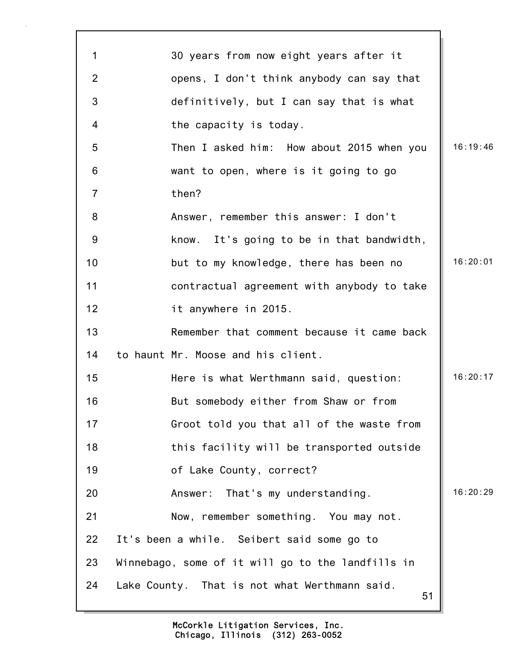| 1              | 30 years from now eight years after it              |          |
|----------------|-----------------------------------------------------|----------|
| $\overline{2}$ | opens, I don't think anybody can say that           |          |
| 3              | definitively, but I can say that is what            |          |
| 4              | the capacity is today.                              |          |
| 5              | Then I asked him: How about 2015 when you           | 16:19:46 |
| 6              | want to open, where is it going to go               |          |
| $\overline{7}$ | then?                                               |          |
| 8              | Answer, remember this answer: I don't               |          |
| 9              | know. It's going to be in that bandwidth,           |          |
| 10             | but to my knowledge, there has been no              | 16:20:01 |
| 11             | contractual agreement with anybody to take          |          |
| 12             | it anywhere in 2015.                                |          |
| 13             | Remember that comment because it came back          |          |
| 14             | to haunt Mr. Moose and his client.                  |          |
| 15             | Here is what Werthmann said, question:              | 16:20:17 |
| 16             | But somebody either from Shaw or from               |          |
| 17             | Groot told you that all of the waste from           |          |
| 18             | this facility will be transported outside           |          |
| 19             | of Lake County, correct?                            |          |
| 20             | Answer: That's my understanding.                    | 16:20:29 |
| 21             | Now, remember something. You may not.               |          |
| 22             | It's been a while. Seibert said some go to          |          |
| 23             | Winnebago, some of it will go to the landfills in   |          |
| 24             | Lake County. That is not what Werthmann said.<br>51 |          |

٦Ì,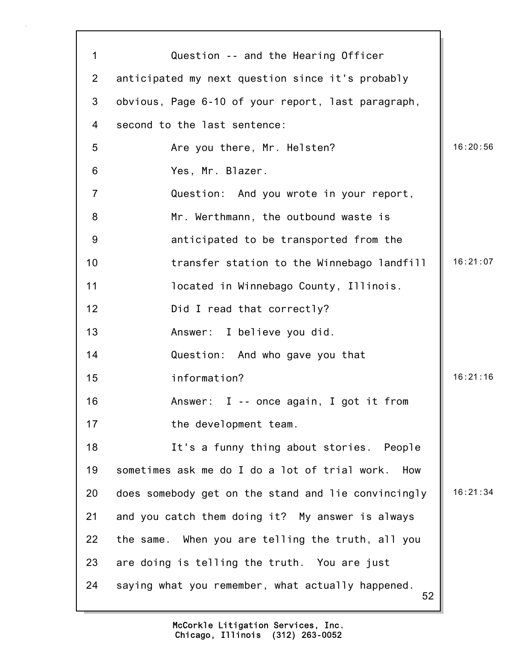| 1              | Question -- and the Hearing Officer                     |          |
|----------------|---------------------------------------------------------|----------|
| $\overline{2}$ | anticipated my next question since it's probably        |          |
| 3              | obvious, Page 6-10 of your report, last paragraph,      |          |
| 4              | second to the last sentence:                            |          |
| 5              | Are you there, Mr. Helsten?                             | 16:20:56 |
| 6              | Yes, Mr. Blazer.                                        |          |
| $\overline{7}$ | Question: And you wrote in your report,                 |          |
| 8              | Mr. Werthmann, the outbound waste is                    |          |
| $9\,$          | anticipated to be transported from the                  |          |
| 10             | transfer station to the Winnebago landfill              | 16:21:07 |
| 11             | located in Winnebago County, Illinois.                  |          |
| 12             | Did I read that correctly?                              |          |
| 13             | Answer: I believe you did.                              |          |
| 14             | Question: And who gave you that                         |          |
| 15             | information?                                            | 16:21:16 |
| 16             | Answer: $I -$ once again, I got it from                 |          |
| 17             | the development team.                                   |          |
| 18             | It's a funny thing about stories. People                |          |
| 19             | sometimes ask me do I do a lot of trial work.<br>How    |          |
| 20             | does somebody get on the stand and lie convincingly     | 16:21:34 |
| 21             | and you catch them doing it? My answer is always        |          |
| 22             | the same. When you are telling the truth, all you       |          |
| 23             | are doing is telling the truth. You are just            |          |
| 24             | saying what you remember, what actually happened.<br>52 |          |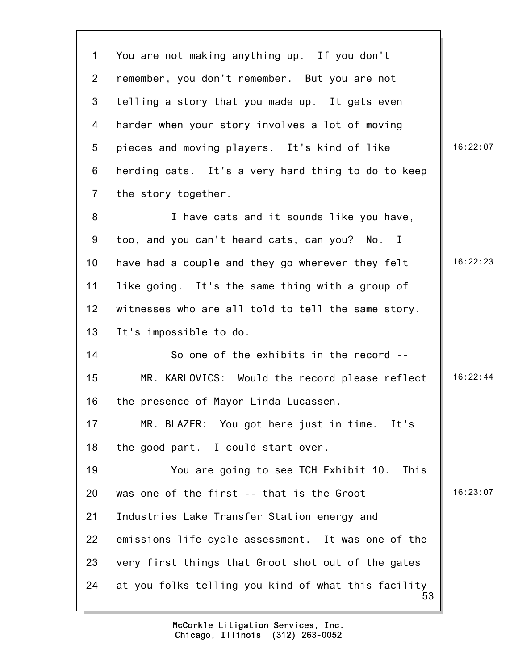53 1 You are not making anything up. If you don't 2 remember, you don't remember. But you are not 3 telling a story that you made up. It gets even 4 harder when your story involves a lot of moving 5 pieces and moving players. It's kind of like 16:22:07 6 herding cats. It's a very hard thing to do to keep 7 the story together. 8 I have cats and it sounds like you have, 9 too, and you can't heard cats, can you? No. I 10 have had a couple and they go wherever they felt  $\parallel$  16:22:23 11 like going. It's the same thing with a group of 12 witnesses who are all told to tell the same story. 13 It's impossible to do. 14 So one of the exhibits in the record -- 15 MR. KARLOVICS: Would the record please reflect | 16:22:44 16 the presence of Mayor Linda Lucassen. 17 MR. BLAZER: You got here just in time. It's 18 the good part. I could start over. 19 You are going to see TCH Exhibit 10. This 20 was one of the first  $-$ - that is the Groot  $\parallel$  16:23:07 21 Industries Lake Transfer Station energy and 22 emissions life cycle assessment. It was one of the 23 very first things that Groot shot out of the gates 24 at you folks telling you kind of what this facility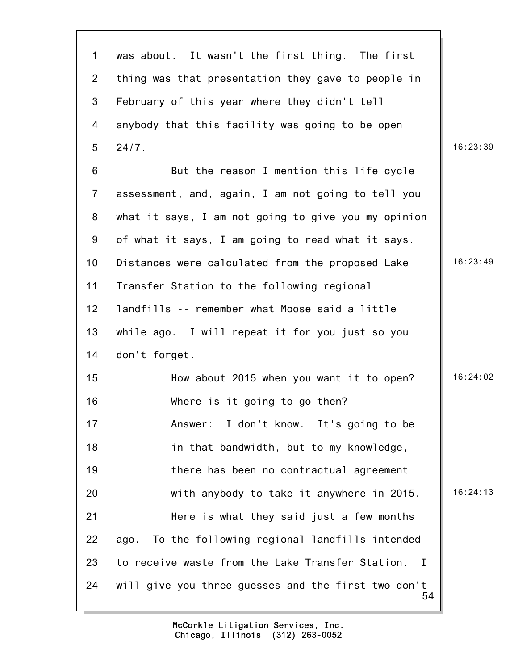| $\mathbf 1$     | was about. It wasn't the first thing. The first                  |          |
|-----------------|------------------------------------------------------------------|----------|
| $\overline{2}$  | thing was that presentation they gave to people in               |          |
| 3               | February of this year where they didn't tell                     |          |
| $\overline{4}$  | anybody that this facility was going to be open                  |          |
| 5               | 24/7.                                                            | 16:23:39 |
| 6               | But the reason I mention this life cycle                         |          |
| $\overline{7}$  | assessment, and, again, I am not going to tell you               |          |
| 8               | what it says, I am not going to give you my opinion              |          |
| 9               | of what it says, I am going to read what it says.                |          |
| 10 <sub>1</sub> | Distances were calculated from the proposed Lake                 | 16:23:49 |
| 11              | Transfer Station to the following regional                       |          |
| 12              | landfills -- remember what Moose said a little                   |          |
| 13              | while ago. I will repeat it for you just so you                  |          |
| 14              | don't forget.                                                    |          |
| 15              | How about 2015 when you want it to open?                         | 16:24:02 |
| 16              | Where is it going to go then?                                    |          |
| 17              | Answer: I don't know. It's going to be                           |          |
| 18              | in that bandwidth, but to my knowledge,                          |          |
| 19              | there has been no contractual agreement                          |          |
| 20              | with anybody to take it anywhere in 2015.                        | 16:24:13 |
| 21              | Here is what they said just a few months                         |          |
| 22              | ago. To the following regional landfills intended                |          |
| 23              | to receive waste from the Lake Transfer Station.<br>$\mathbf{I}$ |          |
| 24              | will give you three guesses and the first two don't<br>54        |          |

Г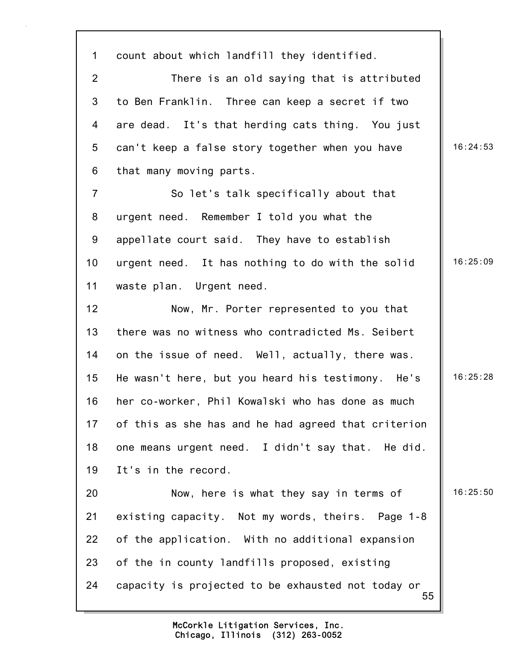55 1 count about which landfill they identified. 2 There is an old saying that is attributed 3 to Ben Franklin. Three can keep a secret if two 4 are dead. It's that herding cats thing. You just 5 can't keep a false story together when you have | 16:24:53 6 that many moving parts. 7 So let's talk specifically about that 8 urgent need. Remember I told you what the 9 appellate court said. They have to establish 10 urgent need. It has nothing to do with the solid | 16:25:09 11 waste plan. Urgent need. 12 Now, Mr. Porter represented to you that 13 there was no witness who contradicted Ms. Seibert 14 on the issue of need. Well, actually, there was. 15 He wasn't here, but you heard his testimony. He's 16:25:28 16 her co-worker, Phil Kowalski who has done as much 17 of this as she has and he had agreed that criterion 18 one means urgent need. I didn't say that. He did. 19 It's in the record. 20 Now, here is what they say in terms of 16:25:50 21 existing capacity. Not my words, theirs. Page 1-8 22 of the application. With no additional expansion 23 of the in county landfills proposed, existing 24 capacity is projected to be exhausted not today or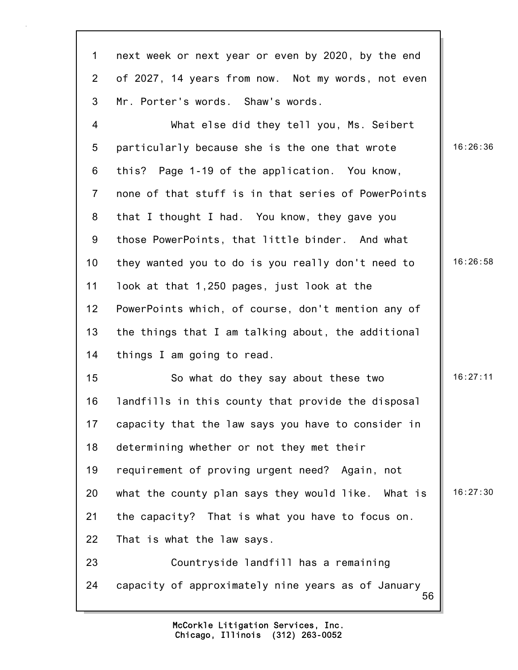| $\mathbf{1}$    | next week or next year or even by 2020, by the end       |          |
|-----------------|----------------------------------------------------------|----------|
| $2^{\circ}$     | of 2027, 14 years from now. Not my words, not even       |          |
| 3               | Mr. Porter's words. Shaw's words.                        |          |
| 4               | What else did they tell you, Ms. Seibert                 |          |
| $5\phantom{.0}$ | particularly because she is the one that wrote           | 16:26:36 |
| 6               | this? Page 1-19 of the application. You know,            |          |
| $\overline{7}$  | none of that stuff is in that series of PowerPoints      |          |
| 8               | that I thought I had. You know, they gave you            |          |
| 9               | those PowerPoints, that little binder. And what          |          |
| 10 <sub>1</sub> | they wanted you to do is you really don't need to        | 16:26:58 |
| 11              | look at that 1,250 pages, just look at the               |          |
| 12 <sub>2</sub> | PowerPoints which, of course, don't mention any of       |          |
| 13              | the things that I am talking about, the additional       |          |
| 14              | things I am going to read.                               |          |
| 15              | So what do they say about these two                      | 16:27:11 |
| 16              | landfills in this county that provide the disposal       |          |
| 17              | capacity that the law says you have to consider in       |          |
| 18              | determining whether or not they met their                |          |
| 19              | requirement of proving urgent need? Again, not           |          |
| 20              | what the county plan says they would like. What is       | 16:27:30 |
| 21              | the capacity? That is what you have to focus on.         |          |
| 22              | That is what the law says.                               |          |
| 23              | Countryside landfill has a remaining                     |          |
| 24              | capacity of approximately nine years as of January<br>56 |          |

Π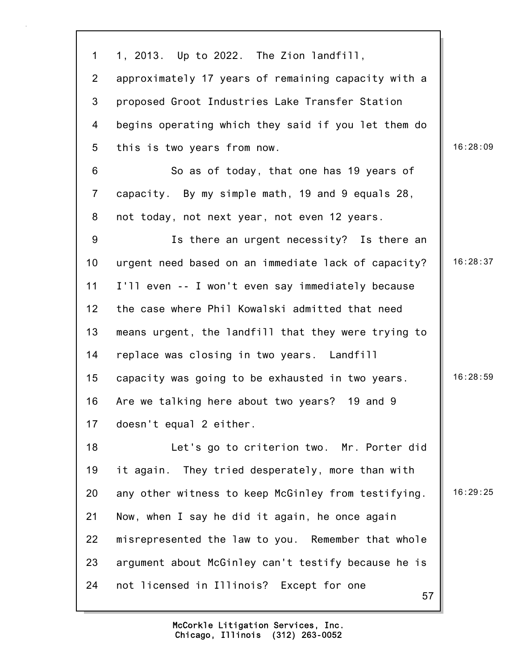57 1 1, 2013. Up to 2022. The Zion landfill, 2 approximately 17 years of remaining capacity with a 3 proposed Groot Industries Lake Transfer Station 4 begins operating which they said if you let them do 5 this is two years from now. 16:28:09 6 So as of today, that one has 19 years of 7 capacity. By my simple math, 19 and 9 equals 28, 8 not today, not next year, not even 12 years. 9 Is there an urgent necessity? Is there an 10 urgent need based on an immediate lack of capacity?  $\parallel$  16:28:37 11 I'll even -- I won't even say immediately because 12 the case where Phil Kowalski admitted that need 13 means urgent, the landfill that they were trying to 14 replace was closing in two years. Landfill 15 capacity was going to be exhausted in two years.  $\parallel$  16:28:59 16 Are we talking here about two years? 19 and 9 17 doesn't equal 2 either. 18 Let's go to criterion two. Mr. Porter did 19 it again. They tried desperately, more than with 20 any other witness to keep McGinley from testifying. | 16:29:25 21 Now, when I say he did it again, he once again 22 misrepresented the law to you. Remember that whole 23 argument about McGinley can't testify because he is 24 not licensed in Illinois? Except for one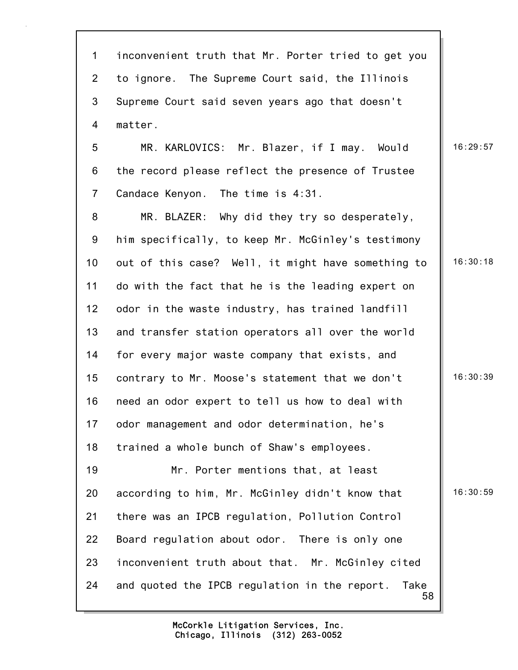| $\mathbf 1$    | inconvenient truth that Mr. Porter tried to get you         |          |
|----------------|-------------------------------------------------------------|----------|
| $\overline{2}$ | to ignore. The Supreme Court said, the Illinois             |          |
| 3              | Supreme Court said seven years ago that doesn't             |          |
| $\overline{4}$ | matter.                                                     |          |
| 5              | MR. KARLOVICS: Mr. Blazer, if I may. Would                  | 16:29:57 |
| 6              | the record please reflect the presence of Trustee           |          |
| $\overline{7}$ | Candace Kenyon. The time is 4:31.                           |          |
| 8              | MR. BLAZER: Why did they try so desperately,                |          |
| 9              | him specifically, to keep Mr. McGinley's testimony          |          |
| 10             | out of this case? Well, it might have something to          | 16:30:18 |
| 11             | do with the fact that he is the leading expert on           |          |
| 12             | odor in the waste industry, has trained landfill            |          |
| 13             | and transfer station operators all over the world           |          |
| 14             | for every major waste company that exists, and              |          |
| 15             | contrary to Mr. Moose's statement that we don't             | 16:30:39 |
| 16             | need an odor expert to tell us how to deal with             |          |
| 17             | odor management and odor determination, he's                |          |
| 18             | trained a whole bunch of Shaw's employees.                  |          |
| 19             | Mr. Porter mentions that, at least                          |          |
| 20             | according to him, Mr. McGinley didn't know that             | 16:30:59 |
| 21             | there was an IPCB regulation, Pollution Control             |          |
| 22             | Board regulation about odor. There is only one              |          |
| 23             | inconvenient truth about that. Mr. McGinley cited           |          |
| 24             | and quoted the IPCB regulation in the report.<br>Take<br>58 |          |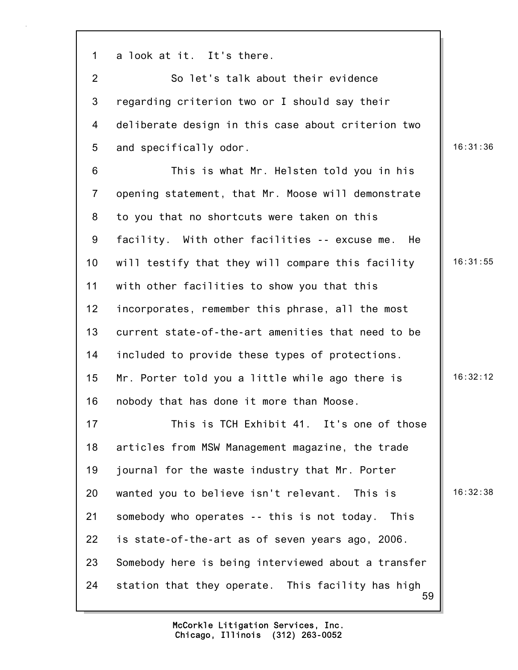1 a look at it. It's there.

2 So let's talk about their evidence 3 regarding criterion two or I should say their 4 deliberate design in this case about criterion two 5 and specifically odor. 16:31:36

6 This is what Mr. Helsten told you in his 7 opening statement, that Mr. Moose will demonstrate 8 to you that no shortcuts were taken on this 9 facility. With other facilities -- excuse me. He 10 will testify that they will compare this facility | 16:31:55 11 with other facilities to show you that this 12 incorporates, remember this phrase, all the most 13 current state-of-the-art amenities that need to be 14 included to provide these types of protections. 15 Mr. Porter told you a little while ago there is  $\parallel$  16:32:12 16 nobody that has done it more than Moose. 17 This is TCH Exhibit 41. It's one of those 18 articles from MSW Management magazine, the trade 19 journal for the waste industry that Mr. Porter 20 wanted you to believe isn't relevant. This is 16:32:38 21 somebody who operates -- this is not today. This 22 is state-of-the-art as of seven years ago, 2006. 23 Somebody here is being interviewed about a transfer

59 24 station that they operate. This facility has high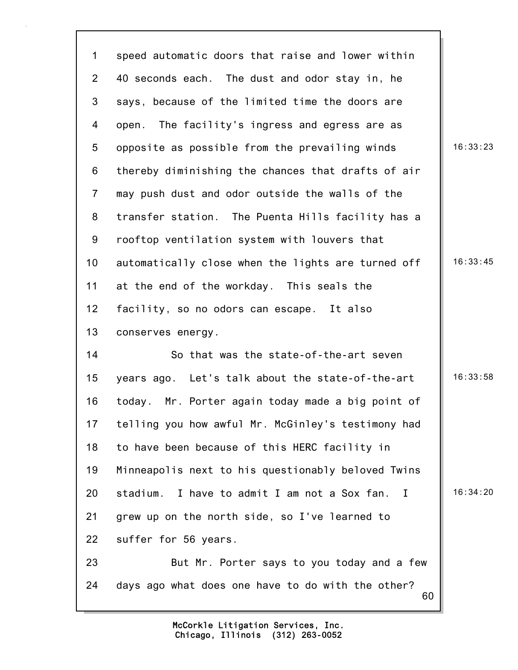| $\mathbf 1$     | speed automatic doors that raise and lower within               |          |
|-----------------|-----------------------------------------------------------------|----------|
| $\overline{2}$  | 40 seconds each. The dust and odor stay in, he                  |          |
| 3               | says, because of the limited time the doors are                 |          |
| 4               | The facility's ingress and egress are as<br>open.               |          |
| $5\overline{)}$ | opposite as possible from the prevailing winds                  | 16:33:23 |
| 6               | thereby diminishing the chances that drafts of air              |          |
| $\overline{7}$  | may push dust and odor outside the walls of the                 |          |
| 8               | transfer station. The Puenta Hills facility has a               |          |
| 9               | rooftop ventilation system with louvers that                    |          |
| 10 <sub>1</sub> | automatically close when the lights are turned off              | 16:33:45 |
| 11              | at the end of the workday. This seals the                       |          |
| 12 <sub>2</sub> | facility, so no odors can escape. It also                       |          |
| 13              | conserves energy.                                               |          |
| 14              | So that was the state-of-the-art seven                          |          |
| 15              | years ago. Let's talk about the state-of-the-art                | 16:33:58 |
| 16              | today. Mr. Porter again today made a big point of               |          |
| 17              | telling you how awful Mr. McGinley's testimony had              |          |
| 18              | to have been because of this HERC facility in                   |          |
| 19              | Minneapolis next to his questionably beloved Twins              |          |
| 20              | I have to admit I am not a Sox fan.<br>stadium.<br>$\mathbf{I}$ | 16:34:20 |
| 21              | grew up on the north side, so I've learned to                   |          |
| 22              | suffer for 56 years.                                            |          |
| 23              | But Mr. Porter says to you today and a few                      |          |
| 24              | days ago what does one have to do with the other?<br>60         |          |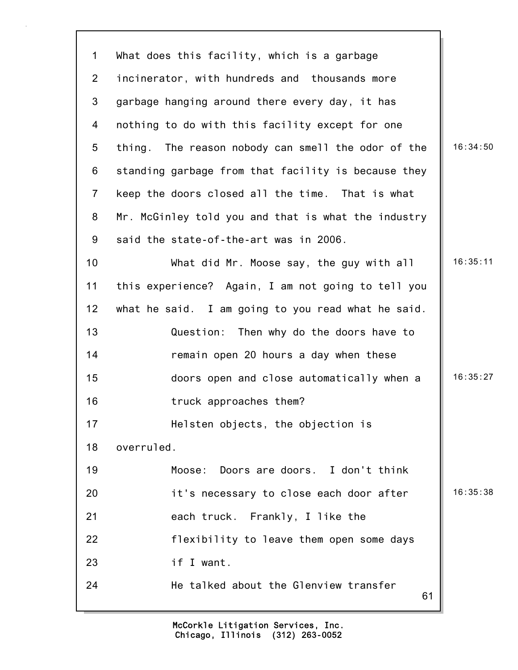| $\mathbf 1$    | What does this facility, which is a garbage         |          |
|----------------|-----------------------------------------------------|----------|
| $\overline{2}$ | incinerator, with hundreds and thousands more       |          |
| 3              | garbage hanging around there every day, it has      |          |
| 4              | nothing to do with this facility except for one     |          |
| 5              | thing. The reason nobody can smell the odor of the  | 16:34:50 |
| 6              | standing garbage from that facility is because they |          |
| $\overline{7}$ | keep the doors closed all the time. That is what    |          |
| 8              | Mr. McGinley told you and that is what the industry |          |
| 9              | said the state-of-the-art was in 2006.              |          |
| 10             | What did Mr. Moose say, the guy with all            | 16:35:11 |
| 11             | this experience? Again, I am not going to tell you  |          |
| 12             | what he said. I am going to you read what he said.  |          |
| 13             | Question: Then why do the doors have to             |          |
| 14             | remain open 20 hours a day when these               |          |
| 15             | doors open and close automatically when a           | 16:35:27 |
| 16             | truck approaches them?                              |          |
| 17             | Helsten objects, the objection is                   |          |
| 18             | overruled.                                          |          |
| 19             | Moose:<br>Doors are doors. I don't think            |          |
| 20             | it's necessary to close each door after             | 16:35:38 |
| 21             | each truck. Frankly, I like the                     |          |
| 22             | flexibility to leave them open some days            |          |
| 23             | if I want.                                          |          |
| 24             | He talked about the Glenview transfer<br>61         |          |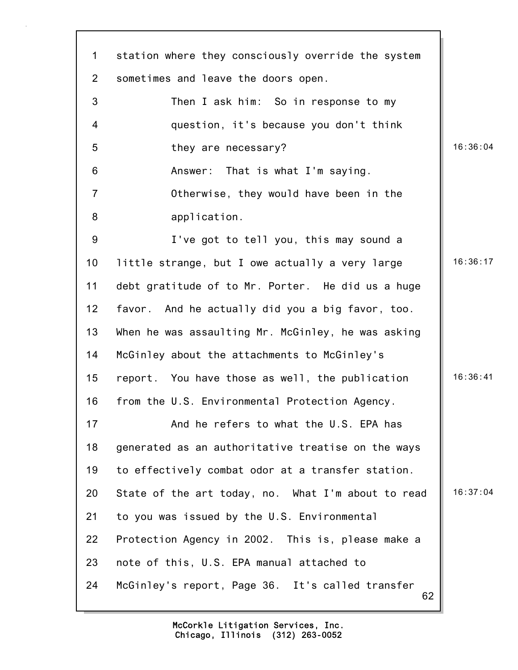| $\mathbf{1}$    | station where they consciously override the system     |          |
|-----------------|--------------------------------------------------------|----------|
| $\overline{2}$  | sometimes and leave the doors open.                    |          |
| 3               | Then I ask him: So in response to my                   |          |
| $\overline{4}$  | question, it's because you don't think                 |          |
| 5               | they are necessary?                                    | 16:36:04 |
| 6               | Answer: That is what I'm saying.                       |          |
| $\overline{7}$  | Otherwise, they would have been in the                 |          |
| 8               | application.                                           |          |
| 9               | I've got to tell you, this may sound a                 |          |
| 10 <sub>1</sub> | little strange, but I owe actually a very large        | 16:36:17 |
| 11              | debt gratitude of to Mr. Porter. He did us a huge      |          |
| 12              | favor. And he actually did you a big favor, too.       |          |
| 13              | When he was assaulting Mr. McGinley, he was asking     |          |
| 14              | McGinley about the attachments to McGinley's           |          |
| 15              | report. You have those as well, the publication        | 16:36:41 |
| 16              | from the U.S. Environmental Protection Agency.         |          |
| 17              | And he refers to what the U.S. EPA has                 |          |
| 18              | generated as an authoritative treatise on the ways     |          |
| 19              | to effectively combat odor at a transfer station.      |          |
| 20              | State of the art today, no. What I'm about to read     | 16:37:04 |
| 21              | to you was issued by the U.S. Environmental            |          |
| 22              | Protection Agency in 2002. This is, please make a      |          |
| 23              | note of this, U.S. EPA manual attached to              |          |
| 24              | McGinley's report, Page 36. It's called transfer<br>62 |          |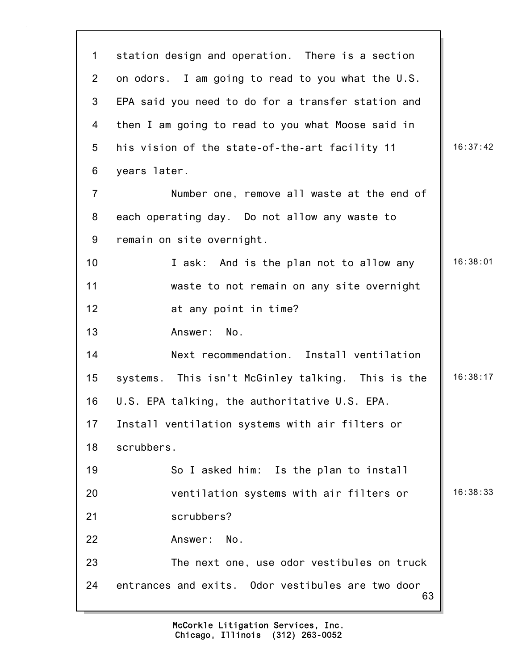| $\mathbf 1$     | station design and operation. There is a section        |          |
|-----------------|---------------------------------------------------------|----------|
| $\overline{2}$  | on odors. I am going to read to you what the U.S.       |          |
| 3               | EPA said you need to do for a transfer station and      |          |
| $\overline{4}$  | then I am going to read to you what Moose said in       |          |
| 5               | his vision of the state-of-the-art facility 11          | 16:37:42 |
| 6               | years later.                                            |          |
| $\overline{7}$  | Number one, remove all waste at the end of              |          |
| 8               | each operating day. Do not allow any waste to           |          |
| 9               | remain on site overnight.                               |          |
| 10 <sub>1</sub> | I ask: And is the plan not to allow any                 | 16:38:01 |
| 11              | waste to not remain on any site overnight               |          |
| 12              | at any point in time?                                   |          |
| 13              | Answer: No.                                             |          |
| 14              | Next recommendation. Install ventilation                |          |
| 15              | systems. This isn't McGinley talking. This is the       | 16:38:17 |
| 16              | U.S. EPA talking, the authoritative U.S. EPA.           |          |
| 17              | Install ventilation systems with air filters or         |          |
| 18              | scrubbers.                                              |          |
| 19              | So I asked him: Is the plan to install                  |          |
| 20              | ventilation systems with air filters or                 | 16:38:33 |
| 21              | scrubbers?                                              |          |
| 22              | Answer: No.                                             |          |
| 23              | The next one, use odor vestibules on truck              |          |
| 24              | entrances and exits. Odor vestibules are two door<br>63 |          |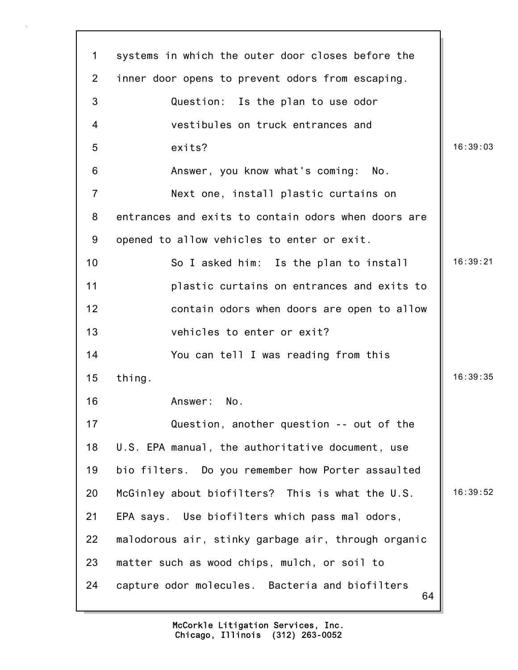| 1              | systems in which the outer door closes before the     |          |
|----------------|-------------------------------------------------------|----------|
| $\overline{2}$ | inner door opens to prevent odors from escaping.      |          |
| 3              | Question: Is the plan to use odor                     |          |
| 4              | vestibules on truck entrances and                     |          |
| 5              | exits?                                                | 16:39:03 |
| 6              | Answer, you know what's coming:<br>No.                |          |
| $\overline{7}$ | Next one, install plastic curtains on                 |          |
| 8              | entrances and exits to contain odors when doors are   |          |
| 9              | opened to allow vehicles to enter or exit.            |          |
| 10             | So I asked him: Is the plan to install                | 16:39:21 |
| 11             | plastic curtains on entrances and exits to            |          |
| 12             | contain odors when doors are open to allow            |          |
| 13             | vehicles to enter or exit?                            |          |
| 14             | You can tell I was reading from this                  |          |
| 15             | thing.                                                | 16:39:35 |
| 16             | No.<br>Answer:                                        |          |
| 17             | Question, another question -- out of the              |          |
| 18             | U.S. EPA manual, the authoritative document, use      |          |
| 19             | bio filters. Do you remember how Porter assaulted     |          |
| 20             | McGinley about biofilters? This is what the U.S.      | 16:39:52 |
| 21             | EPA says. Use biofilters which pass mal odors,        |          |
| 22             | malodorous air, stinky garbage air, through organic   |          |
| 23             | matter such as wood chips, mulch, or soil to          |          |
| 24             | capture odor molecules. Bacteria and biofilters<br>64 |          |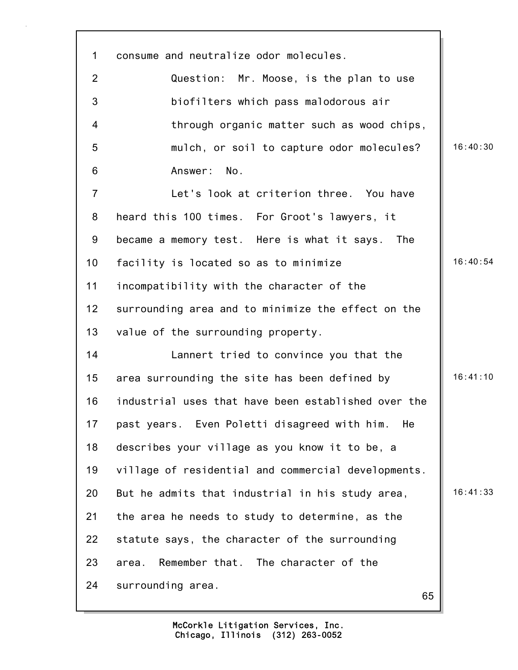| $\mathbf 1$    | consume and neutralize odor molecules.              |          |
|----------------|-----------------------------------------------------|----------|
| 2              | Question: Mr. Moose, is the plan to use             |          |
| 3              | biofilters which pass malodorous air                |          |
| 4              | through organic matter such as wood chips,          |          |
| 5              | mulch, or soil to capture odor molecules?           | 16:40:30 |
| 6              | Answer: No.                                         |          |
| $\overline{7}$ | Let's look at criterion three. You have             |          |
| 8              | heard this 100 times. For Groot's lawyers, it       |          |
| 9              | became a memory test. Here is what it says.<br>The  |          |
| 10             | facility is located so as to minimize               | 16:40:54 |
| 11             | incompatibility with the character of the           |          |
| 12             | surrounding area and to minimize the effect on the  |          |
| 13             | value of the surrounding property.                  |          |
| 14             | Lannert tried to convince you that the              |          |
| 15             | area surrounding the site has been defined by       | 16:41:10 |
| 16             | industrial uses that have been established over the |          |
| 17             | past years. Even Poletti disagreed with him.<br>He  |          |
| 18             | describes your village as you know it to be, a      |          |
| 19             | village of residential and commercial developments. |          |
| 20             | But he admits that industrial in his study area,    | 16:41:33 |
| 21             | the area he needs to study to determine, as the     |          |
| 22             | statute says, the character of the surrounding      |          |
| 23             | Remember that. The character of the<br>area.        |          |
| 24             | surrounding area.<br>65                             |          |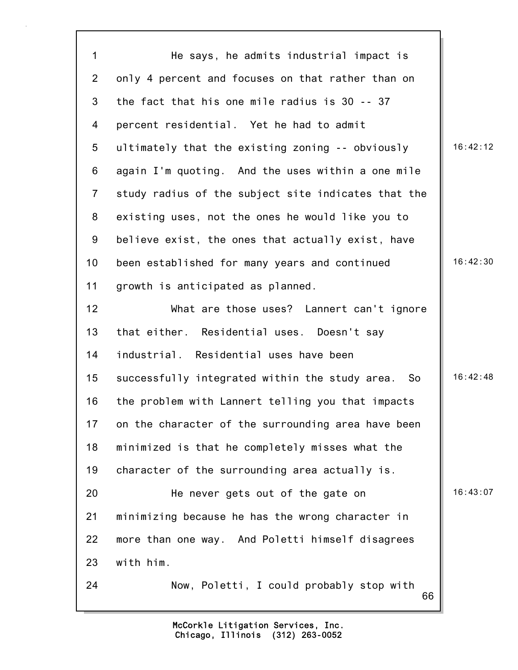66 1 He says, he admits industrial impact is 2 only 4 percent and focuses on that rather than on 3 the fact that his one mile radius is 30 -- 37 4 percent residential. Yet he had to admit 5 ultimately that the existing zoning -- obviously 16:42:12 6 again I'm quoting. And the uses within a one mile 7 study radius of the subject site indicates that the 8 existing uses, not the ones he would like you to 9 believe exist, the ones that actually exist, have 10 been established for many years and continued 16:42:30 11 growth is anticipated as planned. 12 What are those uses? Lannert can't ignore 13 that either. Residential uses. Doesn't say 14 industrial. Residential uses have been 15 successfully integrated within the study area. So  $\parallel$  16:42:48 16 the problem with Lannert telling you that impacts 17 on the character of the surrounding area have been 18 minimized is that he completely misses what the 19 character of the surrounding area actually is. 20 He never gets out of the gate on 16:43:07 21 minimizing because he has the wrong character in 22 more than one way. And Poletti himself disagrees 23 with him. 24 Now, Poletti, I could probably stop with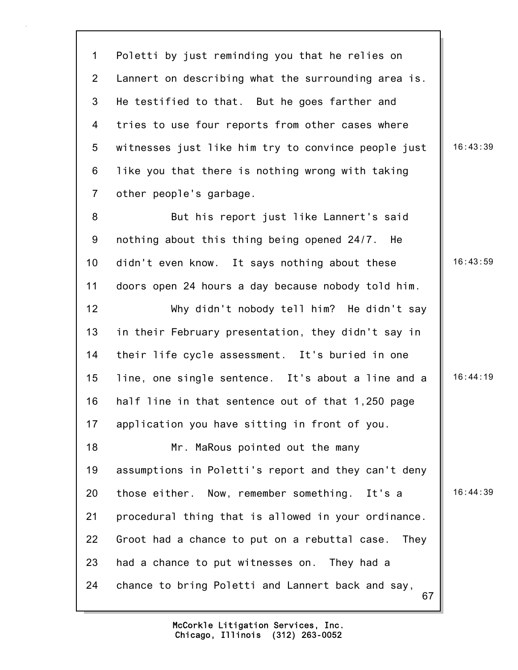1 Poletti by just reminding you that he relies on 2 Lannert on describing what the surrounding area is. 3 He testified to that. But he goes farther and 4 tries to use four reports from other cases where 5 witnesses just like him try to convince people just | 16:43:39 6 like you that there is nothing wrong with taking 7 other people's garbage.

8 But his report just like Lannert's said 9 nothing about this thing being opened 24/7. He 10 didn't even know. It says nothing about these | 16:43:59 11 doors open 24 hours a day because nobody told him. 12 Why didn't nobody tell him? He didn't say 13 in their February presentation, they didn't say in 14 their life cycle assessment. It's buried in one 15 line, one single sentence. It's about a line and a  $\parallel$  16:44:19 16 half line in that sentence out of that 1,250 page 17 application you have sitting in front of you.

67 18 Mr. MaRous pointed out the many 19 assumptions in Poletti's report and they can't deny 20 those either. Now, remember something. It's a 16:44:39 21 procedural thing that is allowed in your ordinance. 22 Groot had a chance to put on a rebuttal case. They 23 had a chance to put witnesses on. They had a 24 chance to bring Poletti and Lannert back and say,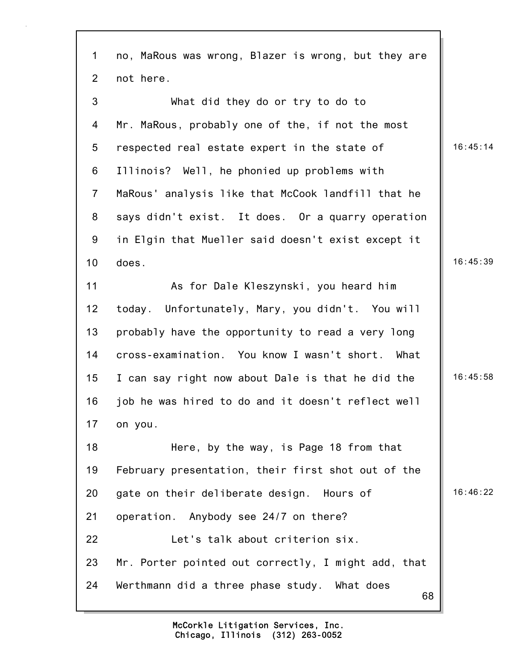68 1 no, MaRous was wrong, Blazer is wrong, but they are 2 not here. 3 What did they do or try to do to 4 Mr. MaRous, probably one of the, if not the most 5 respected real estate expert in the state of 16:45:14 6 Illinois? Well, he phonied up problems with 7 MaRous' analysis like that McCook landfill that he 8 says didn't exist. It does. Or a quarry operation 9 in Elgin that Mueller said doesn't exist except it  $10$  does.  $|$  16:45:39 11 As for Dale Kleszynski, you heard him 12 today. Unfortunately, Mary, you didn't. You will 13 probably have the opportunity to read a very long 14 cross-examination. You know I wasn't short. What 15 I can say right now about Dale is that he did the  $\parallel$  16:45:58 16 job he was hired to do and it doesn't reflect well 17 on you. 18 Here, by the way, is Page 18 from that 19 February presentation, their first shot out of the 20 gate on their deliberate design. Hours of  $\parallel$  16:46:22 21 operation. Anybody see 24/7 on there? 22 Let's talk about criterion six. 23 Mr. Porter pointed out correctly, I might add, that 24 Werthmann did a three phase study. What does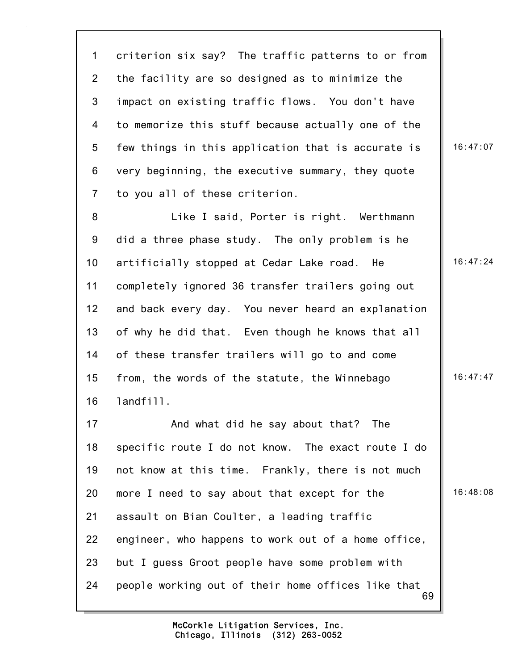1 criterion six say? The traffic patterns to or from 2 the facility are so designed as to minimize the 3 impact on existing traffic flows. You don't have 4 to memorize this stuff because actually one of the 5 few things in this application that is accurate is  $\parallel$  16:47:07 6 very beginning, the executive summary, they quote 7 to you all of these criterion.

8 Like I said, Porter is right. Werthmann 9 did a three phase study. The only problem is he 10 artificially stopped at Cedar Lake road. He 16:47:24 11 completely ignored 36 transfer trailers going out 12 and back every day. You never heard an explanation 13 of why he did that. Even though he knows that all 14 of these transfer trailers will go to and come 15 from, the words of the statute, the Winnebago 16:47:47 16 landfill.

69 17 And what did he say about that? The 18 specific route I do not know. The exact route I do 19 not know at this time. Frankly, there is not much 20 more I need to say about that except for the 16:48:08 21 assault on Bian Coulter, a leading traffic 22 engineer, who happens to work out of a home office, 23 but I guess Groot people have some problem with 24 people working out of their home offices like that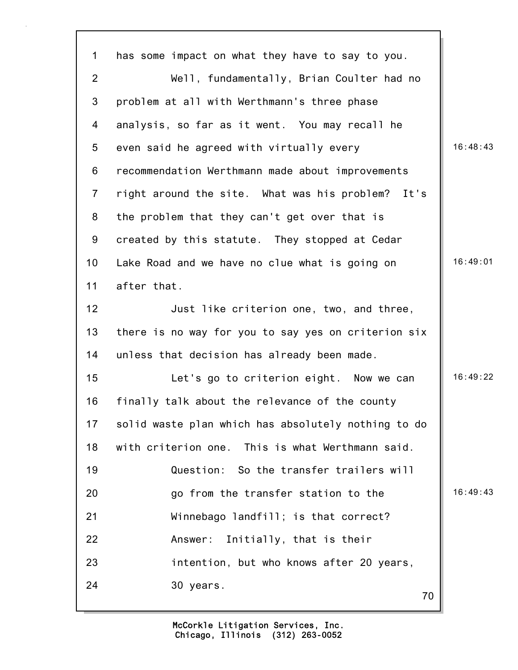| $\mathbf 1$     | has some impact on what they have to say to you.    |          |
|-----------------|-----------------------------------------------------|----------|
| $\overline{2}$  | Well, fundamentally, Brian Coulter had no           |          |
| 3               | problem at all with Werthmann's three phase         |          |
| 4               | analysis, so far as it went. You may recall he      |          |
| 5               | even said he agreed with virtually every            | 16:48:43 |
| 6               | recommendation Werthmann made about improvements    |          |
| $\overline{7}$  | right around the site. What was his problem? It's   |          |
| 8               | the problem that they can't get over that is        |          |
| 9               | created by this statute. They stopped at Cedar      |          |
| 10 <sub>1</sub> | Lake Road and we have no clue what is going on      | 16:49:01 |
| 11              | after that.                                         |          |
| 12              | Just like criterion one, two, and three,            |          |
| 13              | there is no way for you to say yes on criterion six |          |
| 14              | unless that decision has already been made.         |          |
| 15              | Let's go to criterion eight. Now we can             | 16:49:22 |
| 16              | finally talk about the relevance of the county      |          |
| 17              | solid waste plan which has absolutely nothing to do |          |
| 18              | with criterion one. This is what Werthmann said.    |          |
| 19              | Question: So the transfer trailers will             |          |
| 20              | go from the transfer station to the                 | 16:49:43 |
| 21              | Winnebago landfill; is that correct?                |          |
| 22              | Answer:<br>Initially, that is their                 |          |
| 23              | intention, but who knows after 20 years,            |          |
| 24              | 30 years.<br>70                                     |          |
|                 |                                                     |          |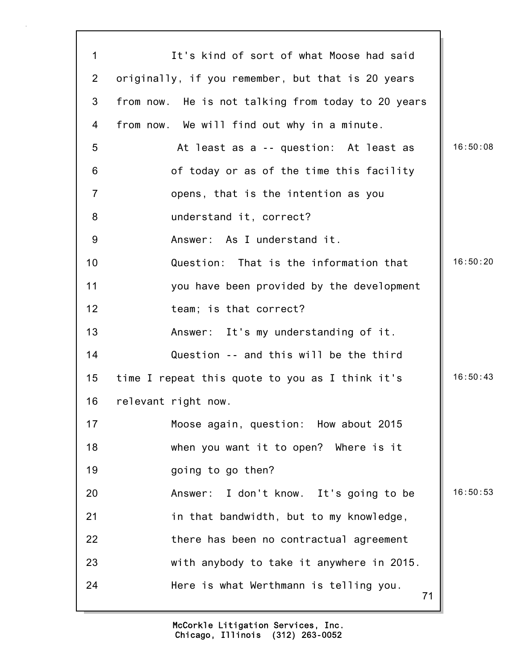| $\mathbf{1}$   | It's kind of sort of what Moose had said           |          |
|----------------|----------------------------------------------------|----------|
| $\overline{2}$ | originally, if you remember, but that is 20 years  |          |
| 3              | from now. He is not talking from today to 20 years |          |
| 4              | from now. We will find out why in a minute.        |          |
| 5              | At least as a -- question: At least as             | 16:50:08 |
| 6              | of today or as of the time this facility           |          |
| $\overline{7}$ | opens, that is the intention as you                |          |
| 8              | understand it, correct?                            |          |
| 9              | Answer: As I understand it.                        |          |
| 10             | Question: That is the information that             | 16:50:20 |
| 11             | you have been provided by the development          |          |
| 12             | team; is that correct?                             |          |
| 13             | Answer: It's my understanding of it.               |          |
| 14             | Question -- and this will be the third             |          |
| 15             | time I repeat this quote to you as I think it's    | 16:50:43 |
| 16             | relevant right now.                                |          |
| 17             | Moose again, question: How about 2015              |          |
| 18             | when you want it to open? Where is it              |          |
| 19             | going to go then?                                  |          |
| 20             | Answer: I don't know. It's going to be             | 16:50:53 |
| 21             | in that bandwidth, but to my knowledge,            |          |
| 22             | there has been no contractual agreement            |          |
| 23             | with anybody to take it anywhere in 2015.          |          |
| 24             | Here is what Werthmann is telling you.<br>71       |          |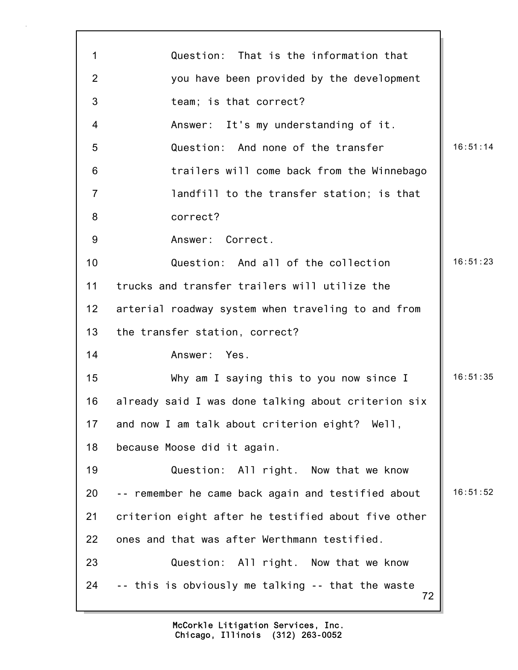| 1              | Question: That is the information that                  |          |
|----------------|---------------------------------------------------------|----------|
| 2              | you have been provided by the development               |          |
| 3              | team; is that correct?                                  |          |
| 4              | Answer: It's my understanding of it.                    |          |
| 5              | Question: And none of the transfer                      | 16:51:14 |
| 6              | trailers will come back from the Winnebago              |          |
| $\overline{7}$ | landfill to the transfer station; is that               |          |
| 8              | correct?                                                |          |
| 9              | Answer: Correct.                                        |          |
| 10             | Question: And all of the collection                     | 16:51:23 |
| 11             | trucks and transfer trailers will utilize the           |          |
| 12             | arterial roadway system when traveling to and from      |          |
| 13             | the transfer station, correct?                          |          |
| 14             | Answer: Yes.                                            |          |
| 15             | Why am I saying this to you now since I                 | 16:51:35 |
| 16             | already said I was done talking about criterion six     |          |
| 17             | and now I am talk about criterion eight? Well,          |          |
| 18             | because Moose did it again.                             |          |
| 19             | Question: All right. Now that we know                   |          |
| 20             | -- remember he came back again and testified about      | 16:51:52 |
| 21             | criterion eight after he testified about five other     |          |
| 22             | ones and that was after Werthmann testified.            |          |
| 23             | Question: All right. Now that we know                   |          |
| 24             | -- this is obviously me talking -- that the waste<br>72 |          |

٦Ì,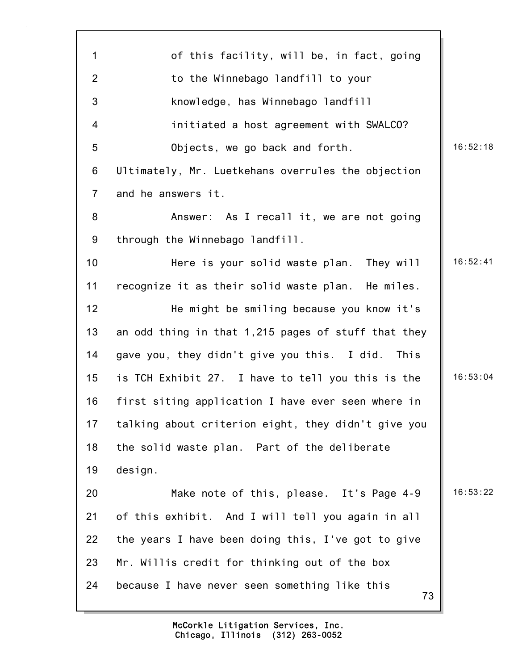| $\mathbf 1$    | of this facility, will be, in fact, going           |          |
|----------------|-----------------------------------------------------|----------|
| $\overline{2}$ | to the Winnebago landfill to your                   |          |
| $\mathfrak{S}$ | knowledge, has Winnebago landfill                   |          |
| 4              | initiated a host agreement with SWALCO?             |          |
| 5              | Objects, we go back and forth.                      | 16:52:18 |
| 6              | Ultimately, Mr. Luetkehans overrules the objection  |          |
| $\overline{7}$ | and he answers it.                                  |          |
| 8              | Answer: As I recall it, we are not going            |          |
| 9              | through the Winnebago landfill.                     |          |
| 10             | Here is your solid waste plan. They will            | 16:52:41 |
| 11             | recognize it as their solid waste plan. He miles.   |          |
| 12             | He might be smiling because you know it's           |          |
| 13             | an odd thing in that 1,215 pages of stuff that they |          |
| 14             | gave you, they didn't give you this. I did. This    |          |
| 15             | is TCH Exhibit 27. I have to tell you this is the   | 16:53:04 |
| 16             | first siting application I have ever seen where in  |          |
| 17             | talking about criterion eight, they didn't give you |          |
| 18             | the solid waste plan. Part of the deliberate        |          |
| 19             | design.                                             |          |
| 20             | Make note of this, please. It's Page 4-9            | 16:53:22 |
| 21             | of this exhibit. And I will tell you again in all   |          |
| 22             | the years I have been doing this, I've got to give  |          |
| 23             | Mr. Willis credit for thinking out of the box       |          |
| 24             | because I have never seen something like this<br>73 |          |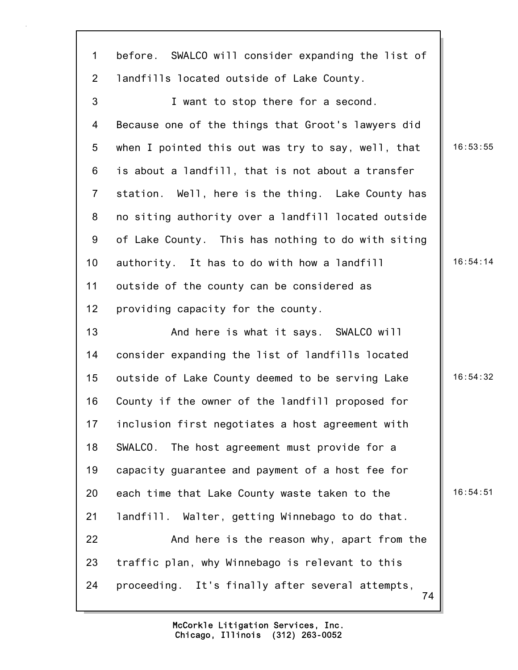| $\mathbf{1}$   | before. SWALCO will consider expanding the list of     |          |
|----------------|--------------------------------------------------------|----------|
| $\overline{2}$ | landfills located outside of Lake County.              |          |
| $\mathfrak{S}$ | I want to stop there for a second.                     |          |
| 4              | Because one of the things that Groot's lawyers did     |          |
| 5              | when I pointed this out was try to say, well, that     | 16:53:55 |
| $6\phantom{1}$ | is about a landfill, that is not about a transfer      |          |
| $\overline{7}$ | station. Well, here is the thing. Lake County has      |          |
| 8              | no siting authority over a landfill located outside    |          |
| 9              | of Lake County. This has nothing to do with siting     |          |
| 10             | authority. It has to do with how a landfill            | 16:54:14 |
| 11             | outside of the county can be considered as             |          |
| 12             | providing capacity for the county.                     |          |
| 13             | And here is what it says. SWALCO will                  |          |
| 14             | consider expanding the list of landfills located       |          |
| 15             | outside of Lake County deemed to be serving Lake       | 16:54:32 |
| 16             | County if the owner of the landfill proposed for       |          |
| 17             | inclusion first negotiates a host agreement with       |          |
| 18             | SWALCO. The host agreement must provide for a          |          |
| 19             | capacity quarantee and payment of a host fee for       |          |
| 20             | each time that Lake County waste taken to the          | 16:54:51 |
| 21             | landfill. Walter, getting Winnebago to do that.        |          |
| 22             | And here is the reason why, apart from the             |          |
| 23             | traffic plan, why Winnebago is relevant to this        |          |
| 24             | proceeding. It's finally after several attempts,<br>74 |          |
|                |                                                        |          |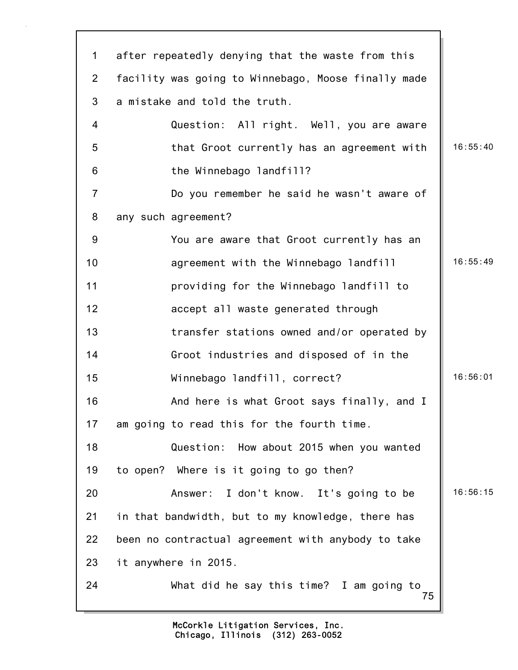| $\mathbf 1$    | after repeatedly denying that the waste from this   |          |
|----------------|-----------------------------------------------------|----------|
| $\overline{2}$ | facility was going to Winnebago, Moose finally made |          |
| 3              | a mistake and told the truth.                       |          |
| 4              | Question: All right. Well, you are aware            |          |
| 5              | that Groot currently has an agreement with          | 16:55:40 |
| 6              | the Winnebago landfill?                             |          |
| $\overline{7}$ | Do you remember he said he wasn't aware of          |          |
| 8              | any such agreement?                                 |          |
| 9              | You are aware that Groot currently has an           |          |
| 10             | agreement with the Winnebago landfill               | 16:55:49 |
| 11             | providing for the Winnebago landfill to             |          |
| 12             | accept all waste generated through                  |          |
| 13             | transfer stations owned and/or operated by          |          |
| 14             | Groot industries and disposed of in the             |          |
| 15             | Winnebago landfill, correct?                        | 16:56:01 |
| 16             | And here is what Groot says finally, and I          |          |
| 17             | am going to read this for the fourth time.          |          |
| 18             | Question: How about 2015 when you wanted            |          |
| 19             | to open? Where is it going to go then?              |          |
| 20             | Answer: I don't know. It's going to be              | 16:56:15 |
| 21             | in that bandwidth, but to my knowledge, there has   |          |
| 22             | been no contractual agreement with anybody to take  |          |
| 23             | it anywhere in 2015.                                |          |
| 24             | What did he say this time? I am going to<br>75      |          |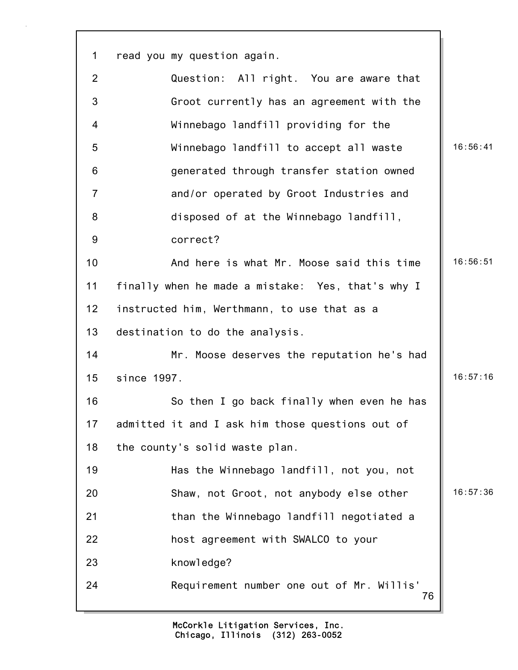76 1 read you my question again. 2 Question: All right. You are aware that 3 Groot currently has an agreement with the 4 Winnebago landfill providing for the 5 Winnebago landfill to accept all waste 16:56:41 6 generated through transfer station owned 7 and/or operated by Groot Industries and 8 disposed of at the Winnebago landfill, 9 correct? 10 **And here is what Mr. Moose said this time 16:56:51** 11 finally when he made a mistake: Yes, that's why I 12 instructed him, Werthmann, to use that as a 13 destination to do the analysis. 14 Mr. Moose deserves the reputation he's had 15 since 1997. 16:57:16 16 So then I go back finally when even he has 17 admitted it and I ask him those questions out of 18 the county's solid waste plan. 19 Has the Winnebago landfill, not you, not 20 Shaw, not Groot, not anybody else other 16:57:36 21 than the Winnebago landfill negotiated a 22 host agreement with SWALCO to your 23 knowledge? 24 Requirement number one out of Mr. Willis'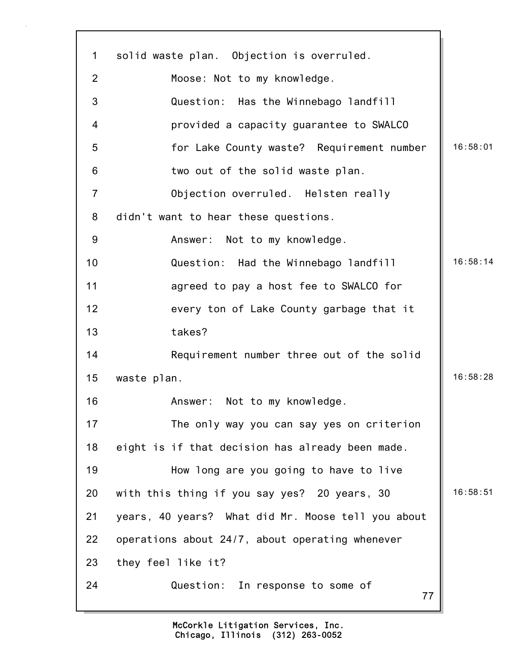| $\mathbf 1$    | solid waste plan. Objection is overruled.          |          |
|----------------|----------------------------------------------------|----------|
| $\overline{2}$ | Moose: Not to my knowledge.                        |          |
| 3              | Question: Has the Winnebago landfill               |          |
| 4              | provided a capacity guarantee to SWALCO            |          |
| 5              | for Lake County waste? Requirement number          | 16:58:01 |
| 6              | two out of the solid waste plan.                   |          |
| $\overline{7}$ | Objection overruled. Helsten really                |          |
| 8              | didn't want to hear these questions.               |          |
| 9              | Answer: Not to my knowledge.                       |          |
| 10             | Question: Had the Winnebago landfill               | 16:58:14 |
| 11             | agreed to pay a host fee to SWALCO for             |          |
| 12             | every ton of Lake County garbage that it           |          |
| 13             | takes?                                             |          |
| 14             | Requirement number three out of the solid          |          |
| 15             | waste plan.                                        | 16:58:28 |
| 16             | Not to my knowledge.<br>Answer:                    |          |
| 17             | The only way you can say yes on criterion          |          |
| 18             | eight is if that decision has already been made.   |          |
| 19             | How long are you going to have to live             |          |
| 20             | with this thing if you say yes? 20 years, 30       | 16:58:51 |
| 21             | years, 40 years? What did Mr. Moose tell you about |          |
| 22             | operations about 24/7, about operating whenever    |          |
| 23             | they feel like it?                                 |          |
| 24             | Question: In response to some of<br>77             |          |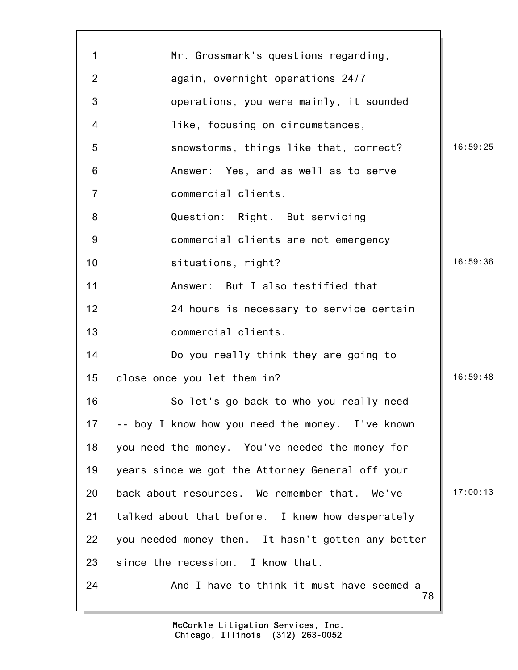| $\mathbf 1$    | Mr. Grossmark's questions regarding,               |          |
|----------------|----------------------------------------------------|----------|
| $\overline{2}$ | again, overnight operations 24/7                   |          |
| 3              | operations, you were mainly, it sounded            |          |
| $\overline{4}$ | like, focusing on circumstances,                   |          |
| 5              | snowstorms, things like that, correct?             | 16:59:25 |
| 6              | Answer: Yes, and as well as to serve               |          |
| $\overline{7}$ | commercial clients.                                |          |
| 8              | Question: Right. But servicing                     |          |
| 9              | commercial clients are not emergency               |          |
| 10             | situations, right?                                 | 16:59:36 |
| 11             | Answer: But I also testified that                  |          |
| 12             | 24 hours is necessary to service certain           |          |
| 13             | commercial clients.                                |          |
| 14             | Do you really think they are going to              |          |
| 15             | close once you let them in?                        | 16:59:48 |
| 16             | So let's go back to who you really need            |          |
| 17             | -- boy I know how you need the money. I've known   |          |
| 18             | you need the money. You've needed the money for    |          |
| 19             | years since we got the Attorney General off your   |          |
| 20             | back about resources. We remember that. We've      | 17:00:13 |
| 21             | talked about that before. I knew how desperately   |          |
| 22             | you needed money then. It hasn't gotten any better |          |
| 23             | since the recession. I know that.                  |          |
| 24             | And I have to think it must have seemed a<br>78    |          |
|                |                                                    |          |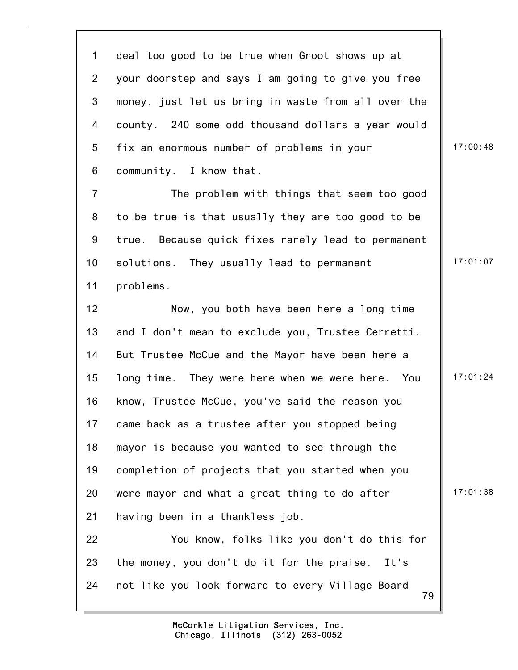79 1 deal too good to be true when Groot shows up at 2 your doorstep and says I am going to give you free 3 money, just let us bring in waste from all over the 4 county. 240 some odd thousand dollars a year would 5 fix an enormous number of problems in your | 17:00:48 6 community. I know that. 7 The problem with things that seem too good 8 to be true is that usually they are too good to be 9 true. Because quick fixes rarely lead to permanent 10 solutions. They usually lead to permanent | 17:01:07 11 problems. 12 Now, you both have been here a long time 13 and I don't mean to exclude you, Trustee Cerretti. 14 But Trustee McCue and the Mayor have been here a 15 long time. They were here when we were here. You | 17:01:24 16 know, Trustee McCue, you've said the reason you 17 came back as a trustee after you stopped being 18 mayor is because you wanted to see through the 19 completion of projects that you started when you 20 were mayor and what a great thing to do after  $\|\cdot\|^2$  17:01:38 21 having been in a thankless job. 22 You know, folks like you don't do this for 23 the money, you don't do it for the praise. It's 24 not like you look forward to every Village Board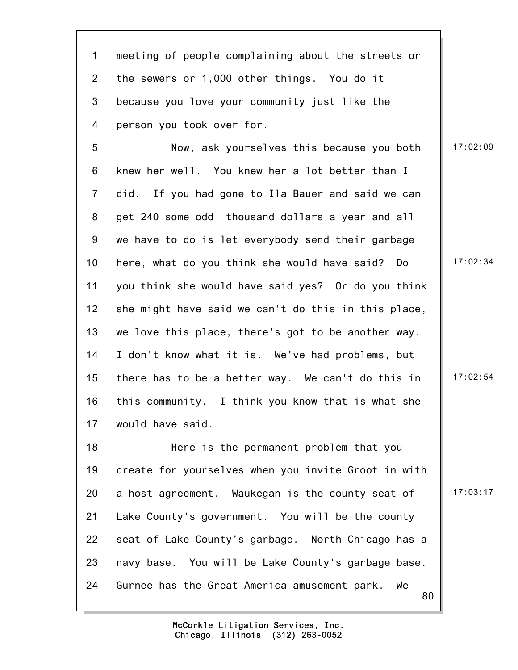1 meeting of people complaining about the streets or 2 the sewers or 1,000 other things. You do it 3 because you love your community just like the 4 person you took over for.

5 Now, ask yourselves this because you both 17:02:09 6 knew her well. You knew her a lot better than I 7 did. If you had gone to Ila Bauer and said we can 8 get 240 some odd thousand dollars a year and all 9 we have to do is let everybody send their garbage 10 here, what do you think she would have said? Do | 17:02:34 11 you think she would have said yes? Or do you think 12 she might have said we can't do this in this place, 13 we love this place, there's got to be another way. 14 I don't know what it is. We've had problems, but 15 there has to be a better way. We can't do this in  $\parallel$  17:02:54 16 this community. I think you know that is what she 17 would have said.

80 18 Here is the permanent problem that you 19 create for yourselves when you invite Groot in with 20 a host agreement. Waukegan is the county seat of  $\parallel$  17:03:17 21 Lake County's government. You will be the county 22 seat of Lake County's garbage. North Chicago has a 23 navy base. You will be Lake County's garbage base. 24 Gurnee has the Great America amusement park. We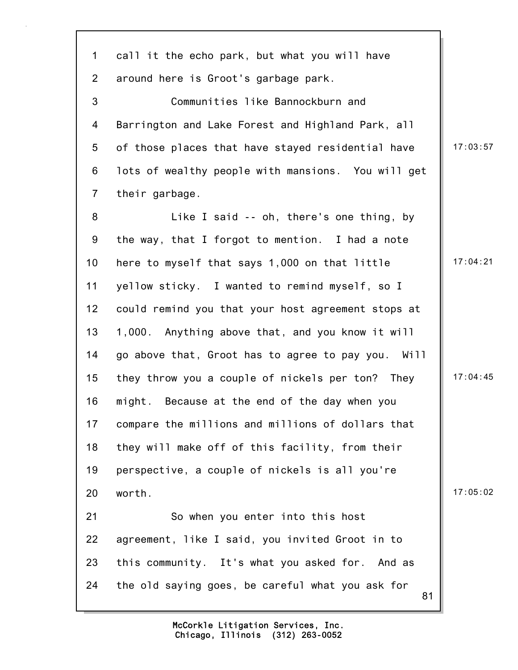81 1 call it the echo park, but what you will have 2 around here is Groot's garbage park. 3 Communities like Bannockburn and 4 Barrington and Lake Forest and Highland Park, all 5 of those places that have stayed residential have  $\parallel$  17:03:57 6 lots of wealthy people with mansions. You will get 7 their garbage. 8 Like I said -- oh, there's one thing, by 9 the way, that I forgot to mention. I had a note 10 here to myself that says 1,000 on that little 17:04:21 11 yellow sticky. I wanted to remind myself, so I 12 could remind you that your host agreement stops at 13 1,000. Anything above that, and you know it will 14 go above that, Groot has to agree to pay you. Will 15 they throw you a couple of nickels per ton? They | 17:04:45 16 might. Because at the end of the day when you 17 compare the millions and millions of dollars that 18 they will make off of this facility, from their 19 perspective, a couple of nickels is all you're 20 worth. 17:05:02 21 So when you enter into this host 22 agreement, like I said, you invited Groot in to 23 this community. It's what you asked for. And as 24 the old saying goes, be careful what you ask for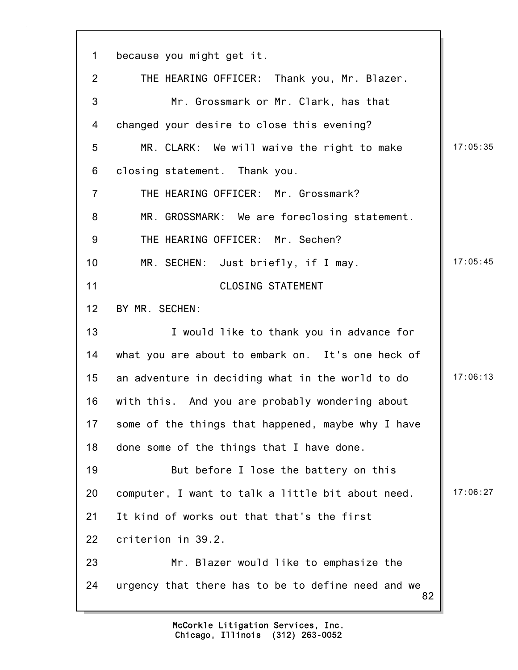| $\mathbf 1$    | because you might get it.                                |          |
|----------------|----------------------------------------------------------|----------|
| $\overline{2}$ | THE HEARING OFFICER: Thank you, Mr. Blazer.              |          |
| 3              | Mr. Grossmark or Mr. Clark, has that                     |          |
| 4              | changed your desire to close this evening?               |          |
| 5              | MR. CLARK: We will waive the right to make               | 17:05:35 |
| 6              | closing statement. Thank you.                            |          |
| $\overline{7}$ | THE HEARING OFFICER: Mr. Grossmark?                      |          |
| 8              | MR. GROSSMARK: We are foreclosing statement.             |          |
| 9              | THE HEARING OFFICER: Mr. Sechen?                         |          |
| 10             | MR. SECHEN: Just briefly, if I may.                      | 17:05:45 |
| 11             | <b>CLOSING STATEMENT</b>                                 |          |
| 12             | BY MR. SECHEN:                                           |          |
| 13             | I would like to thank you in advance for                 |          |
| 14             | what you are about to embark on. It's one heck of        |          |
| 15             | an adventure in deciding what in the world to do         | 17:06:13 |
| 16             | with this. And you are probably wondering about          |          |
| 17             | some of the things that happened, maybe why I have       |          |
| 18             | done some of the things that I have done.                |          |
| 19             | But before I lose the battery on this                    |          |
| 20             | computer, I want to talk a little bit about need.        | 17:06:27 |
| 21             | It kind of works out that that's the first               |          |
| 22             | criterion in 39.2.                                       |          |
| 23             | Mr. Blazer would like to emphasize the                   |          |
| 24             | urgency that there has to be to define need and we<br>82 |          |
|                |                                                          |          |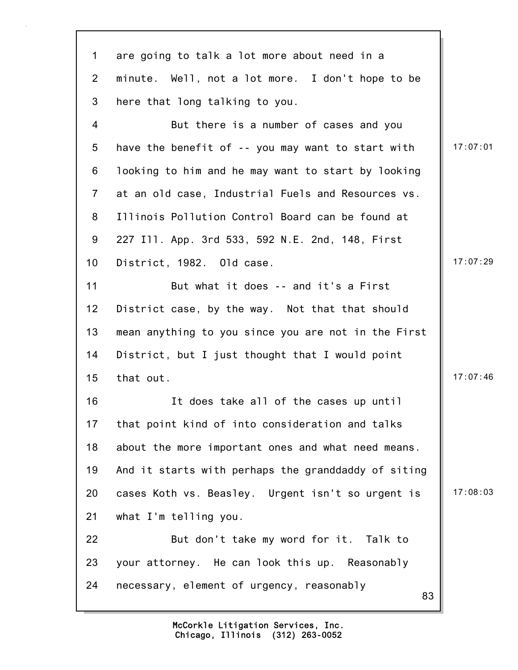83 1 are going to talk a lot more about need in a 2 minute. Well, not a lot more. I don't hope to be 3 here that long talking to you. 4 But there is a number of cases and you 5 have the benefit of  $-$ - you may want to start with  $\|$  17:07:01 6 looking to him and he may want to start by looking 7 at an old case, Industrial Fuels and Resources vs. 8 Illinois Pollution Control Board can be found at 9 227 Ill. App. 3rd 533, 592 N.E. 2nd, 148, First 10 District, 1982. Old case. 17:07:29 11 But what it does -- and it's a First 12 District case, by the way. Not that that should 13 mean anything to you since you are not in the First 14 District, but I just thought that I would point 15 that out. 17:07:46 16 It does take all of the cases up until 17 that point kind of into consideration and talks 18 about the more important ones and what need means. 19 And it starts with perhaps the granddaddy of siting 20 cases Koth vs. Beasley. Urgent isn't so urgent is | 17:08:03 21 what I'm telling you. 22 But don't take my word for it. Talk to 23 your attorney. He can look this up. Reasonably 24 necessary, element of urgency, reasonably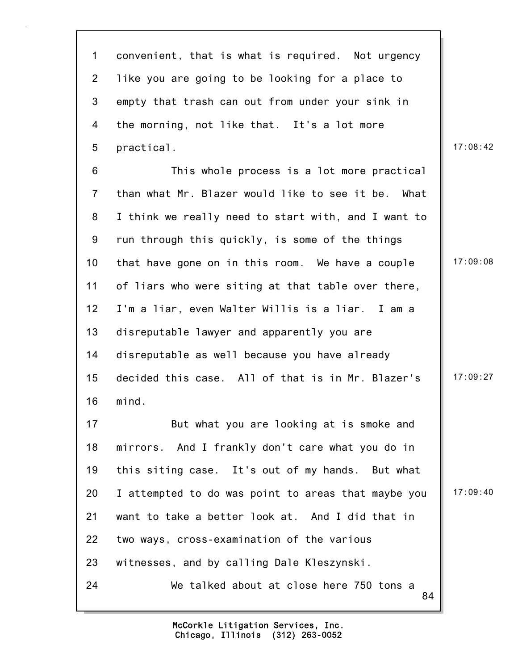| $\mathbf{1}$   | convenient, that is what is required. Not urgency   |          |
|----------------|-----------------------------------------------------|----------|
| $\overline{2}$ | like you are going to be looking for a place to     |          |
| $\mathfrak{S}$ | empty that trash can out from under your sink in    |          |
| 4              | the morning, not like that. It's a lot more         |          |
| 5              | practical.                                          | 17:08:42 |
| 6              | This whole process is a lot more practical          |          |
| $\overline{7}$ | than what Mr. Blazer would like to see it be. What  |          |
| 8              | I think we really need to start with, and I want to |          |
| 9              | run through this quickly, is some of the things     |          |
| 10             | that have gone on in this room. We have a couple    | 17:09:08 |
| 11             | of liars who were siting at that table over there,  |          |
| 12             | I'm a liar, even Walter Willis is a liar. I am a    |          |
| 13             | disreputable lawyer and apparently you are          |          |
| 14             | disreputable as well because you have already       |          |
| 15             | decided this case. All of that is in Mr. Blazer's   | 17:09:27 |
| 16             | mind.                                               |          |
| 17             | But what you are looking at is smoke and            |          |
| 18             | mirrors. And I frankly don't care what you do in    |          |
| 19             | this siting case. It's out of my hands. But what    |          |
| 20             | I attempted to do was point to areas that maybe you | 17:09:40 |
| 21             | want to take a better look at. And I did that in    |          |
| 22             | two ways, cross-examination of the various          |          |
| 23             | witnesses, and by calling Dale Kleszynski.          |          |
| 24             | We talked about at close here 750 tons a<br>84      |          |

 $\mathbf{r}$ 

 $\overline{\phantom{a}}$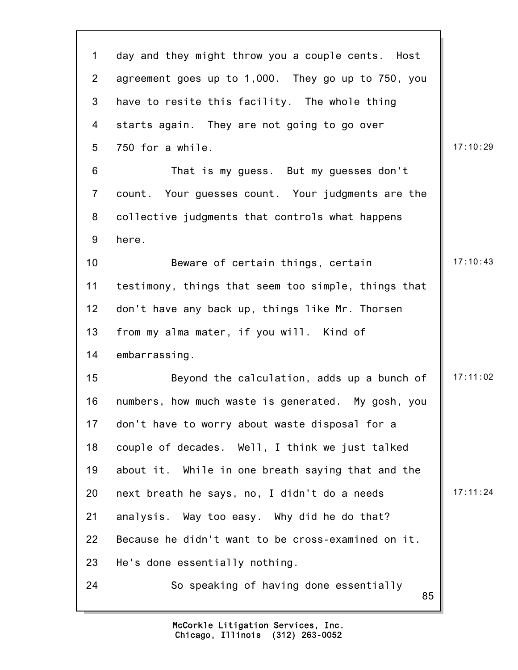| $\mathbf 1$    | day and they might throw you a couple cents. Host   |          |
|----------------|-----------------------------------------------------|----------|
| $\overline{2}$ | agreement goes up to 1,000. They go up to 750, you  |          |
| 3              | have to resite this facility. The whole thing       |          |
| 4              | starts again. They are not going to go over         |          |
| 5              | 750 for a while.                                    | 17:10:29 |
| 6              | That is my guess. But my guesses don't              |          |
| $\overline{7}$ | count. Your guesses count. Your judgments are the   |          |
| 8              | collective judgments that controls what happens     |          |
| 9              | here.                                               |          |
| 10             | Beware of certain things, certain                   | 17:10:43 |
| 11             | testimony, things that seem too simple, things that |          |
| 12             | don't have any back up, things like Mr. Thorsen     |          |
| 13             | from my alma mater, if you will. Kind of            |          |
| 14             | embarrassing.                                       |          |
| 15             | Beyond the calculation, adds up a bunch of          | 17:11:02 |
| 16             | numbers, how much waste is generated. My gosh, you  |          |
| 17             | don't have to worry about waste disposal for a      |          |
| 18             | couple of decades. Well, I think we just talked     |          |
| 19             | about it. While in one breath saying that and the   |          |
| 20             | next breath he says, no, I didn't do a needs        | 17:11:24 |
| 21             | analysis. Way too easy. Why did he do that?         |          |
| 22             | Because he didn't want to be cross-examined on it.  |          |
| 23             | He's done essentially nothing.                      |          |
| 24             | So speaking of having done essentially<br>85        |          |
|                |                                                     |          |

 $\mathbf{r}$ 

 $\overline{\phantom{a}}$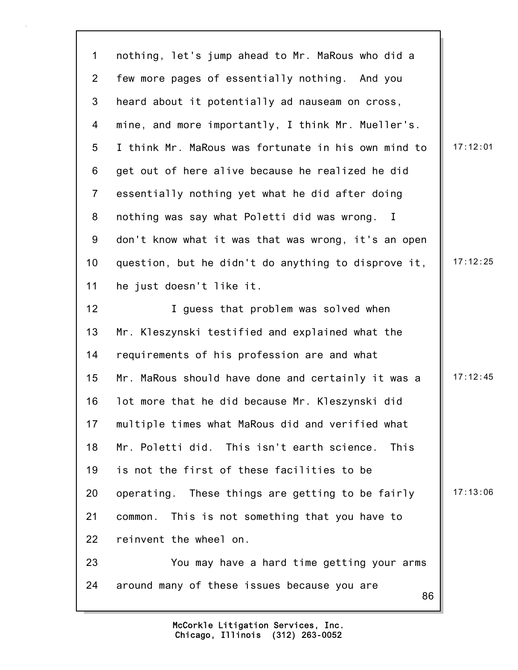86 1 nothing, let's jump ahead to Mr. MaRous who did a 2 few more pages of essentially nothing. And you 3 heard about it potentially ad nauseam on cross, 4 mine, and more importantly, I think Mr. Mueller's. 5 I think Mr. MaRous was fortunate in his own mind to 17:12:01 6 get out of here alive because he realized he did 7 essentially nothing yet what he did after doing 8 nothing was say what Poletti did was wrong. I 9 don't know what it was that was wrong, it's an open 10 question, but he didn't do anything to disprove it,  $\parallel$  17:12:25 11 he just doesn't like it. 12 **I** guess that problem was solved when 13 Mr. Kleszynski testified and explained what the 14 requirements of his profession are and what 15 Mr. MaRous should have done and certainly it was a  $\parallel$  17:12:45 16 lot more that he did because Mr. Kleszynski did 17 multiple times what MaRous did and verified what 18 Mr. Poletti did. This isn't earth science. This 19 is not the first of these facilities to be 20 operating. These things are getting to be fairly  $\parallel$  17:13:06 21 common. This is not something that you have to 22 reinvent the wheel on. 23 You may have a hard time getting your arms 24 around many of these issues because you are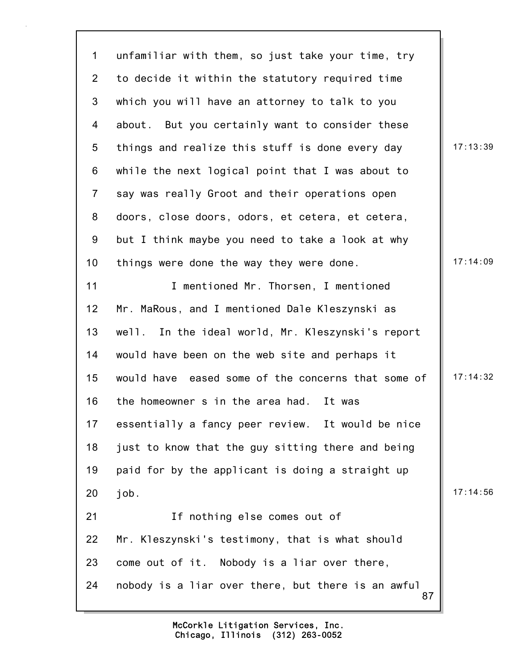87 1 unfamiliar with them, so just take your time, try 2 to decide it within the statutory required time 3 which you will have an attorney to talk to you 4 about. But you certainly want to consider these 5 things and realize this stuff is done every day 17:13:39 6 while the next logical point that I was about to 7 say was really Groot and their operations open 8 doors, close doors, odors, et cetera, et cetera, 9 but I think maybe you need to take a look at why 10 things were done the way they were done. 17:14:09 11 **I** mentioned Mr. Thorsen, I mentioned 12 Mr. MaRous, and I mentioned Dale Kleszynski as 13 well. In the ideal world, Mr. Kleszynski's report 14 would have been on the web site and perhaps it 15 would have eased some of the concerns that some of  $\parallel$  17:14:32 16 the homeowner s in the area had. It was 17 essentially a fancy peer review. It would be nice 18 just to know that the guy sitting there and being 19 paid for by the applicant is doing a straight up 20 job. 17:14:56 21 If nothing else comes out of 22 Mr. Kleszynski's testimony, that is what should 23 come out of it. Nobody is a liar over there, 24 nobody is a liar over there, but there is an awful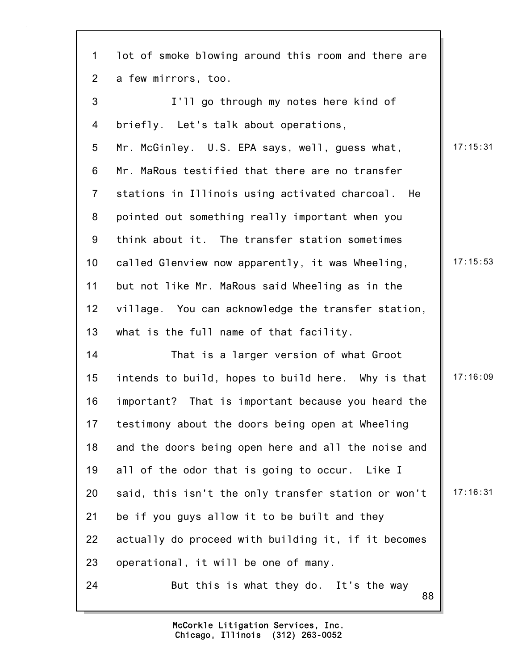| $\mathbf 1$     | lot of smoke blowing around this room and there are |          |
|-----------------|-----------------------------------------------------|----------|
| $\overline{2}$  | a few mirrors, too.                                 |          |
| 3               | I'll go through my notes here kind of               |          |
| 4               | briefly. Let's talk about operations,               |          |
| 5               | Mr. McGinley. U.S. EPA says, well, guess what,      | 17:15:31 |
| 6               | Mr. MaRous testified that there are no transfer     |          |
| $\overline{7}$  | stations in Illinois using activated charcoal. He   |          |
| 8               | pointed out something really important when you     |          |
| 9               | think about it. The transfer station sometimes      |          |
| 10              | called Glenview now apparently, it was Wheeling,    | 17:15:53 |
| 11              | but not like Mr. MaRous said Wheeling as in the     |          |
| 12 <sub>2</sub> | village. You can acknowledge the transfer station,  |          |
| 13              | what is the full name of that facility.             |          |
| 14              | That is a larger version of what Groot              |          |
| 15              | intends to build, hopes to build here. Why is that  | 17:16:09 |
| 16              | important? That is important because you heard the  |          |
| 17              | testimony about the doors being open at Wheeling    |          |
| 18              | and the doors being open here and all the noise and |          |
| 19              | all of the odor that is going to occur. Like I      |          |
| 20              | said, this isn't the only transfer station or won't | 17:16:31 |
| 21              | be if you guys allow it to be built and they        |          |
| 22              | actually do proceed with building it, if it becomes |          |
| 23              | operational, it will be one of many.                |          |
| 24              | But this is what they do. It's the way<br>88        |          |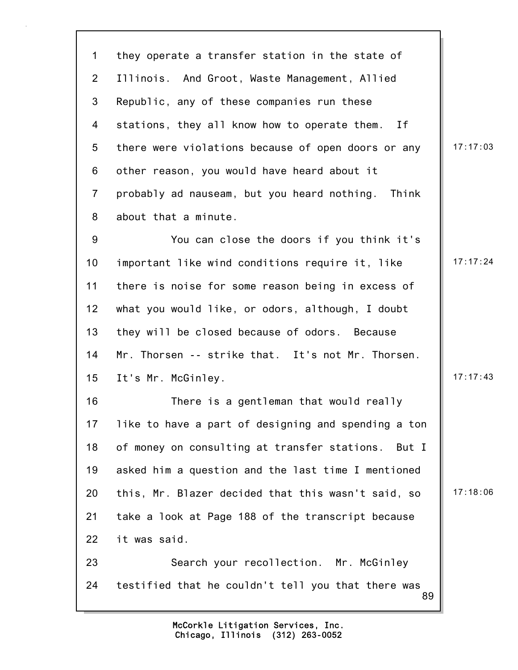89 1 they operate a transfer station in the state of 2 Illinois. And Groot, Waste Management, Allied 3 Republic, any of these companies run these 4 stations, they all know how to operate them. If 5 there were violations because of open doors or any | 17:17:03 6 other reason, you would have heard about it 7 probably ad nauseam, but you heard nothing. Think 8 about that a minute. 9 You can close the doors if you think it's 10 important like wind conditions require it, like  $\parallel$  17:17:24 11 there is noise for some reason being in excess of 12 what you would like, or odors, although, I doubt 13 they will be closed because of odors. Because 14 Mr. Thorsen -- strike that. It's not Mr. Thorsen. 15 It's Mr. McGinley. 2014 2022 2023 2024 2024 2022 2023 2024 2022 2023 2024 2022 2023 2024 2022 2023 2024 20 16 There is a gentleman that would really 17 like to have a part of designing and spending a ton 18 of money on consulting at transfer stations. But I 19 asked him a question and the last time I mentioned 20 this, Mr. Blazer decided that this wasn't said, so  $\parallel$  17:18:06 21 take a look at Page 188 of the transcript because 22 it was said. 23 Search your recollection. Mr. McGinley 24 testified that he couldn't tell you that there was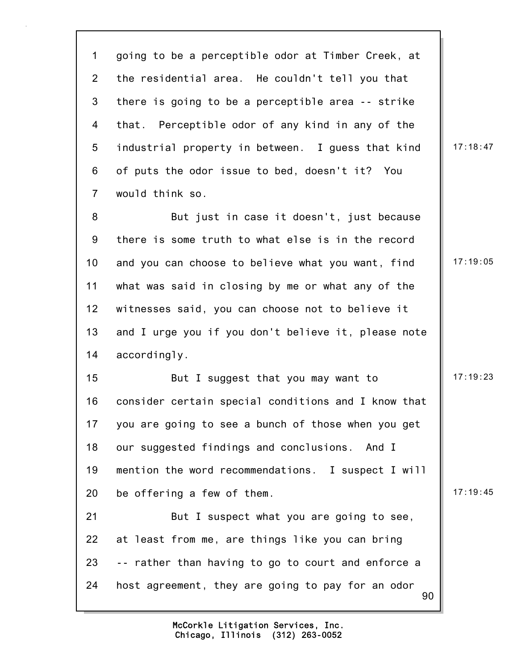90 1 going to be a perceptible odor at Timber Creek, at 2 the residential area. He couldn't tell you that 3 there is going to be a perceptible area -- strike 4 that. Perceptible odor of any kind in any of the 5 industrial property in between. I guess that kind 17:18:47 6 of puts the odor issue to bed, doesn't it? You 7 would think so. 8 But just in case it doesn't, just because 9 there is some truth to what else is in the record 10 and you can choose to believe what you want, find | 17:19:05 11 what was said in closing by me or what any of the 12 witnesses said, you can choose not to believe it 13 and I urge you if you don't believe it, please note 14 accordingly. 15 But I suggest that you may want to 17:19:23 16 consider certain special conditions and I know that 17 you are going to see a bunch of those when you get 18 our suggested findings and conclusions. And I 19 mention the word recommendations. I suspect I will 20 be offering a few of them.  $\|$  17:19:45 21 But I suspect what you are going to see, 22 at least from me, are things like you can bring 23 -- rather than having to go to court and enforce a 24 host agreement, they are going to pay for an odor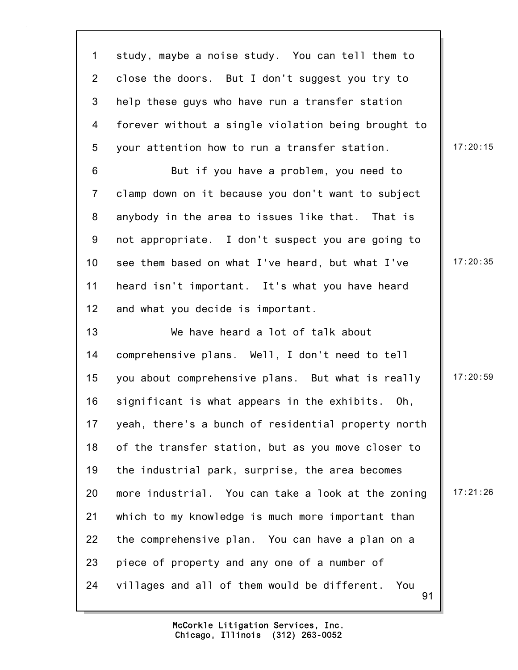91 1 study, maybe a noise study. You can tell them to 2 close the doors. But I don't suggest you try to 3 help these guys who have run a transfer station 4 forever without a single violation being brought to 5 your attention how to run a transfer station.  $\|$  17:20:15 6 But if you have a problem, you need to 7 clamp down on it because you don't want to subject 8 anybody in the area to issues like that. That is 9 not appropriate. I don't suspect you are going to 10 see them based on what I've heard, but what I've 17:20:35 11 heard isn't important. It's what you have heard 12 and what you decide is important. 13 We have heard a lot of talk about 14 comprehensive plans. Well, I don't need to tell 15 you about comprehensive plans. But what is really | 17:20:59 16 significant is what appears in the exhibits. Oh, 17 yeah, there's a bunch of residential property north 18 of the transfer station, but as you move closer to 19 the industrial park, surprise, the area becomes 20 more industrial. You can take a look at the zoning  $\parallel$  17:21:26 21 which to my knowledge is much more important than 22 the comprehensive plan. You can have a plan on a 23 piece of property and any one of a number of 24 villages and all of them would be different. You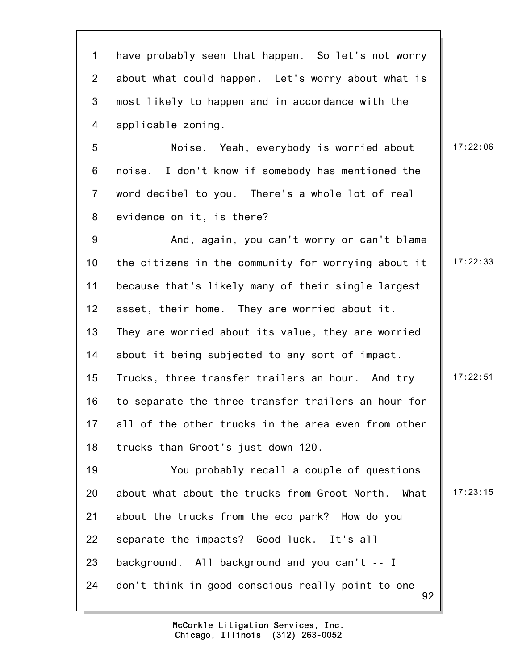92 1 have probably seen that happen. So let's not worry 2 about what could happen. Let's worry about what is 3 most likely to happen and in accordance with the 4 applicable zoning. 5 Noise. Yeah, everybody is worried about | 17:22:06 6 noise. I don't know if somebody has mentioned the 7 word decibel to you. There's a whole lot of real 8 evidence on it, is there? 9 And, again, you can't worry or can't blame 10 the citizens in the community for worrying about it  $\parallel$  17:22:33 11 because that's likely many of their single largest 12 asset, their home. They are worried about it. 13 They are worried about its value, they are worried 14 about it being subjected to any sort of impact. 15 Trucks, three transfer trailers an hour. And try | 17:22:51 16 to separate the three transfer trailers an hour for 17 all of the other trucks in the area even from other 18 trucks than Groot's just down 120. 19 You probably recall a couple of questions 20 about what about the trucks from Groot North. What | 17:23:15 21 about the trucks from the eco park? How do you 22 separate the impacts? Good luck. It's all 23 background. All background and you can't -- I 24 don't think in good conscious really point to one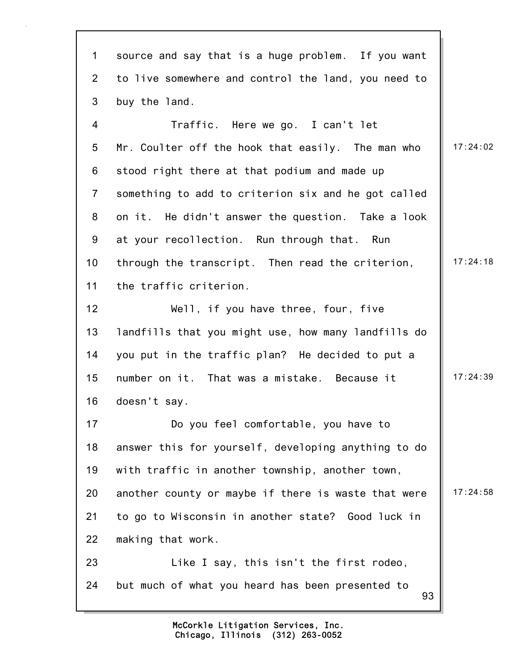93 1 source and say that is a huge problem. If you want 2 to live somewhere and control the land, you need to 3 buy the land. 4 Traffic. Here we go. I can't let 5 Mr. Coulter off the hook that easily. The man who 17:24:02 6 stood right there at that podium and made up 7 something to add to criterion six and he got called 8 on it. He didn't answer the question. Take a look 9 at your recollection. Run through that. Run 10 through the transcript. Then read the criterion, 17:24:18 11 the traffic criterion. 12 Well, if you have three, four, five 13 landfills that you might use, how many landfills do 14 you put in the traffic plan? He decided to put a 15 number on it. That was a mistake. Because it | 17:24:39 16 doesn't say. 17 Do you feel comfortable, you have to 18 answer this for yourself, developing anything to do 19 with traffic in another township, another town, 20 another county or maybe if there is waste that were  $\parallel$  17:24:58 21 to go to Wisconsin in another state? Good luck in 22 making that work. 23 Like I say, this isn't the first rodeo, 24 but much of what you heard has been presented to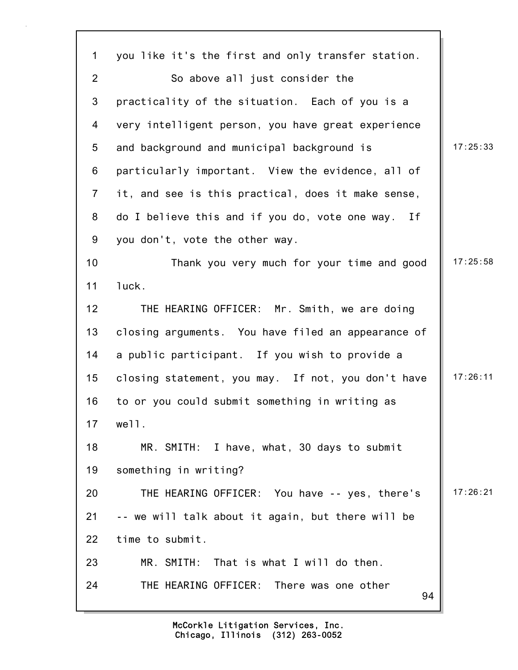| $\mathbf{1}$   | you like it's the first and only transfer station.   |          |
|----------------|------------------------------------------------------|----------|
| $\overline{2}$ | So above all just consider the                       |          |
| 3              | practicality of the situation. Each of you is a      |          |
| 4              | very intelligent person, you have great experience   |          |
| 5              | and background and municipal background is           | 17:25:33 |
| 6              | particularly important. View the evidence, all of    |          |
| $\overline{7}$ | it, and see is this practical, does it make sense,   |          |
| 8              | do I believe this and if you do, vote one way.<br>If |          |
| 9              | you don't, vote the other way.                       |          |
| 10             | Thank you very much for your time and good           | 17:25:58 |
| 11             | luck.                                                |          |
| 12             | THE HEARING OFFICER: Mr. Smith, we are doing         |          |
| 13             | closing arguments. You have filed an appearance of   |          |
| 14             | a public participant. If you wish to provide a       |          |
| 15             | closing statement, you may. If not, you don't have   | 17:26:11 |
| 16             | to or you could submit something in writing as       |          |
| 17             | well.                                                |          |
| 18             | MR. SMITH: I have, what, 30 days to submit           |          |
| 19             | something in writing?                                |          |
| 20             | THE HEARING OFFICER: You have -- yes, there's        | 17:26:21 |
| 21             | -- we will talk about it again, but there will be    |          |
| 22             | time to submit.                                      |          |
| 23             | MR. SMITH:<br>That is what I will do then.           |          |
| 24             | THE HEARING OFFICER: There was one other<br>94       |          |
|                |                                                      |          |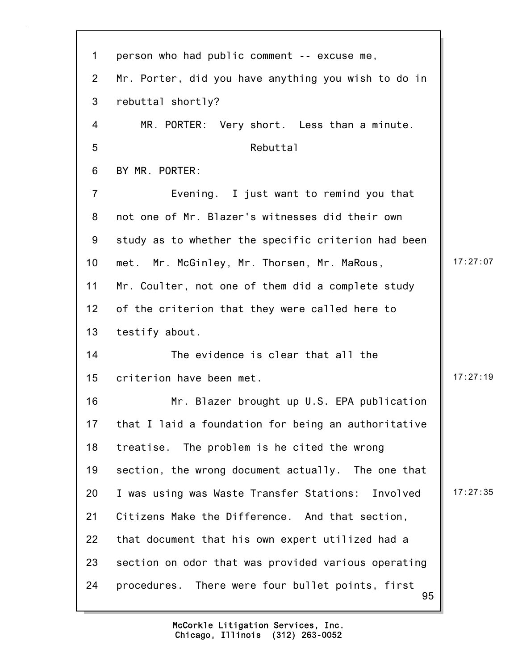95 1 person who had public comment -- excuse me, 2 Mr. Porter, did you have anything you wish to do in 3 rebuttal shortly? 4 MR. PORTER: Very short. Less than a minute. 5 Rebuttal 6 BY MR. PORTER: 7 Evening. I just want to remind you that 8 not one of Mr. Blazer's witnesses did their own 9 study as to whether the specific criterion had been 10 met. Mr. McGinley, Mr. Thorsen, Mr. MaRous, 17:27:07 11 Mr. Coulter, not one of them did a complete study 12 of the criterion that they were called here to 13 testify about. 14 The evidence is clear that all the 15 criterion have been met. 15 and 17:27:19 16 Mr. Blazer brought up U.S. EPA publication 17 that I laid a foundation for being an authoritative 18 treatise. The problem is he cited the wrong 19 section, the wrong document actually. The one that 20 I was using was Waste Transfer Stations: Involved | 17:27:35 21 Citizens Make the Difference. And that section, 22 that document that his own expert utilized had a 23 section on odor that was provided various operating 24 procedures. There were four bullet points, first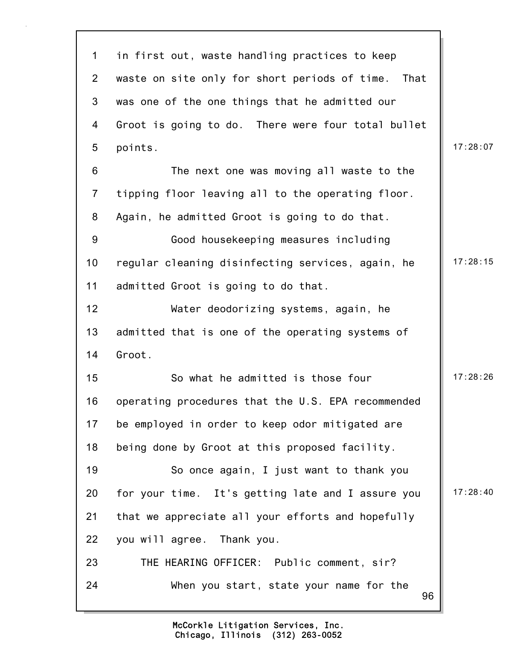| $\mathbf{1}$     | in first out, waste handling practices to keep     |          |
|------------------|----------------------------------------------------|----------|
| $\overline{2}$   | waste on site only for short periods of time. That |          |
| 3                | was one of the one things that he admitted our     |          |
| 4                | Groot is going to do. There were four total bullet |          |
| 5                | points.                                            | 17:28:07 |
| 6                | The next one was moving all waste to the           |          |
| $\overline{7}$   | tipping floor leaving all to the operating floor.  |          |
| 8                | Again, he admitted Groot is going to do that.      |          |
| $\boldsymbol{9}$ | Good housekeeping measures including               |          |
| 10               | regular cleaning disinfecting services, again, he  | 17:28:15 |
| 11               | admitted Groot is going to do that.                |          |
| 12               | Water deodorizing systems, again, he               |          |
| 13               | admitted that is one of the operating systems of   |          |
| 14               | Groot.                                             |          |
| 15               | So what he admitted is those four                  | 17:28:26 |
| 16               | operating procedures that the U.S. EPA recommended |          |
| 17               | be employed in order to keep odor mitigated are    |          |
| 18               | being done by Groot at this proposed facility.     |          |
| 19               | So once again, I just want to thank you            |          |
| 20               | for your time. It's getting late and I assure you  | 17:28:40 |
| 21               | that we appreciate all your efforts and hopefully  |          |
| 22               | you will agree. Thank you.                         |          |
| 23               | THE HEARING OFFICER: Public comment, sir?          |          |
| 24               | When you start, state your name for the<br>96      |          |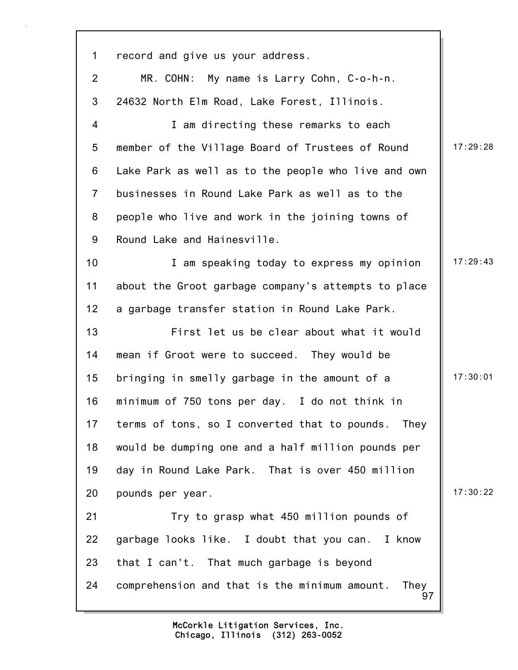97 1 record and give us your address. 2 MR. COHN: My name is Larry Cohn, C-o-h-n. 3 24632 North Elm Road, Lake Forest, Illinois. 4 I am directing these remarks to each 5 member of the Village Board of Trustees of Round | 17:29:28 6 Lake Park as well as to the people who live and own 7 businesses in Round Lake Park as well as to the 8 people who live and work in the joining towns of 9 Round Lake and Hainesville. 10 17:29:43 11 about the Groot garbage company's attempts to place 12 a garbage transfer station in Round Lake Park. 13 First let us be clear about what it would 14 mean if Groot were to succeed. They would be 15 bringing in smelly garbage in the amount of a 17:30:01 16 minimum of 750 tons per day. I do not think in 17 terms of tons, so I converted that to pounds. They 18 would be dumping one and a half million pounds per 19 day in Round Lake Park. That is over 450 million 20 pounds per year. 17:30:22 21 Try to grasp what 450 million pounds of 22 garbage looks like. I doubt that you can. I know 23 that I can't. That much garbage is beyond 24 comprehension and that is the minimum amount. They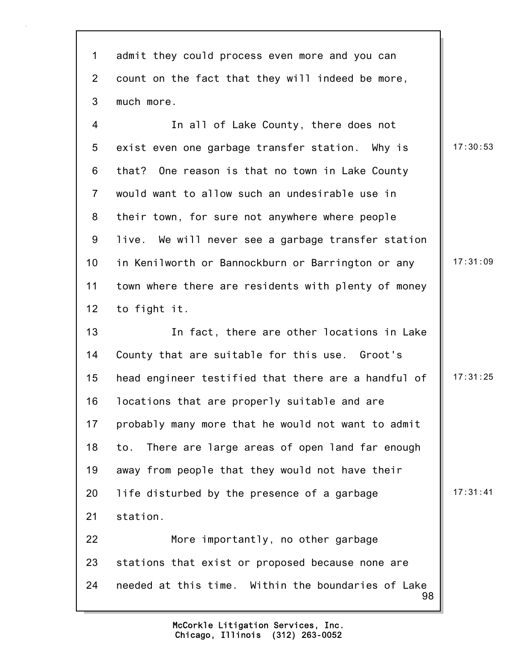1 admit they could process even more and you can 2 count on the fact that they will indeed be more, 3 much more.

4 In all of Lake County, there does not 5 exist even one garbage transfer station. Why is  $\parallel$  17:30:53 6 that? One reason is that no town in Lake County 7 would want to allow such an undesirable use in 8 their town, for sure not anywhere where people 9 live. We will never see a garbage transfer station 10 in Kenilworth or Bannockburn or Barrington or any | 17:31:09 11 town where there are residents with plenty of money 12 to fight it.

13 In fact, there are other locations in Lake 14 County that are suitable for this use. Groot's 15 head engineer testified that there are a handful of  $\parallel$  17:31:25 16 locations that are properly suitable and are 17 probably many more that he would not want to admit 18 to. There are large areas of open land far enough 19 away from people that they would not have their 20 life disturbed by the presence of a garbage  $\vert$  17:31:41 21 station. 22 More importantly, no other garbage 23 stations that exist or proposed because none are

98 24 needed at this time. Within the boundaries of Lake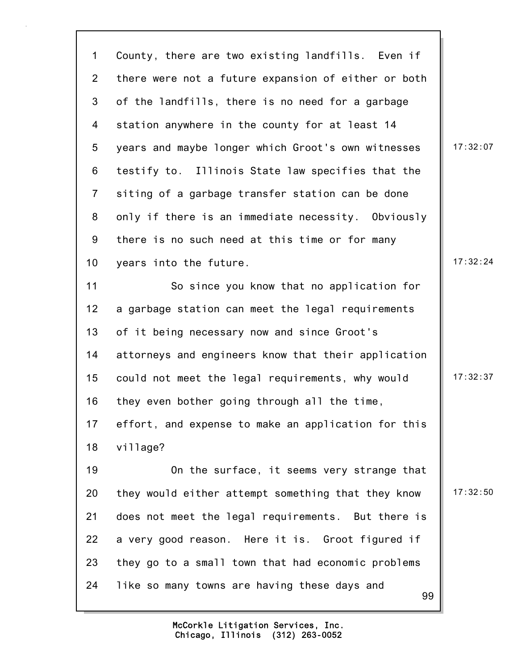99 1 County, there are two existing landfills. Even if 2 there were not a future expansion of either or both 3 of the landfills, there is no need for a garbage 4 station anywhere in the county for at least 14 5 years and maybe longer which Groot's own witnesses | 17:32:07 6 testify to. Illinois State law specifies that the 7 siting of a garbage transfer station can be done 8 only if there is an immediate necessity. Obviously 9 there is no such need at this time or for many 10 years into the future. 10 and 17:32:24 11 So since you know that no application for 12 a garbage station can meet the legal requirements 13 of it being necessary now and since Groot's 14 attorneys and engineers know that their application 15 could not meet the legal requirements, why would | 17:32:37 16 they even bother going through all the time, 17 effort, and expense to make an application for this 18 village? 19 On the surface, it seems very strange that 20 they would either attempt something that they know  $\parallel$  17:32:50 21 does not meet the legal requirements. But there is 22 a very good reason. Here it is. Groot figured if 23 they go to a small town that had economic problems 24 like so many towns are having these days and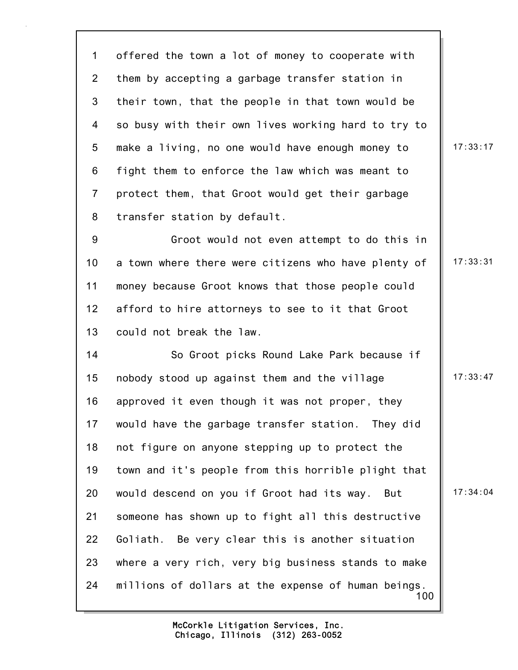1 offered the town a lot of money to cooperate with 2 them by accepting a garbage transfer station in 3 their town, that the people in that town would be 4 so busy with their own lives working hard to try to 5 make a living, no one would have enough money to  $\parallel$  17:33:17 6 fight them to enforce the law which was meant to 7 protect them, that Groot would get their garbage 8 transfer station by default.

9 Groot would not even attempt to do this in 10 a town where there were citizens who have plenty of  $\parallel$  17:33:31 11 money because Groot knows that those people could 12 afford to hire attorneys to see to it that Groot 13 could not break the law.

100 14 So Groot picks Round Lake Park because if 15 nobody stood up against them and the village 17:33:47 16 approved it even though it was not proper, they 17 would have the garbage transfer station. They did 18 not figure on anyone stepping up to protect the 19 town and it's people from this horrible plight that 20 would descend on you if Groot had its way. But | 17:34:04 21 someone has shown up to fight all this destructive 22 Goliath. Be very clear this is another situation 23 where a very rich, very big business stands to make 24 millions of dollars at the expense of human beings.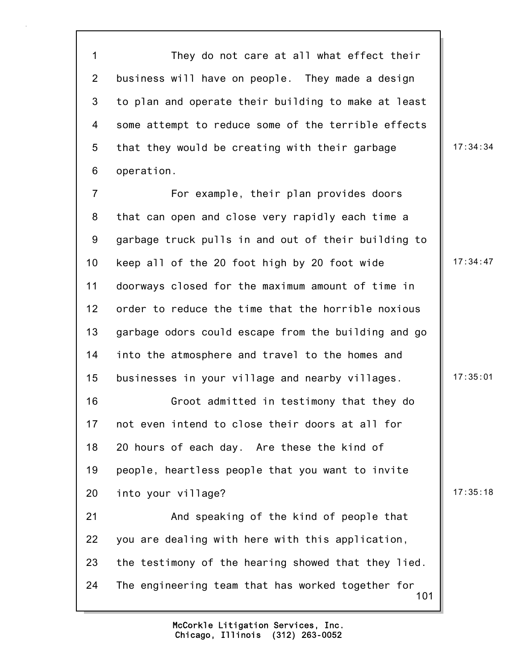1 They do not care at all what effect their 2 business will have on people. They made a design 3 to plan and operate their building to make at least 4 some attempt to reduce some of the terrible effects 5 that they would be creating with their garbage  $\parallel$  17:34:34 6 operation. 7 For example, their plan provides doors 8 that can open and close very rapidly each time a 9 garbage truck pulls in and out of their building to 10 keep all of the 20 foot high by 20 foot wide  $\parallel$  17:34:47 11 doorways closed for the maximum amount of time in 12 order to reduce the time that the horrible noxious 13 garbage odors could escape from the building and go 14 into the atmosphere and travel to the homes and 15 businesses in your village and nearby villages. 17:35:01 16 Groot admitted in testimony that they do 17 not even intend to close their doors at all for 18 20 hours of each day. Are these the kind of 19 people, heartless people that you want to invite 20 into your village? 20 into your village?

101 21 And speaking of the kind of people that 22 you are dealing with here with this application, 23 the testimony of the hearing showed that they lied. 24 The engineering team that has worked together for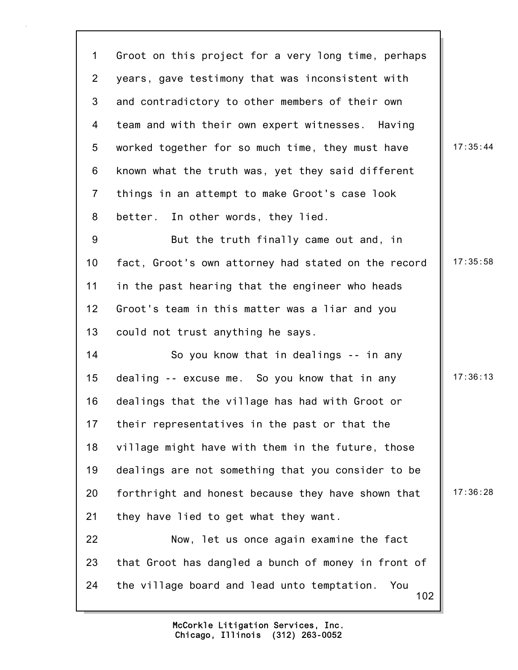102 1 Groot on this project for a very long time, perhaps 2 years, gave testimony that was inconsistent with 3 and contradictory to other members of their own 4 team and with their own expert witnesses. Having 5 worked together for so much time, they must have  $\parallel$  17:35:44 6 known what the truth was, yet they said different 7 things in an attempt to make Groot's case look 8 better. In other words, they lied. 9 But the truth finally came out and, in 10 fact, Groot's own attorney had stated on the record | 17:35:58 11 in the past hearing that the engineer who heads 12 Groot's team in this matter was a liar and you 13 could not trust anything he says. 14 So you know that in dealings -- in any 15 dealing -- excuse me. So you know that in any 17:36:13 16 dealings that the village has had with Groot or 17 their representatives in the past or that the 18 village might have with them in the future, those 19 dealings are not something that you consider to be 20 forthright and honest because they have shown that  $\parallel$  17:36:28 21 they have lied to get what they want. 22 Now, let us once again examine the fact 23 that Groot has dangled a bunch of money in front of 24 the village board and lead unto temptation. You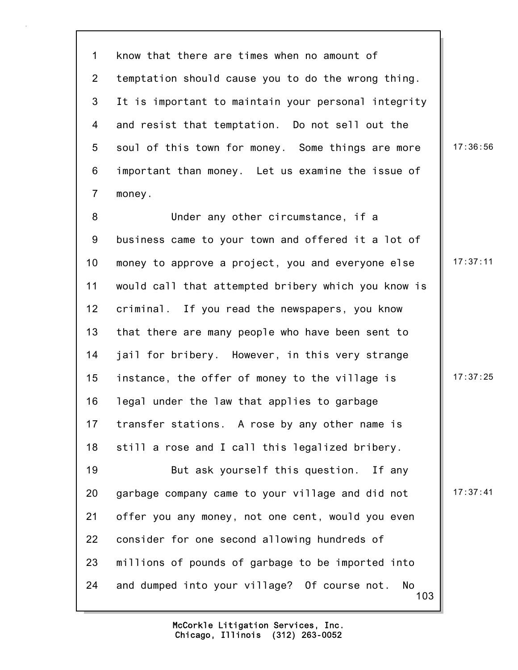1 know that there are times when no amount of 2 temptation should cause you to do the wrong thing. 3 It is important to maintain your personal integrity 4 and resist that temptation. Do not sell out the 5 soul of this town for money. Some things are more  $\parallel$  17:36:56 6 important than money. Let us examine the issue of 7 money.

8 Under any other circumstance, if a 9 business came to your town and offered it a lot of 10 money to approve a project, you and everyone else | 17:37:11 11 would call that attempted bribery which you know is 12 criminal. If you read the newspapers, you know 13 that there are many people who have been sent to 14 jail for bribery. However, in this very strange 15 instance, the offer of money to the village is  $\parallel$  17:37:25 16 legal under the law that applies to garbage 17 transfer stations. A rose by any other name is 18 still a rose and I call this legalized bribery. 19 But ask yourself this question. If any 20 garbage company came to your village and did not  $\parallel$  17:37:41 21 offer you any money, not one cent, would you even 22 consider for one second allowing hundreds of

103 23 millions of pounds of garbage to be imported into 24 and dumped into your village? Of course not. No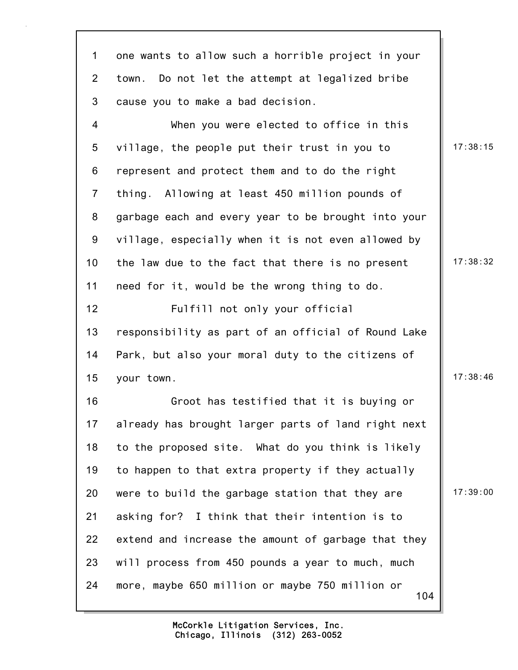1 one wants to allow such a horrible project in your 2 town. Do not let the attempt at legalized bribe 3 cause you to make a bad decision. 4 When you were elected to office in this 5 village, the people put their trust in you to  $\parallel$  17:38:15 6 represent and protect them and to do the right 7 thing. Allowing at least 450 million pounds of 8 garbage each and every year to be brought into your 9 village, especially when it is not even allowed by 10 the law due to the fact that there is no present  $\vert$  17:38:32

11 need for it, would be the wrong thing to do.

12 Fulfill not only your official 13 responsibility as part of an official of Round Lake 14 Park, but also your moral duty to the citizens of 15 your town. 15 your town.

104 16 Groot has testified that it is buying or 17 already has brought larger parts of land right next 18 to the proposed site. What do you think is likely 19 to happen to that extra property if they actually 20 were to build the garbage station that they are  $\parallel$  17:39:00 21 asking for? I think that their intention is to 22 extend and increase the amount of garbage that they 23 will process from 450 pounds a year to much, much 24 more, maybe 650 million or maybe 750 million or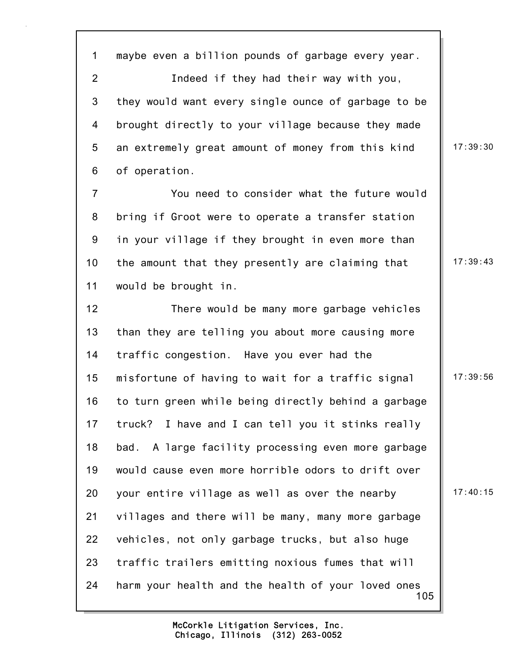1 maybe even a billion pounds of garbage every year. 2 Indeed if they had their way with you, 3 they would want every single ounce of garbage to be 4 brought directly to your village because they made 5 an extremely great amount of money from this kind | 17:39:30 6 of operation. 7 You need to consider what the future would 8 bring if Groot were to operate a transfer station 9 in your village if they brought in even more than 10 the amount that they presently are claiming that 17:39:43

11 would be brought in.

105 12 There would be many more garbage vehicles 13 than they are telling you about more causing more 14 traffic congestion. Have you ever had the 15 misfortune of having to wait for a traffic signal | 17:39:56 16 to turn green while being directly behind a garbage 17 truck? I have and I can tell you it stinks really 18 bad. A large facility processing even more garbage 19 would cause even more horrible odors to drift over 20 your entire village as well as over the nearby  $\vert$  17:40:15 21 villages and there will be many, many more garbage 22 vehicles, not only garbage trucks, but also huge 23 traffic trailers emitting noxious fumes that will 24 harm your health and the health of your loved ones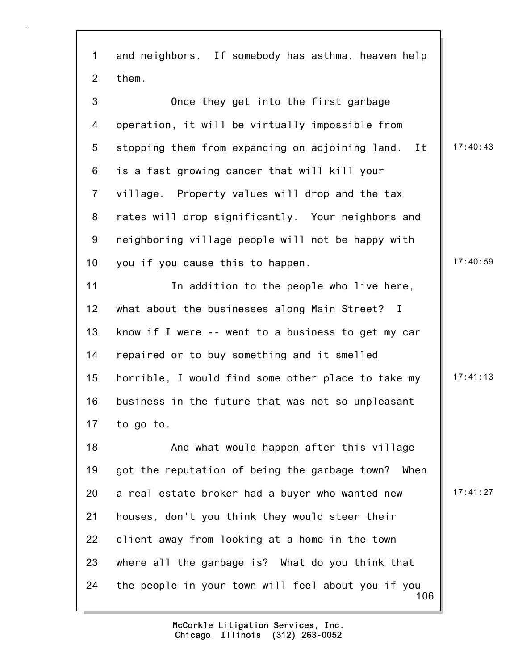| 1              | and neighbors. If somebody has asthma, heaven help        |          |
|----------------|-----------------------------------------------------------|----------|
| 2              | them.                                                     |          |
| 3              | Once they get into the first garbage                      |          |
| 4              | operation, it will be virtually impossible from           |          |
| 5              | stopping them from expanding on adjoining land.<br>It     | 17:40:43 |
| 6              | is a fast growing cancer that will kill your              |          |
| $\overline{7}$ | village. Property values will drop and the tax            |          |
| 8              | rates will drop significantly. Your neighbors and         |          |
| 9              | neighboring village people will not be happy with         |          |
| 10             | you if you cause this to happen.                          | 17:40:59 |
| 11             | In addition to the people who live here,                  |          |
| 12             | what about the businesses along Main Street? I            |          |
| 13             | know if I were -- went to a business to get my car        |          |
| 14             | repaired or to buy something and it smelled               |          |
| 15             | horrible, I would find some other place to take my        | 17:41:13 |
| 16             | business in the future that was not so unpleasant         |          |
| 17             | to go to.                                                 |          |
| 18             | And what would happen after this village                  |          |
| 19             | got the reputation of being the garbage town? When        |          |
| 20             | a real estate broker had a buyer who wanted new           | 17:41:27 |
| 21             | houses, don't you think they would steer their            |          |
| 22             | client away from looking at a home in the town            |          |
| 23             | where all the garbage is? What do you think that          |          |
| 24             | the people in your town will feel about you if you<br>106 |          |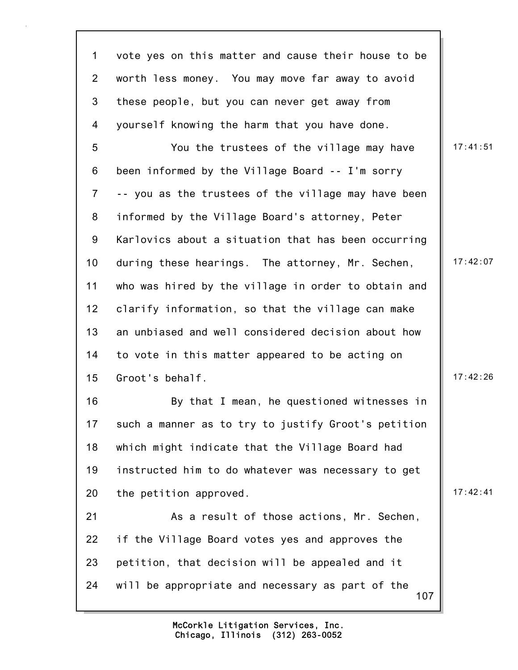107 1 vote yes on this matter and cause their house to be 2 worth less money. You may move far away to avoid 3 these people, but you can never get away from 4 yourself knowing the harm that you have done. 5 You the trustees of the village may have | 17:41:51 6 been informed by the Village Board -- I'm sorry 7 -- you as the trustees of the village may have been 8 informed by the Village Board's attorney, Peter 9 Karlovics about a situation that has been occurring 10 during these hearings. The attorney, Mr. Sechen, 17:42:07 11 who was hired by the village in order to obtain and 12 clarify information, so that the village can make 13 an unbiased and well considered decision about how 14 to vote in this matter appeared to be acting on 15 Groot's behalf. 17:42:26 16 By that I mean, he questioned witnesses in 17 such a manner as to try to justify Groot's petition 18 which might indicate that the Village Board had 19 instructed him to do whatever was necessary to get 20 the petition approved. 21 As a result of those actions, Mr. Sechen, 22 if the Village Board votes yes and approves the 23 petition, that decision will be appealed and it 24 will be appropriate and necessary as part of the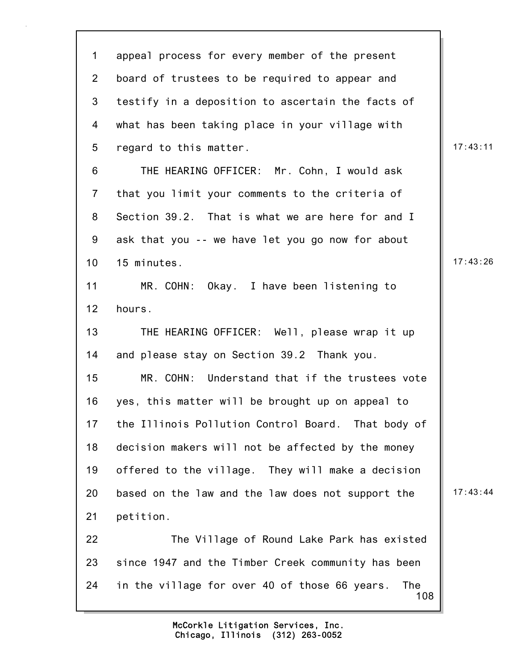| $\mathbf 1$     | appeal process for every member of the present              |          |
|-----------------|-------------------------------------------------------------|----------|
| $\overline{2}$  | board of trustees to be required to appear and              |          |
| 3               | testify in a deposition to ascertain the facts of           |          |
| 4               | what has been taking place in your village with             |          |
| 5               | regard to this matter.                                      | 17:43:11 |
| 6               | THE HEARING OFFICER: Mr. Cohn, I would ask                  |          |
| $\overline{7}$  | that you limit your comments to the criteria of             |          |
| 8               | Section 39.2. That is what we are here for and I            |          |
| 9               | ask that you -- we have let you go now for about            |          |
| 10 <sub>1</sub> | 15 minutes.                                                 | 17:43:26 |
| 11              | MR. COHN: Okay. I have been listening to                    |          |
| 12              | hours.                                                      |          |
| 13              | THE HEARING OFFICER: Well, please wrap it up                |          |
| 14              | and please stay on Section 39.2 Thank you.                  |          |
| 15              | MR. COHN: Understand that if the trustees vote              |          |
| 16              | yes, this matter will be brought up on appeal to            |          |
| 17              | the Illinois Pollution Control Board. That body of          |          |
| 18              | decision makers will not be affected by the money           |          |
| 19              | offered to the village. They will make a decision           |          |
| 20              | based on the law and the law does not support the           | 17:43:44 |
| 21              | petition.                                                   |          |
| 22              | The Village of Round Lake Park has existed                  |          |
| 23              | since 1947 and the Timber Creek community has been          |          |
| 24              | The<br>in the village for over 40 of those 66 years.<br>108 |          |
|                 |                                                             |          |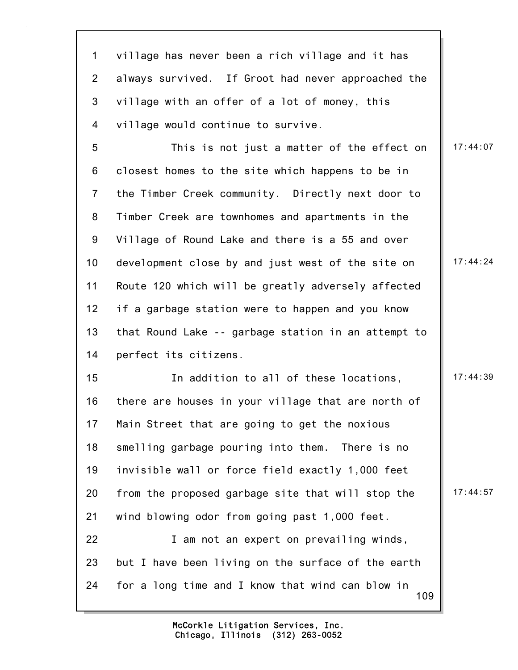109 1 village has never been a rich village and it has 2 always survived. If Groot had never approached the 3 village with an offer of a lot of money, this 4 village would continue to survive. 5 This is not just a matter of the effect on | 17:44:07 6 closest homes to the site which happens to be in 7 the Timber Creek community. Directly next door to 8 Timber Creek are townhomes and apartments in the 9 Village of Round Lake and there is a 55 and over 10 development close by and just west of the site on  $\parallel$  17:44:24 11 Route 120 which will be greatly adversely affected 12 if a garbage station were to happen and you know 13 that Round Lake -- garbage station in an attempt to 14 perfect its citizens. 15 17:44:39 16 there are houses in your village that are north of 17 Main Street that are going to get the noxious 18 smelling garbage pouring into them. There is no 19 invisible wall or force field exactly 1,000 feet 20 from the proposed garbage site that will stop the  $\parallel$  17:44:57 21 wind blowing odor from going past 1,000 feet. 22 **I** am not an expert on prevailing winds, 23 but I have been living on the surface of the earth 24 for a long time and I know that wind can blow in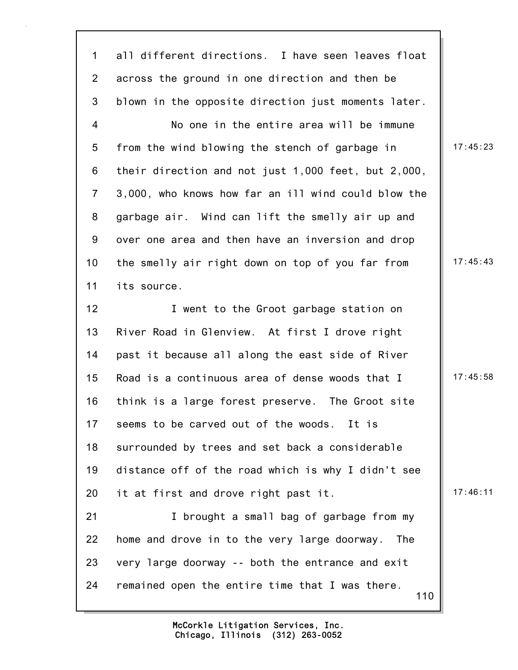110 1 all different directions. I have seen leaves float 2 across the ground in one direction and then be 3 blown in the opposite direction just moments later. 4 No one in the entire area will be immune 5 from the wind blowing the stench of garbage in | 17:45:23 6 their direction and not just 1,000 feet, but 2,000, 7 3,000, who knows how far an ill wind could blow the 8 garbage air. Wind can lift the smelly air up and 9 over one area and then have an inversion and drop 10 the smelly air right down on top of you far from  $\parallel$  17:45:43 11 its source. 12 **I** went to the Groot garbage station on 13 River Road in Glenview. At first I drove right 14 past it because all along the east side of River 15 Road is a continuous area of dense woods that I  $\parallel$  17:45:58 16 think is a large forest preserve. The Groot site 17 seems to be carved out of the woods. It is 18 surrounded by trees and set back a considerable 19 distance off of the road which is why I didn't see 20 it at first and drove right past it.  $\vert$  17:46:11 21 **I** brought a small bag of garbage from my 22 home and drove in to the very large doorway. The 23 very large doorway -- both the entrance and exit 24 remained open the entire time that I was there.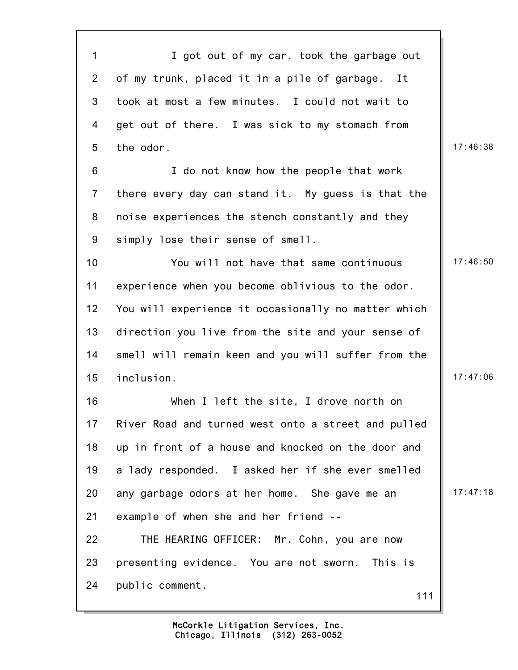111 1 I got out of my car, took the garbage out 2 of my trunk, placed it in a pile of garbage. It 3 took at most a few minutes. I could not wait to 4 get out of there. I was sick to my stomach from 5 the odor. 17:46:38 6 I do not know how the people that work 7 there every day can stand it. My guess is that the 8 noise experiences the stench constantly and they 9 simply lose their sense of smell. 10 You will not have that same continuous 17:46:50 11 experience when you become oblivious to the odor. 12 You will experience it occasionally no matter which 13 direction you live from the site and your sense of 14 smell will remain keen and you will suffer from the 15 inclusion. 17:47:06 16 When I left the site, I drove north on 17 River Road and turned west onto a street and pulled 18 up in front of a house and knocked on the door and 19 a lady responded. I asked her if she ever smelled 20 any garbage odors at her home. She gave me an  $\parallel$  17:47:18 21 example of when she and her friend -- 22 THE HEARING OFFICER: Mr. Cohn, you are now 23 presenting evidence. You are not sworn. This is 24 public comment.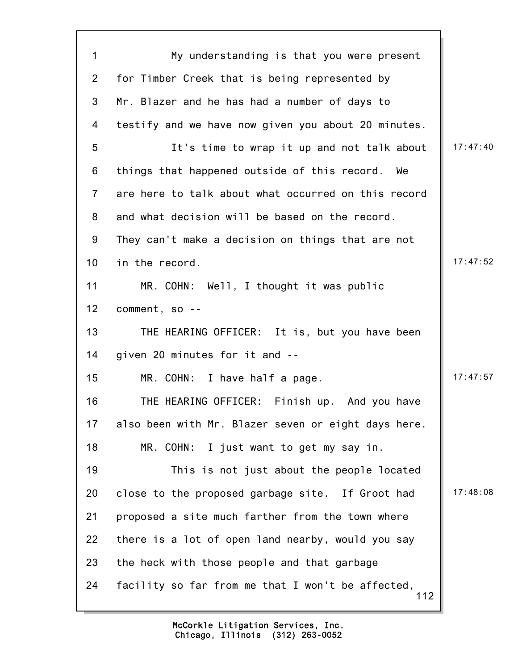| $\mathbf 1$    | My understanding is that you were present                |          |
|----------------|----------------------------------------------------------|----------|
| $\overline{2}$ | for Timber Creek that is being represented by            |          |
| 3              | Mr. Blazer and he has had a number of days to            |          |
| 4              | testify and we have now given you about 20 minutes.      |          |
| 5              | It's time to wrap it up and not talk about               | 17:47:40 |
| 6              | things that happened outside of this record.<br>We       |          |
| $\overline{7}$ | are here to talk about what occurred on this record      |          |
| 8              | and what decision will be based on the record.           |          |
| 9              | They can't make a decision on things that are not        |          |
| 10             | in the record.                                           | 17:47:52 |
| 11             | MR. COHN: Well, I thought it was public                  |          |
| 12             | comment, so --                                           |          |
| 13             | THE HEARING OFFICER: It is, but you have been            |          |
| 14             | given 20 minutes for it and --                           |          |
| 15             | MR. COHN: I have half a page.                            | 17:47:57 |
| 16             | THE HEARING OFFICER:<br>Finish up. And you have          |          |
| 17             | also been with Mr. Blazer seven or eight days here.      |          |
| 18             | MR. COHN: I just want to get my say in.                  |          |
| 19             | This is not just about the people located                |          |
| 20             | close to the proposed garbage site. If Groot had         | 17:48:08 |
| 21             | proposed a site much farther from the town where         |          |
| 22             | there is a lot of open land nearby, would you say        |          |
| 23             | the heck with those people and that garbage              |          |
| 24             | facility so far from me that I won't be affected,<br>112 |          |
|                |                                                          |          |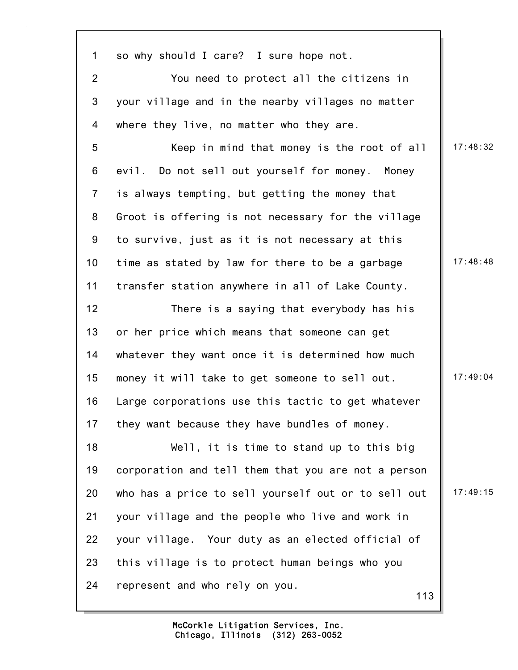1 so why should I care? I sure hope not. 2 You need to protect all the citizens in 3 your village and in the nearby villages no matter 4 where they live, no matter who they are. 5 Keep in mind that money is the root of all | 17:48:32 6 evil. Do not sell out yourself for money. Money 7 is always tempting, but getting the money that 8 Groot is offering is not necessary for the village 9 to survive, just as it is not necessary at this 10 time as stated by law for there to be a garbage  $\parallel$  17:48:48 11 transfer station anywhere in all of Lake County. 12 There is a saying that everybody has his 13 or her price which means that someone can get 14 whatever they want once it is determined how much 15 money it will take to get someone to sell out. | 17:49:04 16 Large corporations use this tactic to get whatever 17 they want because they have bundles of money. 18 Well, it is time to stand up to this big 19 corporation and tell them that you are not a person 20 who has a price to sell yourself out or to sell out  $\parallel$  17:49:15 21 your village and the people who live and work in

113

Chicago, Illinois (312) 263-0052 McCorkle Litigation Services, Inc.

22 your village. Your duty as an elected official of

23 this village is to protect human beings who you

24 represent and who rely on you.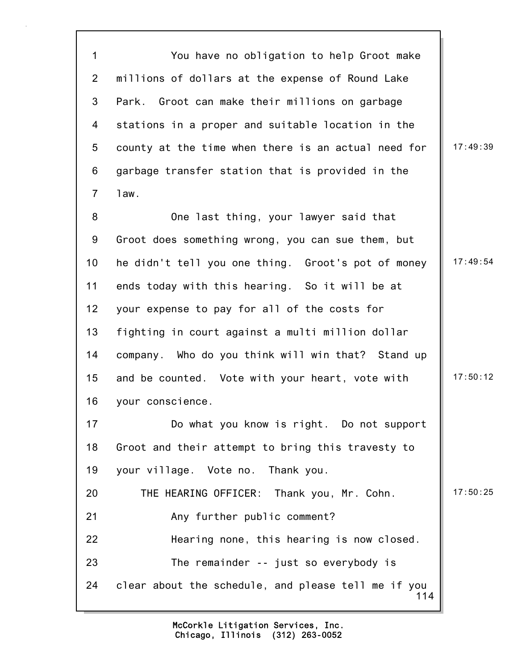114 1 You have no obligation to help Groot make 2 millions of dollars at the expense of Round Lake 3 Park. Groot can make their millions on garbage 4 stations in a proper and suitable location in the 5 county at the time when there is an actual need for  $\parallel$  17:49:39 6 garbage transfer station that is provided in the 7 law. 8 One last thing, your lawyer said that 9 Groot does something wrong, you can sue them, but 10 he didn't tell you one thing. Groot's pot of money | 17:49:54 11 ends today with this hearing. So it will be at 12 your expense to pay for all of the costs for 13 fighting in court against a multi million dollar 14 company. Who do you think will win that? Stand up 15 and be counted. Vote with your heart, vote with | 17:50:12 16 your conscience. 17 Do what you know is right. Do not support 18 Groot and their attempt to bring this travesty to 19 your village. Vote no. Thank you. 20 THE HEARING OFFICER: Thank you, Mr. Cohn. 17:50:25 21 Any further public comment? 22 Hearing none, this hearing is now closed. 23 The remainder -- just so everybody is 24 clear about the schedule, and please tell me if you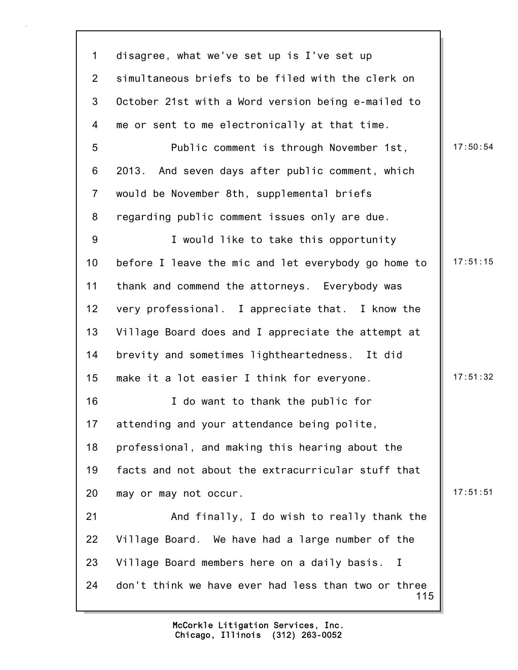115 1 disagree, what we've set up is I've set up 2 simultaneous briefs to be filed with the clerk on 3 October 21st with a Word version being e-mailed to 4 me or sent to me electronically at that time. 5 Public comment is through November 1st, 17:50:54 6 2013. And seven days after public comment, which 7 would be November 8th, supplemental briefs 8 regarding public comment issues only are due. 9 I would like to take this opportunity 10 before I leave the mic and let everybody go home to | 17:51:15 11 thank and commend the attorneys. Everybody was 12 very professional. I appreciate that. I know the 13 Village Board does and I appreciate the attempt at 14 brevity and sometimes lightheartedness. It did 15 make it a lot easier I think for everyone.  $\|$  17:51:32 16 I do want to thank the public for 17 attending and your attendance being polite, 18 professional, and making this hearing about the 19 facts and not about the extracurricular stuff that 20 may or may not occur. 17:51:51 21 And finally, I do wish to really thank the 22 Village Board. We have had a large number of the 23 Village Board members here on a daily basis. I 24 don't think we have ever had less than two or three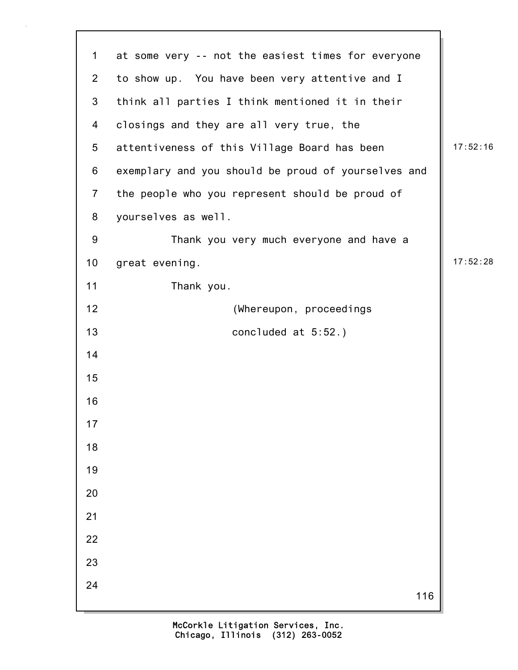| $\mathbf 1$             | at some very -- not the easiest times for everyone  |          |
|-------------------------|-----------------------------------------------------|----------|
| $\overline{2}$          | to show up. You have been very attentive and I      |          |
| $\mathfrak{S}$          | think all parties I think mentioned it in their     |          |
| $\overline{\mathbf{4}}$ | closings and they are all very true, the            |          |
| 5                       | attentiveness of this Village Board has been        | 17:52:16 |
| 6                       | exemplary and you should be proud of yourselves and |          |
| $\overline{7}$          | the people who you represent should be proud of     |          |
| 8                       | yourselves as well.                                 |          |
| $9\,$                   | Thank you very much everyone and have a             |          |
| 10                      | great evening.                                      | 17:52:28 |
| 11                      | Thank you.                                          |          |
| 12                      | (Whereupon, proceedings                             |          |
| 13                      | concluded at $5:52.$ )                              |          |
| 14                      |                                                     |          |
| 15                      |                                                     |          |
| 16                      |                                                     |          |
| 17                      |                                                     |          |
| 18                      |                                                     |          |
| 19                      |                                                     |          |
| 20                      |                                                     |          |
| 21                      |                                                     |          |
| 22                      |                                                     |          |
| 23                      |                                                     |          |
| 24                      | 116                                                 |          |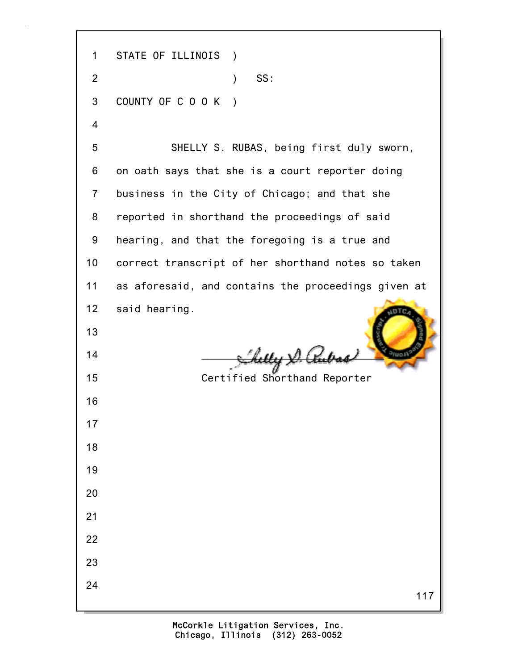117 1 STATE OF ILLINOIS ) 2 ) SS: 3 COUNTY OF C O O K ) 4 5 SHELLY S. RUBAS, being first duly sworn, 6 on oath says that she is a court reporter doing 7 business in the City of Chicago; and that she 8 reported in shorthand the proceedings of said 9 hearing, and that the foregoing is a true and 10 correct transcript of her shorthand notes so taken 11 as aforesaid, and contains the proceedings given at 12 said hearing. 13  $14$   $\frac{1}{2}$   $\frac{1}{2}$   $\frac{1}{2}$   $\frac{1}{2}$   $\frac{1}{2}$   $\frac{1}{2}$   $\frac{1}{2}$   $\frac{1}{2}$   $\frac{1}{2}$   $\frac{1}{2}$   $\frac{1}{2}$   $\frac{1}{2}$   $\frac{1}{2}$   $\frac{1}{2}$   $\frac{1}{2}$   $\frac{1}{2}$   $\frac{1}{2}$   $\frac{1}{2}$   $\frac{1}{2}$   $\frac{1}{2}$   $\frac{1}{2}$   $\frac{1}{$ 15 Certified Shorthand Reporter 16 17 18 19 20 21 22 23 24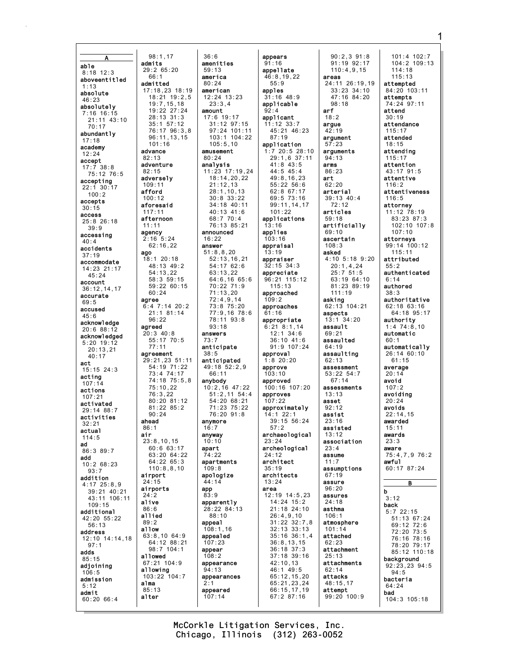admits able  $8:18$  12:3 aboveentitled absolute 46:23 absolutely  $7:16$  16:15 21:11 43:10  $70:17$ abundantly  $17:18$ academy advance  $12:24$ accept adventure  $17:7 38:8$ 75:12 76:5 adversely accepting  $22:1$  30:17 afford  $100:2$ accepts aforesaid  $30:15$ access  $25:8$  26:18  $39:9$ accessing  $40:4$ accidents ago  $37:19$ accommodate  $14:23$   $21:17$  $45:24$ account 36:12.14.17 accurate  $69:5$ accused  $45.6$ acknowledge  $20:688:12$ acknowledged  $5:20$  19:12  $20 \cdot 13$  21  $40:17$ act  $15 \cdot 15$   $24 \cdot 3$ acting  $107:14$ actions  $107:21$ activated  $29:14.88:7$ activities ahead  $32:21$ actual air  $114:5$ ad 86:3 89:7 add  $10:268:23$  $93:7$ airport addition  $4:17$   $25:8.9$ airports  $39:21$   $40:21$ 43:11 106:11 alive  $109:15$ additional allied  $42:20$   $55:22$  $56:13$ allow address 12:10 14:14,18  $97:1$ adds allowed  $85:15$ adioining allowing  $106:5$ admission alma  $5:12$ admit alter  $60:2066:4$ 

 $36:6$ amenities  $29:265:20$  $59:13$ america  $80:24$  $17:18.23$   $18:19$ american  $18:21$  19:2.5  $12:24$   $13:23$  $23:3.4$  $19:7.15.18$ 19:22 27:24  $annint$  $28.13.31.3$  $17.6$  19.17  $35:1$  57:12  $31:12$   $97:15$  $97:24$   $101:11$ <br> $103:1$   $104:22$ 76:17 96:3,8 96:11.13.15  $105:5.10$ amusement  $80:24$ analysis 11:23 17:19,24 18:14.20.22  $21:12,13$  $28:1.10.13$  $30:8$   $33:22$ 34:18 40:11  $40:13$   $41:6$ 68:7 70:4 76:13 85:21 announced  $2:16$  5:24  $16:22$  $62:16,22$ answer  $51:8, 8, 20$ 18:1 20:18  $52:13, 16, 21$ 48:13 49:2  $54:17$  62:6  $54:13.22$  $63:13.22$ 58:3 59:15 64:6,16 65:6  $59:2260:15$ 70:22 71:9  $71:13,20$  $72:4.9.14$  $6:4$  7:14 20:2  $73:875:20$  $21:1$  81:14 77:9,16 78:6 78:11 93:8  $93:18$  $20:3$  40:8 answers  $55:17$  70:5  $73.7$ anticipate  $38:5$ 29:21,23 51:11 anticipated  $54:19$  71:22  $49:18.52:2.9$  $73:474:17$ 66:11  $74.18$  75.5 8 anybody  $10:2,16$  47:22  $75:10.22$  $51:2.11$   $54:4$  $76:3.22$  $80:20.81:12$  $54:20.68:21$  $81:22 85:2$  $71:23$   $75:22$ 76:20 91:8 anymore  $16:7$ anyway  $23:8.10.15$  $10:10$ 60:6 63:17 apart  $63.2064.22$  $71.22$  $64:2265:3$ apartments  $110:8, 8, 10$  $109:8$ apologize  $44:14$ app  $83:9$ apparently 28:22 84:13  $88:10$ appeal  $108:1,16$  $63:8,10$   $64:9$ appealed 64:12 88:21  $107:23$ 98:7 104:1 appear  $108:2$ 67:21 104:9 appearance  $94:13$  $103:22$   $104:7$ appearances  $2:1$ appeared  $107:14$ 

 $98:1.17$ 

 $66:1$ 

admitted

 $101.16$ 

 $82:13$ 

 $82.15$ 

 $109:1'$ 

 $100:12$ 

 $117:11$ 

 $11:11$ 

agency

afternoon

 $60:24$ 

 $96:22$ 

 $77:11$ 

aareement

 $90.24$ 

 $86:1$ 

 $24:15$ 

 $24:2$ 

 $86.6$ 

 $89:2$ 

 $85:13$ 

agreed

agree

appears  $91:16$ appellate  $46:8.19.22$  $55:9$ apples  $31:16$  48:9 applicable  $92.4$ applicant  $11:12$  33:7 45:21 46:23  $87:19$ application  $1:7$  20:5 28:10 29:1,6 37:11  $41:8$  43:5  $44.545.4$ 49:8.16.23 55:22 56:6  $62:8$  67:17 69:5 73:16 99:11, 14, 17  $101:22$ applications  $13:16$ applies  $103:16$ appraisal  $13:19$ appraiser  $32:15$  34:3 appreciate 96:21 115:12  $115:13$ approached  $109:2$ approaches  $61:16$ appropriate  $6:21$   $8:1.14$  $12:1$  34:6  $36:10$  41:6 91:9 107:24 approval  $1:8$  20:20 approve  $103:10$ approved 100:16 107:20 approves  $107:22$ approximately  $14.122.1$  $39:15.56:24$  $57.2$ archaeological  $23:24$ archeological  $24.15$ architect  $35:19$ architects  $13:24$ area 12:19 14:5.23 14:24 15:2  $21:18$  24:10  $26:4,9,10$  $31:22$   $32:7,8$  $32:13$   $33:13$  $35:16$   $36:1,4$  $36:8, 13, 15$  $36:18$   $37:3$  $37:18$  39:16  $42:10,13$ 46:1 49:5  $65:12, 15, 20$  $65:21,23,24$  $66:15,17,19$ 67:2 87:16

 $90:2.391:8$  $91:19$   $92:17$  $110:4.9.15$ areas  $24:11$   $26:19.19$ 33:23 34:10<br>47:16 84:20  $98:18$  $arf$  $18.2$ argue  $42:19$ argument  $57:23$ arguments  $94:13$ arms  $86.23$ art  $62:20$ arterial 39:13 40:4  $72:12$ articles  $59:18$ artificially  $69:10$ ascertain  $108.3$ asked 4:10 5:18 9:20  $20:1, 4, 24$  $25:7.51:5$ 63:19 64:10 81:23 89:19  $111:19$ asking 62:13 104:21 aspects  $13:1$   $34:20$ assault  $69:21$ assaulted 64:19 assaulting  $62:13$ assessment  $53:22$   $54:7$  $67 \cdot 14$ assessments  $13:13$ asset  $92:12$ assist  $23:16$ assisted  $13.12$ association  $23:4$ assume  $11:7$ assumptions  $67:19$ assure  $96:20$ assures  $24:18$ asthma  $106:1$ atmosphere  $101:14$ attached attachment  $25:13$ attachments  $62:14$ attacks  $48:15.17$ attempt  $99:20 100:9$ 

101:4 102:7<br>104:2 109:13  $114:18$  $115:13$ attempted  $84:20$  103:11 attempts 74:24 97:11 attend  $30.19$ attendance  $115:17$ attended  $18:15$ attending  $115:17$ attention  $43:17$   $91:5$ attentive  $116:2$ attentiveness  $116:5$ attorney  $11:12$   $78:19$ 83:23 87:3 102:10 107:8  $107:10$ attorneys 99:14 100:12  $115:11$ attributed  $55:2$ authenticated  $6:14$ authored  $38:3$ authoritative 62:18 63:16 64:18 95:17 authority  $1:4$  74:8.10 automatic  $60:1$ automatically  $26:1460:10$  $61:15$ average  $20:14$ avoid  $107:2$ avoiding  $20:24$ avoids  $22:14.15$ awarded  $15:11$ awards  $23:3$ aware  $75 \cdot 4$  7 9 76  $\cdot$  2 awful 60:17 87:24 R b  $3:12$ back  $5:7$  22:15 51:13 67:24  $69:12$   $72:6$ 72:20 73:5 76:16 78:16 78:20 79:17 85:12 110:18 background  $92:23.23.94:5$  $94:5$ bacteria  $64:24$ bad  $104:3$  105:18

McCorkle Litigation Services, Inc. Chicago, Illinois (312) 263-0052

1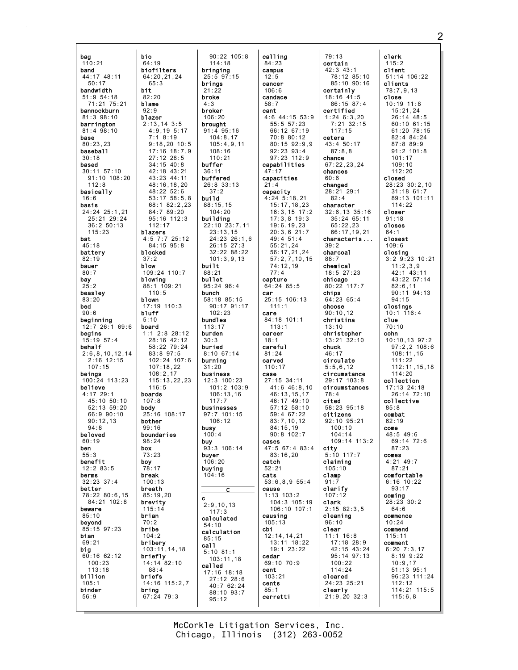bag bio  $110:21$ 64:19 biofilters band  $44:17$   $48:11$  $50:17$ bandwidth bit.  $82:20$  $51.954.18$  $71:21$  75:21 blame hannockhurn  $92.9$  $81.398.10$ blazer barrington  $81:4$   $98:10$ base  $80:23.23$ baseball  $30.18$ based  $30:11$  57:10  $91:10$   $108:20$  $112:8$ basically  $16:6$ basis 24:24 25:1.21 25:21 29:24  $36:2 50:13$  $115:23$ blazers bat  $45:18$ battery blocked  $82:19$ bauer blow  $80:7$ bay blowing  $25:2$ beasley blown  $83:20$ bed  $90:6$ bluff beginning  $5:10$  $12:7$  26:1 69:6 board begins  $15:19$   $57:4$ behalf  $2:6, 8, 10, 12, 14$ <br>2:16 12:15  $107:15$ beings  $100:24$  113:23 believe  $4:17$   $29:1$ <br> $45:10$   $50:10$ hoards  $52:13.59:20$  $66.990.10$  $90:12.13$ bother  $Q_{\mathcal{A}} \cdot R$ beloved boundaries  $60:19$  $98:24$ ben box  $55.3$ benefit boy  $12:283:5$ berms break  $32:23.37:4$ better breath 78:22 80:6.15  $85:19,20$ 84:21 102:8 brevity beware brian  $85:10$ bevond  $85.1597.23$ bribe bian  $69:21$ bribery big  $60:1662:12$ briefly  $100:23$  $113:18$ billion briefs  $105:1$ binder bring  $56:9$ 

 $65:3$ 

 $112:17$ 

 $37:2$ 

 $110:5$ 

 $116:5$ 

 $107:8$ 

 $99:16$ 

 $73.23$ 

 $78:17$ 

 $100:13$ 

 $115:14$ 

 $70:2$ 

 $104:2$ 

 $88:4$ 

 $90:22$  105:8  $114:18$ bringing 64:20,21.24  $25:5$  97:15 brings  $21:22$ broke  $4:3$ hroker  $106:20$  $2:13.14$  3:5 brought  $4:9,195:17$  $91:4$   $95:16$  $104:8.17$  $7.18.19$  $9:18.20 10:5$  $105:4.9.11$ 17:16 18:7,9  $108:16$  $27:12$   $28:5$  $110:21$  $34:15$  40:8 buffer  $42.18$   $43.21$  $36:11$ 43:23 44:11 buffered 48:16,18,20<br>48:22 52:6 26:8 33:13  $37.2$  $53:1758:5,8$ build  $88:15,15$ 68:1 82:2,23  $84.789.20$  $104.20$ 95:16 112:3 building  $22:10$   $23:7,11$  $23:13,15$  $4:5$  7:7 25:12 24:23 26:1,6  $84.1595.8$  $26.15$   $27.3$ 32:22 88:22  $101:3.9.13$ built 109:24 110:7  $88:21$ bullet 88:1 109:21  $95:24$   $96:4$ bunch 58:18 85:15  $17.19$   $110.3$ 90:17 91:17  $102:23$ bundles  $113:17$  $1:1$  2:8 28:12 burden  $28:16$  42:12  $30.3$  $58:22$  79:24 buried  $8:10$  67:14  $83:897:5$  $102:24$  107:6 burning  $107:18.22$  $31:20$ business  $108:2.17$  $115:13.22.23$  $12:3$  100:23  $101:2$   $103:9$  $106:13.16$  $117:7$ **body**<br> $25:16$   $108:17$ businesses  $97.7$  101.15  $106:12$ busy  $100 \cdot 4$ buy  $93:3$  106:14 buyer  $106:20$ buying  $104:16$ C  $\mathbf c$  $2:9.10.13$  $117:3$ calculated  $54:10$ calculation  $85:15$ ca11  $103:11,14,18$  $5:10$  81:1  $103:11,18$ 14:14 82:10 called  $17:16$   $18:18$  $27:12$   $28:6$ 14:16 115:2.7  $40:762:24$  $88:10$  93:7  $67:2479:3$  $95:12$ 

calling  $84:23$ campus  $12:5$ cancer  $106:6$ candace  $58:7$ cant  $4:6$  44:15 53:9  $55:5$   $57:23$ 66:12 67:19  $70:880:12$  $80:15$  92:9.9 92:23 93:4  $97.23$  112.9 capabilities  $47:17$ capacities  $21:4$ capacity  $4:24$  5:18,21  $15:17, 18, 23$  $16:3.15$  17:2  $17:3,8$  19:3  $19:6, 19, 23$  $20:3,6$  21:7  $49:4$  51:4  $55:21,24$  $56:17,21,24$  $57:2,7,10,15$ 74:12.19  $77:4$ capture  $64:24$  65:5 car 25:15 106:13  $111:1$ care 84:18 101:1  $113:1$ career  $18:1$ careful  $81:24$ carved  $110:17$ case  $27:15$  34:11  $41:6$   $46:8.10$ 46:13,15,17<br>46:17 49:10 57:12 58:10  $59.4 67.22$  $83:7.10.12$  $84:15.19$  $90.8102.7$ cases 47:5 67:4 83:4  $83 \cdot 16.20$ catch  $52:21$ cats  $53:6.8.9.55:4$ cause  $1:13$  103.2 104:3 105:19  $106:10$   $107:1$ causing  $105:13$  $cb1$  $12:14, 14, 21$ 13:11 18:22 19:1 23:22 cedar 69:10 70:9 cent  $103:21$ cents  $85:1$ cerretti

 $79:13$ certain  $42:3$   $43:1$ 78:12 85:10  $85:10$  90:16 certainly  $18:16$  41:5  $86:15$  87:4 certified  $1:24$  6:3,20  $7:21.32:15$  $117:15$ cetera 43:4 50:17  $87:8.8$ chance  $67:22,23,24$ chances  $60:6$ changed  $28:21$  29:1  $82:4$ character  $32:6, 13$  35:16  $35:24$  65:11  $65:22,23$  $66:17,19,21$ characteris...  $39:2$ charcoal  $88:7$ chemical  $18:5$  27:23 chicago  $80:22$  117:7 chips  $64:2365:4$ choose  $90:10,12$ christina  $13:10$ christopher 13:21 32:10 chuck  $46:17$ circulate  $5:5,6,12$ circumstance  $29.17 103.8$ circumstances  $78.4$ cited  $58:23.95:18$ citizens 92:10 95:21  $100 \cdot 10$  $104.14$  $109:14$   $113:2$ city<br> $5:10, 117:7$ claiming  $105:10$ clamp  $91:7$ clarify  $107:12$ clark  $2:15$  82:3.5 cleaning  $96:10$ clear  $11:1$  16:8 17:18 28:9 42:15 43:24 95:14 97:13  $100:22$  $114:24$ cleared 24:23 25:21 clearly  $21:9,20$  32:3

clerk  $115:2$ client  $51:14$  106:22 clients  $78:7,9,13$ close  $10:19$  11:8  $15:21,24$  $26.14$   $48.5$  $60:10.61:15$ 61:20 78:15  $82:4$   $84:24$  $87:889:9$  $91:2$  101:8  $101.17$  $109:10$  $112.20$ closed 28:23 30:2,10  $31:18$  61:7 89:13 101:11  $114:22$ closer  $91:18$ closes closest  $109:6$ closing  $3:2$  9:23 10:21  $11:2,3,9$  $42:1$   $43:11$ 43:22 57:14  $82:6,11$  $90:11$   $94:13$  $94:15$ closings  $10:1$  116:4  $c$ lue  $70:10$ cohn  $10:10, 13$  97:2  $97:2.2$  108:6  $108:11,15$  $111:22$  $112:11.15.18$  $114:20$ collection  $17:13$   $24:18$ 26:14 72:10 collective  $85:8$ combat  $62:19$ come  $48.5496$  $69.1472.6$  $87:23$  $\mathop{\mathrm{comes}}$  $4:21$  49:7  $87:21$ comfortable  $6:16$  10:22  $93:17$ comina  $28:23$  30:2  $64.6$ commence  $10:24$ commend  $115:11$ comment  $6:20$   $7:3.17$  $8:199:22$  $10:9,17$  $51:13$  95:1 96:23 111:24  $112:12$ 114:21 115:5  $115:6,8$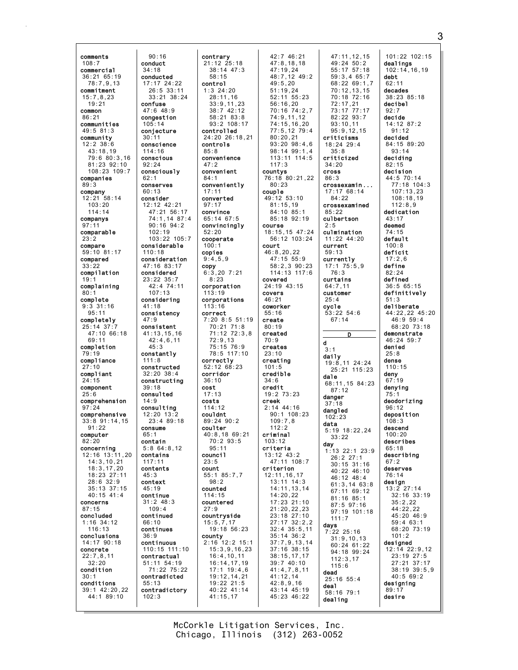comments 108:7 commercial 36:21 65:19 78:7,9,13 commitment  $15:7,8,23$ 19:21 common 86:21 communities 49:5 81:3 community 12:2 38:6 43:18,19 79:6 80:3,16 81:23 92:10 108:23 109:7 companies 89:3 company 12:21 58:14 103:20 114:14 companys 97:11 comparable 23:2 compare 59:10 81:17 compared 33:22 compilation 19:1 complaining  $80:$ complete 9:3 31:16 95:11 completely 25:14 37:7 47:10 66:18 69:11 completion 79:19 compliance 27:10 compliant  $24:15$ component 25:6 comprehension 97:24 comprehensive 33:8 91:14,15  $91.22$ computer 82:20 concerning  $12.16$   $13.11$ , 20 14:3,10,21 18:3,17,20 18:23 27:11 28:6 32:9 35:13 37:15 40:15 41:4 concerns 87:15 concluded 1:16 34:12  $116:13$ conclusions 14:17 90:18 concrete 22:7,8,11 32:20 condition 30:1 conditions 39:1 42:20,22 44:1 89:10

90:16 conduct 34:18 conducted 17:17 24:22 26:5 33:11 33:21 38:24 confuse 47:6 48:9 congestion 105:14 conjecture  $30 \cdot 11$ conscience 114:16 conscious 92:24 consciously 62:1 conserves 60:13 consider 12:12 42:21 47:21 56:17 74:1,14 87:4 90:16 94:2 102:19 103:22 105:7 considerable 110:18 consideration 47:16 83:17 considered 23:22 35:7 42:4 74:11 107:13 considering 41:18 consistency 47:9 consistent 41:13,15,16  $42:4,6,11$ 45:3 constantly 111:8 constructed 32:20 38:4 constructing 39:18 consulted 14:9 consulting  $12.20 13.2$ 23:4 89:18 consume  $65:1$ contain 5:8 64:8,12 contains 117:11 contents 45:3 context 45:19 continue 31:2 48:3  $109:4$ continued 66:10 continues 36:9 continuous 110:15 111:10 contractual 51:11 54:19 71:22 75:22 contradicted 55:13 contradictory 102:3

contrary 21:12 25:18 38:14 47:3 58:15 control 1:3 24:20  $28.11,16$ 33:9,11,23 38:7 42:12 58:21 83:8 93:2 108:17 controlled 24:20 26:18,21 controls 85:8 convenience 47:2 convenient 84:1 conveniently 17:11 converted 97:17 convince 65:14 67:5 convincingly 52:20 cooperate  $100 \cdot 1$ copies 9:4,5,9 copy 6:3,20 7:21 8:23 corporation 113:19 corporations  $113 \cdot 16$ correct 7:20 8:5 51:19 70:21 71:8 71:12 72:3,8 72:9,13 75:15 76:9 78:5 117:10 correctly 52:12 68:23 corridor 36:10 cost 17:13 costs 114:12 couldnt 89:24 90:2 coulter 40:8,18 69:21 70:2 93:5 95:11 council 23:5 count 55:1 85:7,7 98:2 counted 114:15 countered  $27.9$ countryside 15:5,7,17 19:18 56:23 county 2:16 12:2 15:1 15:3,9,16,23 16:4,10,11 16:14,17,19 17:1 19:4,6 19:12,14,21 19:22 21:5 40:22 41:14 41:15,17

42:7 46:21 47:8,18,18 47:19,24 48:7,12 49:2  $49:5.20$ 51:19,24  $52 \cdot 11$   $55 \cdot 23$ 56:16,20 70:16 74:2,7  $74.9$  11,12 74:15,16,20 77:5,12 79:4 80:20,21 93:20 98:4,6 98:14 99:1,4 113:11 114:5 117:3 countys 76:18 80:21,22 80:23 couple 49:12 53:10 81:15,19 84:10 85:1 85:18 92:19 course 18:15,15 47:24 56:12 103:24 court 46:8,20,22 47:15 55:9 58:2,3 90:23 114:13 117:6 covered 24:19 43:15 covers 46:21 coworker 55:16 create 80:19 created 70:9 creates 23:10 creating  $101:5$ credible  $34.6$ credit 19:2 73:23 creek 2:14 44:16 90:1 108:23 109:7,8  $112.2$ criminal 103:12 criteria 13:12 43:2 47:11 108:7 criterion 12:11,16,17 13:11 14:3 14:11,13,14 14:20,22 17:23 21:10 21:20,22,23 23:18 27:10 27:17 32:2,2 32:4 35:5,11 35:14 36:2 37:7,9,13,14 37:16 38:15 38:15,17,17 39:7 40:10 41:4,7,8,11 41:12,14 42:8,9,16 43:14 45:19 45:23 46:22

d

47:11,12,15 49:24 50:2 55:17 57:18 59:3,4 65:7 68:22 69:1,7 70:12,13,15 70:18 72:16 72:17,21 73:17 77:17 82:22 93:7 93:10,11 95:9,12,15 criticisms 18:24 29:4 35:8 criticized 34:20 cross 86:3 crossexamin ... 17:17 68:14 84:22 crossexamined 85:22 culbertson 2:5 culmination 11:22 44:20 current 59:13 currently 17:1 75:5,9 76:3 curtains 64:7,11 customer 25:4 cycle 53:22 54:6 67:14 D  $3:1$ daily 19:8,11 24:24 25:21 115:23 dale 68:11,15 84:23 87:12 danger 37:18 dangled 102:23 data 5:19 18:22,24 33:22 day 1:13 22:1 23:9 26:2 27:1 30:15 31:16 40:22 46:10 46:12 48:4 61:3,14 63:8 67:11 69:12 81:16 85:1 87:5 97:16 97:19 101:18 111:7 days 7:22 25:16 31:9,10,13 60:24 61:22 94:18 99:24 112:3,17 115:6 dead 25:16 55:4 deal 58:16 79:1 dealing debt  $62:1$  $92.7$ 51:3 25:8 dense deny 75:1 67:2 designing 89:17 desire

101:22 102:15 dealings 102:14,16,19 decades 38:23 85:18 decibel decide 14:12 87:2 91:12 decided 84:15 89:20 93:14 deciding 82:15 decision 44:5 70:14 77:18 104:3 107:13,23 108:18,19 112:8,9 dedication 43:17 deemed 74:15 default 100:8 deficit 17:2,6 define 82:24 defined 36:5 65:15 definitively deliberate 44:22,22 45:20 46:9 59:4 68:20 73:18 demonstrate  $46.24 59.7$ denied 110:15 67:19 denying deodorizing 96:12 deposition 108:3 descend  $100.20$ describes 65:18 describing deserves 76:14 design 13:2 27:14 32:16 33:19 35:2,22 44:22,22 45:20 46:9 59:4 63:1 68:20 73:19 101:2 designed 12:14 22:9,12 23:19 27:5 27:21 37:17 38:19 39:5,9 40:5 69:2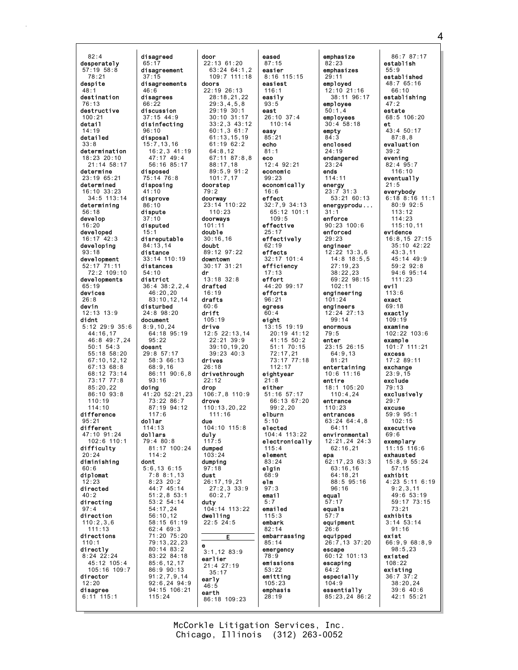$82:4$ desperately  $57:19$   $58:8$  $78:21$ desnite  $48:1$ destination  $76:13$ destructive  $100.21$ detail  $14:19$ detailed  $33.8$ determination  $18:23$   $20:10$  $21:14.58:17$ determine  $23:1965:21$ determined  $16:10.33:23$  $34:5$  113:14 determining  $56:18$ develop  $16:20$ developed  $16:17$  42:3 developing  $93:18$ development  $52:17$   $71:11$ 72:2 109:10 developments devices  $26:8$ devin  $12:13$   $13:9$ didnt 5:12 29:9 35:6 44:16.17  $46:8$  49:7,24  $50:1$  54:3  $55:18$  58:20<br>67:10,12,12  $67:13.68:8$ 68:12 73:14<br>73:17 77:8  $85:20.22$  $86:10$   $93:8$  $110:19$  $114:10$ difference  $95:21$ different  $47.10$  91.24  $102.6$   $110.1$ difficulty  $20.24$ diminishing  $60:6$ diplomat  $:23$ directed  $40:2$ directing direction  $110:2,3,6$  $111 \cdot 13$ directions  $110:1$ directly  $8:24$   $22:24$ 45:12 105:4 105:16 109:7 director  $12:20$ disagree  $6:11$  115:1

disagreed door disagreement  $37:15$ disagreements doors  $46:6$ disagrees  $66:22$ discussion  $37.15$   $44.9$ disinfecting  $96:10$ disposal  $15:7, 13, 16$  $16:2,3$  41:19  $47:17$   $49:4$ 56:16 85:17 disposed 75:14 76:8 disposing doorstep  $41:10$  $79.2$ disprove doorway  $86:10$ dispute  $110:23$  $37:10$ doorways disputed  $101:11$ doub1e disreputable  $30:16.16$  $84:13.14$ doubt distance  $33:14$  110:19 downtown distances  $54:10$ dr district 36:4 38:2.2.4 drafted  $46:20,20$  $16:19$  $83:10, 12, 14$ drafts disturbed  $60.6$ 24:8 98:20 drift document  $105:19$  $8:9,10,24$ drive 64:18 95:19  $95.22$ doesnt  $29:8$  57:17 58:3 66:13 drives  $68:9,16$  $26:18$ 86:11 90:6.8  $93.16$  $22.12$ doing drop 41:20 52:21,23  $73:22.86:7$ drove 87:19 94:12  $117.6$  $111 \cdot 16$ dollar due  $114:13$ dollars du1y  $117:5$  $79:480:8$ 81:17 100:24 dumped  $111.2$  $103.24$ dont dumping  $5:6, 13, 6:15$  $97:18$  $7:88:1,13$ dust  $8:23.20:2$ 44:7 45:14  $51:2.853:1$  $60:2.7$ 53:2 54:14 duty  $54:17.24$  $56:10,12$ dwelling 58:15 61:19  $22:5$   $24:5$  $62:469:3$ 71:20 75:20 79:13,22,23 е  $80:14.83:2$ 83:22 84:18 earlier  $85:6, 12, 17$ 86:9 90:13  $35:17$  $91:2,7,9,14$ early  $92:6, 24, 94:9$  $46:5$ 94:15 106:21 earth  $115:24$ 

eased  $22:13$  61:20  $87:15$ easier  $63:24$   $64:1,2$  $109:7$  111:18  $8:16$  115:15 easiest  $22:19.26:13$  $116:1$  $28.18$  21 22 easily  $29:3.4.5.8$  $93:5$  $29:19:30:1$ <br> $30:10:31:17$ east  $26:10$  37:4  $33:2.3$  43:12  $110:14$  $60:1,361:7$ easy  $85:21$  $61:13.15.19$  $61:1962:2$ echo  $64:8,12$  $81:1$ 67:11 87:8.8 eco 12:4 92:21  $88:17,18$  $89:5.991:2$ economic  $101:7,17$  $99:23$ economically  $16:6$ effect  $32:7,9$  34:13 23:14 110:22 65:12 101:1  $109:5$ effective effectively  $62:19$ 89:12 97:22 effects  $32:17$  101:4  $30:17$   $31:21$ efficiency  $17:13$ effort  $13:18$   $32:8$ 44:20 99:17 efforts  $96:21$ earess  $60:4$ eight  $13:15$  19:19  $12:5$  22:13.14 20:19 41:12  $22:21$  39:9  $41:15$  50:2 39:10.19.20  $51:1$  70:15  $39:23 \quad 40:3$ 72:17,21<br>73:17 77:18  $112:17$ drivethrough eightyear  $21.8$ either 106:7,8 110:9 51:16 57:17 66:13 67:20  $110:13.20.22$  $99:2.20$ elburn  $5:10$  $104:10$   $115:8$ elected 104:4 113:22 electronically  $115:4$ element  $83:24$ elgin  $68:9$ 26:17,19,21 elm  $27:2,3$  33:9  $97:3$ email  $5:7$ 104:14 113:22 emailed  $115:3$ embark  $82:14$ embarrassing Е  $85:14$ emergency  $3:1,12$  83:9  $78:9$ emissions  $21:4$  27:19  $53:22$ emitting  $105:23$ emphasis  $28:19$  $86:18$  109:23

emphasize  $82:23$  $29:11$ empty  $84.3$  $24:19$  $23:24$ ends  $114:11$ energy  $31:1$  $29:23$  $79:5$ enter entire epa equal  $57:17$ equals  $57:7$  $26.6$ escape  $64:2$  $104:9$ 

emphasizes employed  $12:10$   $21:16$ <br> $38:11$   $96:17$ employee  $50.14$ employees  $30:4.58:18$ enclosed endangered  $23:7^{131}:3$ 53:21 60:13 energyprodu... enforce  $90:23$  100:6 enforced engineer  $12:22$  13:3,6  $14:8$  18:5,5  $27:19.23$  $38:22.23$ 69:22 98:15  $102:11$ engineering  $101:24$ engineers 12:24 27:13  $99:14$ enormous  $23:15$   $26:15$  $64:9.13$  $81:21$ entertaining  $10:6$  11:16  $18:1$  105:20  $110 \cdot 4$  24 entrance  $110:23$ entrances  $63:24$   $64:4.8$  $64:11$ environmental  $12:21.24.24:3$  $62:16,21$  $62:17,2363:3$  $63:16,16$  $64:18.21$  $88:595:16$  $96:16$ equipment equipped 26:7,13 37:20  $60:12$  101:13 escaping especially essentially  $85:23,24$  86:2

 $86:787:17$ establish  $55:9$ established  $48:765:16$  $66:10$ establishing  $47:2$ estate 68:5 106:20 et  $43:450:17$  $87.8R$ evaluation  $39:2$ evening  $82:4$  95:7  $116:10$ eventually  $21:5$ everybody  $6:18$   $8:16$  11:1  $80:992:5$  $113:12$  $114:23$  $115:10.11$ evidence  $16:8, 15 27:15$  $35:10$  42:22  $43:3,11$  $45:14$   $49:9$  $59:2$   $92:8$  $94:695:14$  $111:23$ evil  $113:6$ exact  $69.18$ exactly  $109:19$ examine  $102:22$   $103:6$ example 101:7 111:21 excess 17:2 89:11 exchange  $23:9.15$ exclude  $79:13$ exclusively  $29:7$ excuse 59:9 95:1  $102:15$ executive  $69.6$ exemplarv  $11:15$   $116:6$ exhausted  $15:8.955:24$  $57:15$ exhibit 4:23 5:11 6:19  $9:2,3,11$ 49:6 53:19 59:17 73:15  $73.21$ exhibits  $3:14$  53:14  $91.16$ exist 66:9,9 68:8,9  $98:5.23$ existed  $108:22$ existing  $36:7 \ 37:2$  $38:20,24$  $39:640:6$  $42:1$  55:21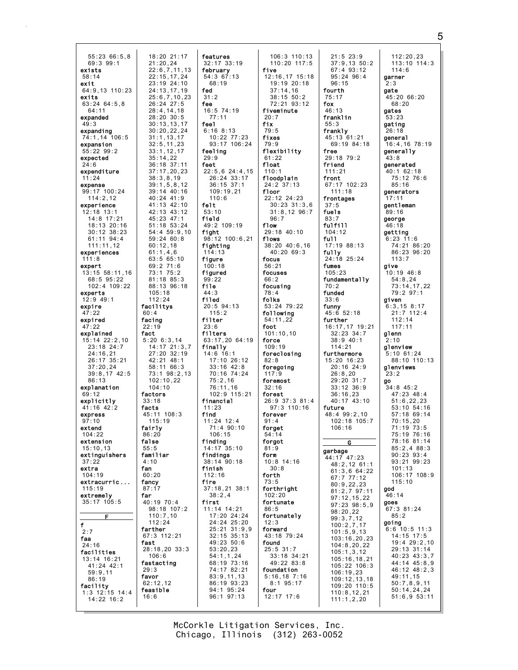| 55:23 66:5,8<br>69:3 99:1<br>exists<br>58:14<br>exit<br>64:9,13 110:23<br>exits<br>63:24 64:5,8<br>64:11<br>expanded<br>49:3<br>expanding<br>74:1,14 106:5<br>expansion<br>55:22 99:2<br>expected<br>24:6<br>expenditure<br>11:24<br>expense<br>99:17 100:24<br>114:2,12<br>experience<br>12:18 13:1<br>14:8 17:21<br>18:13 20:16<br>30:12 38:23<br>61:11 94:4<br>111:11,12<br>experiences<br>111:8<br>expert<br>13:15 58:11,16<br>68:5 95:22<br>102:4 109:22<br>experts<br>12:9 49:1<br>expire<br>47:22<br>expired<br>47:22<br>explained<br>15:14 22:2,10<br>23:18 24:7<br>24:16,21<br>26:17 35:21<br>37:20,24<br>39:8,17 42:5<br>86:13<br>explanation<br>69:12<br>explicitly<br>41:16 42:2<br>express<br>97:10<br>extena<br>104:22<br>extension<br>15:10,13<br>extinguishers<br>37:22<br>extra<br>104:19<br>extracurric<br>115:19 | 18:20 21:17<br>21:20,24<br>22:6,7,11,13<br>22:15,17,24<br>23:19 <sup>'</sup> 24:10<br>24:13,17,19<br>25:6,7,10,23<br>26:24 27:5<br>28:4, 14, 18<br>28:20 30:5<br>30 : 13 , 13 , 17<br>30 : 20 , 22 , 24<br>31:1, 13, 17<br>32:5, 11, 23<br>33:1, 12, 17<br>35:14,22<br>36:18 37:11<br>37:17,20,23<br>38:3, 8, 19<br>39:1, 5, 8, 12<br>39:14 40:16<br>40:24 41:9<br>41:13 42:10<br>42:13 43:12<br>45:23 47:1<br>51:18 53:24<br>54:4 59:9,10<br>59:24 60:8<br>60:12,18<br>61:1,4,6<br>63:5 65:10<br>69:2 71:6<br>73:1 75:2<br>81:18 85:3<br>88:13 96:18<br>105:18<br>112:24<br>facilitys<br>60:4<br>facing<br>22:19<br>fact<br>5:20 6:3,14<br>$14:17$ $21:3,7$<br>27:20 32:19<br>42:21 48:1<br>58:11 66:3<br>73:1 98:2,13<br>102:10,22<br>104:10<br>factors<br>33:18<br>facts<br>45:11 108:3<br>115:19<br>fairly<br>86:20<br>false<br>55:5<br>familiar<br>4:10<br>fan<br>60:20<br>fancy<br>87:17 |
|-------------------------------------------------------------------------------------------------------------------------------------------------------------------------------------------------------------------------------------------------------------------------------------------------------------------------------------------------------------------------------------------------------------------------------------------------------------------------------------------------------------------------------------------------------------------------------------------------------------------------------------------------------------------------------------------------------------------------------------------------------------------------------------------------------------------------------------|------------------------------------------------------------------------------------------------------------------------------------------------------------------------------------------------------------------------------------------------------------------------------------------------------------------------------------------------------------------------------------------------------------------------------------------------------------------------------------------------------------------------------------------------------------------------------------------------------------------------------------------------------------------------------------------------------------------------------------------------------------------------------------------------------------------------------------------------------------------------------------------------|
| extremely<br>35:17 105:5                                                                                                                                                                                                                                                                                                                                                                                                                                                                                                                                                                                                                                                                                                                                                                                                            | far<br>40:19 70:4<br>98:18 107:2                                                                                                                                                                                                                                                                                                                                                                                                                                                                                                                                                                                                                                                                                                                                                                                                                                                               |
| F<br>f<br>2:7<br>faa<br>24:16<br>facilities<br>13:14 16:21<br>41:24 42:1<br>59:9,11<br>86:19<br>facility<br>$1:3$ 12:15 14:4<br>14:22 16:2                                                                                                                                                                                                                                                                                                                                                                                                                                                                                                                                                                                                                                                                                          | 110:7,10<br>112:24<br>farther<br>67:3 112:21<br>fast<br>28:18,20 33:3<br>106:6<br>fastacting<br>29:3<br>favor<br>62:12,12<br>feasible<br>16:6                                                                                                                                                                                                                                                                                                                                                                                                                                                                                                                                                                                                                                                                                                                                                  |

features 32:17 33:19 february 54:3 67:13 68:19 fed  $31:2$ fee 16:5 74:19 77:11 feel 6:16 8:13 10:22 77:23 93:17 106:24 feeling  $29.9$ feet 22:5,6 24:4,15 26:24 33:17 36:15 37:1 109:19,21 110:6 felt 53:10 field 49:2 109:19 fight 98:12 100:6,21 fighting 114:13 figure 100:18 figured 99:22 file 44:3 filed 20:5 94:13 115:2 filter 23:6 filters 63:17,20 64:19 finally 14:6 16:1 17:10 26:12 33:16 42:8 70:16 74:24 75:2,16 76:11,16 102:9 115:21 financial 11:23 find 11:24 12:4 71:4 90:10 106:15 finding 14:17 35:10 findings 38:14 90:18 finish 112:16 fire 37:18,21 38:1 38:2,4 first 11:14 14:21 17:20 24:24 24:24 25:20 25:21 31:9,9 32:15 35:13 49:23 50:6 53:20,23 54:1,1,24 68:19 73:16 74:17 82:21 83:9,11,13 86:19 93:23 94:1 95:24 96:1 97:13

106:3 110:13 110:20 117:5 five 12:16,17 15:18 19:19 20:18 37:14,16  $38.15.50.2$ 72:21 93:12 fiveminute  $20:7$ fix 79:5 fixes 79:9 flexibility 61:22 float  $110:1$ floodplain 24:2 37:13 floor 22:12 24:23 30:23 31:3,6 31:8,12 96:7 96:7 flow 29:18 40:10 flows 38:20 40:6,16 40:20 69:3 focus 56:21 focuses 66:2 focusing 78:4 folks 53:24 79:22 following 54:11,22 foot 101:10,10 force 109:19 foreclosing 82:8 foregoing 117:9 foremost 32:16 forest 26:9 37:3 81:4 97:3 110:16 forever 91:4 forget 54:14 forgot 81:9 form 10:8 14:16 30:8 forth 73:5 forthright 102:20 fortunate 86:5 fortunately 12:3 forward 43:18 79:24 found 25:5 31:7 33:18 34:21 49:22 83:8 foundation 5:16,18 7:16 8:1 95:17 four 12:17 17:6

fox

21:5 23:9 37:9,13 50:2 67:4 93:12 95:24 96:4 96:15 fourth 75:17 46:13 franklin 55:3 frankly 45:13 61:21 69:19 84:18 free 29:18 79:2 friend  $111.21$ front 67:17 102:23 111:18 frontages 37:5 fuels 83:7 fulfill 104:12 full 17:19 88:13 fully 24:18 25:24 fumes 105:23 fundamentally 70:2 funded 33:6 funny 45:6 52:18 further 16:17,17 19:21 32:23 34:7 38:9 40:1 114:21 furthermore 15:20 16:23 20:16 24:9 26:8,20 29:20 31:7 33:12 36:9 36:16,23 40:17 43:10 future 48:4 99:2,10 102:18 105:7 106:16 G garbage 44:17 47:23 48:2,12 61:1 61:3,6 64:22 67:7 77:12 80:9,22,23 81:2,7 97:11 97:12,15,22 97:23 98:5,9 98:20,22 99:3,7,12 100:2,7,17 101:5,9,13 103:16,20,23 104:8,20,22 105:1,3,12 105:16,18,21 105:22 106:3 106:19,23 109:12,13,18 109:20 110:5 110:8,12,21 111:1,2,20 112:20,23 113:10 114:3 114:6 garner 2:3 gate 45:20 66:20 68:20 gates 53:23 gating 26:18 general 16:4,16 78:19 generally 43:8 generated 40:1 62:18 75:12 76:6 85:16 generators  $17:11$ gentleman 89:16 george 46:18 getting 6:23 11:6 74:21 86:20 86:23 96:20 113:7 give 10:19 46:8 54:8,24 73:14,17,22 79:2 97:1 given 6:3,15 8:17 21:7 112:4 112:14 117:11 glenn 2:10 glenview 5:10 61:24 88:10 110:13 glenviews 23:2 go 34:8 45:2 47:23 48:4 51:6,22,23 53:10 54:16 57:18 69:14 70:15,20 71:19 73:5 75:19 76:16 78:16 81:14 85:2,4 88:3  $90.23$   $93.4$ 93:21 99:23 101:13 106:17 108:9 115:10 god 46:14 goes 67:3 81:24 85:2 going 6:6 10:5 11:3 14:15 17:5 19:4 29:2,10 29:13 31:14 40:23 43:3,7 44:14 45:8,9 46:12 48:2,3 49:11,15 50:7,8,9,11 50:14,24,24 51:6,9 53:11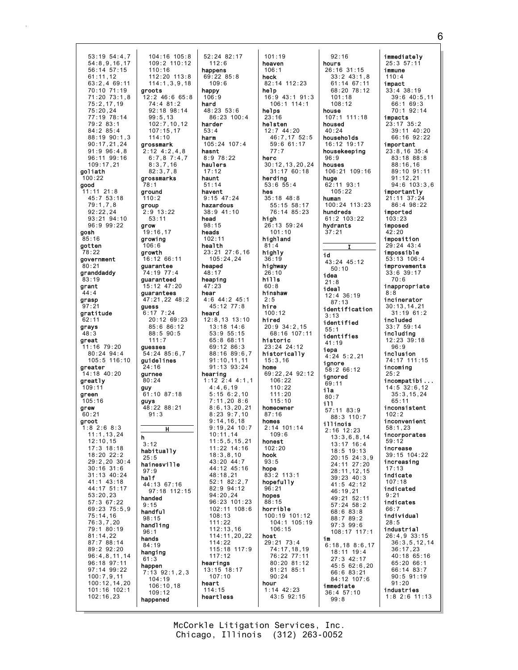104:16 105:8 53:19 54:4.7  $54:8.9.16.17$  $109:2$  110:12 56:14 57:15  $110:16$ 112:20 113:8  $61:11.12$  $63:2.469:11$  $114:1.3.9.18$ 70:10 71:19<br>71:20 73:1.8 aroots  $12:2$  46:6 65:8  $75:2.17.19$  $74:4$  81:2  $92:18$   $98:14$ 75:20,24  $77.19$  78.14  $99:5,13$  $102:7.10.12$  $79:283:1$  $84:285:4$  $107:15,17$ 88:19 90:1.3  $114.10$ grossmark  $90:17.21.24$  $91:996:4.8$  $2:12$  4:2,4,8  $96:11$   $99:16$  $6:7.87:4.7$  $109:17,21$  $8:3,7,16$ goliath  $82.378$  $100:22$ grossmarks good  $78:1$  $11:11$  21:8 ground 45:7 53:18  $110:2$  $79:1,7,8$ group  $92:22.24$  $2:9$  13:22  $93:21$   $94:10$  $53:11$ 96:9 99:22 grow 19:16,17 gosh  $85:16$ growing gotten  $106:6$ 78:22 growth government 16:12 66:11 .<br>80:21 guarantee granddaddy 74:19 77:4 guaranteed  $83:19$  $15:12$  47:20 arant guarantees  $44:4$ 47:21.22 48:2 grasp  $97.2$ quess gratitude  $6:17$  7:24 20:12 69:23  $62:11$ 85:6 86:12 aravs 88:5 90:5  $48:3$  $111:7$ great 11:16 79:20 quesses  $54:24$  85:6.7  $80:24$  94:4  $105:5$  116:10 guidelines **areater**  $24:16$  $14:18$  40:20 aurnee greatly  $80.24$  $109:11$ guy  $61:10$  87:18 green  $105:16$ guys 48:22 88:21 grew  $60.21$  $91:3$ groot  $1:8$  2:6 8:3  $11:1, 13, 24$ h  $12:10.15$  $3.12$  $17:3$   $18:18$ habitually  $18.2022.2$  $25:5$  $29:2.2030:4$ hainesville  $30:16$  31:6  $97:9$  $31:13$  40:24 half  $41:1$   $43:18$ 44:13 67:16 44:17 51:17 97:18 112:15  $53:20.23$ handed 57:3 67:22  $9:15$ 69:23 75:5.9 handful  $75:14,16$  $98:15$  $76:3,7,20$ handling 79:1 80:19  $96:1$  $81:14,22$ hands 87:7 88:14  $84:19$ 89:2 92:20 hanging  $96:4,8,11,14$  $61:3$ 96:18 97:11 happen 97:14 99:22  $7:13$  92:1.2.3  $100:7,9,11$  $104:19$  $100:12, 14, 20$  $106:10.18$ 101:16 102:1  $109:12$  $102:16,23$ happened

52:24 82:17  $112:6$ happens  $69:2285:8$  $109:6$ happy  $106:9$ hard  $48:23:53:6$  $86.23100.4$ harder  $53:4$ harm  $105:24$  107:4 hasnt  $8:9$  78:22 haulers  $17.12$ haunt  $51:14$ havent  $9:15$  47:24 hazardous  $38:9$  41:10 head  $98:15$ heads  $102:11$ health 23:21 27:6,16  $105:24,24$ heaped  $48:17$ heaping  $47:23$ hear  $4:6$   $44:2$   $45:1$ 45:12 77:8 heard  $12:8.13$  13:10  $13:18$  14:6  $53:955:15$ 65:8 68:11 69:12 86:3 88:16 89:6.7  $91:10.11,11$  $91:13.93:24$ hearing  $1:12$   $2:4$   $4:1.1$  $4:4.6.19$  $5:156:2,10$  $7:11.20.8:6$  $8:6, 13, 20, 21$  $8.239.710$  $9:14.16.18$  $9:19.24$  10:7  $10:11.14$  $11:5.5.15.21$  $11:22$   $14:16$  $18.3$   $8$   $10$  $43:20$   $44:7$ 44:12 45:16  $48.18$  21  $52:182:2,7$ 82:9 94:12  $94:20,24$ 96:23 101:23  $102:11$   $108:6$  $108:13$  $111:22$  $112:13.16$  $114:11,20,22$  $114:22$ 115:18 117:9  $117:12$ hearings  $13:15$  18:17  $107:10$ heart  $114:15$ heartless

 $101:19$ heaven  $106:1$ heck  $82:14$  112:23 **help**<br> $16:9$  43:1 91:3  $106:1$  114:1 helps  $23:16$ helsten 12:7 44:20<br>46:7.17 52:5 59:6 61:17  $77:7$ herc 30:12.13.20.24  $31:1760:18$ herding  $53:6$   $55:4$ hes  $35:18$   $48:8$ 55:15 58:17 76:14 85:23 high 26:13 59:24  $101:10$ highland  $81:4$ highly  $36:19$ highway  $26:10$  $h$ ills  $60:8$ hinshaw  $2:5$ hire  $100:12$ hired  $20:9$  34:2,15 68:16 107:11 historic 23:24 24:12 historically  $15:3.16$ home 69:22,24 92:12  $106.22$  $110:22$  $111:20$  $115:10$ homeowner  $87.16$ homes  $2:14$  101:14  $109.6$ honest  $102:20$ hook  $93:5$ hope  $83:2$  113:1 hopefully  $96:21$ hopes  $88:15$ horrible 100:19 101:12 104:1 105:19  $106 \cdot 15$ host 29:21 73:4 74:17,18,19 76:22 77:11 80:20 81:12 81:21 85:1  $90:24$ hour  $1:14$  42:23 43:5 92:15

 $92:16$ hours  $26:16$  31:15  $33:2$  43:1.8  $61:14$  67:11 68:20 78:12  $101.18$  $108:12$ house  $107:1$  111:18 housed  $40:24$ households 16:12 19:17 housekeeping  $96:9$ houses 106:21 109:16 huge  $62:11$  93:1  $105:22$ human 100:24 113:23 hundreds  $61:2$  103:22 hydrants  $37:21$ id 43:24 45:12  $50:10$ idea  $21:8$ ideal  $12:4$  36:19  $87:13$ identification  $3:13$ identified  $55.1$ identifies  $41:19$ iepa  $4:24$  5:2.21 ignore  $58.266.12$ ignored 69:11 ila  $80:7$  $111$ 57:11 83:9 88:3 110:7 illinois  $2:16$  12:23  $13:3,6,8,14$  $13:17$  16:4 18:5 19:13  $20:15$   $24:3,9$ 24:11 27:20  $28:11, 12, 15$  $39:23 \ 40:3$  $41:5$  42:12  $46:19,21$ 49:21 52:11  $57:24$   $58:2$  $68:683:8$ 88:7 89:2  $97:3$  99:6 108:17 117:1 im  $6:18,188:6,17$ 18:11 19:4  $27:3$  42:17  $45:562:6.20$  $66:683:21$ 84:12 107:6 immediate  $36:4$  57:10  $99:8$ 

immediately  $25:3.57:11$ immune  $110:4$ impact  $33:4$  38:19  $39:6$  40:5.11  $66:169:3$ 70:1 92:14 impacts 23:17 35:2 39:11 40:20<br>66:16 92:22 important  $23:8,16$  35:4  $83:18.88:8$  $88:16,16$  $89.10.91.11$  $91:12.21$  $94:6$  103:3,6 importantly 21:11 37:24 86:4 98:22 imported  $103:23$ imposed  $42:20$ imposition  $29:24$  43:4 impossible  $53:13$  106:4 improvements  $33:6.39:17$  $70:6$ inappropriate  $8:8$ incinerator  $30:13.14.21$  $31:19.61:2$ included  $33:759:14$ including 12:23 39:18  $96:9$ inclusion 74:17 111:15 incomina  $25:2$ incompatibi...  $14:5$  32:6.12  $35:3, 15, 24$  $65:11$ inconsistent  $102.2$ inconvenient  $58:1.23$ incorporates  $59:12$ increase  $39:15$   $104.22$ increasing  $17:13$ indicate  $107:18$ indicated  $9:21$ indicates individual  $28:5$ industrial  $26:4.933:15$  $36:3,5,12,14$  $36:17.23$  $40:18.65:16$ 65:20 66:1 66:14 83:7  $90:5$   $91:19$  $91:20$ industries  $1:8$  2:6 11:13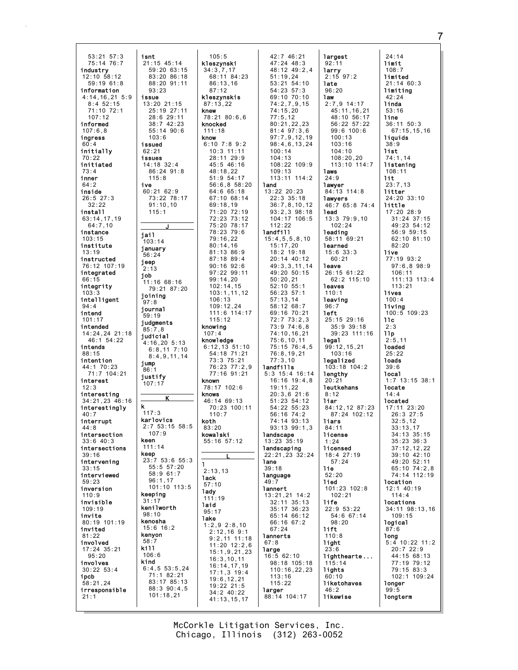53:21 57:3 75:14 76:7 industry 12:10 58:12 59:19 61:8 information  $4:14$  16, 21, 5:9 8:4 52:15 71:10 72:1  $107:12$ informed 107:6,8 ingress  $60 \cdot 4$ initially 70:22 initiated 73:4 inner 64:2 inside 26:5 27:3 32:22 install 63:14,17,19 64:7,10 instance 103:15 institute 13:19 instructed 76:12 107:19 integrated 66:15 integrity  $103:$ intelligent 94:4 intend 101:17 intended 14:24,24 21:18  $46:1$  54:22 intends 88:15 intention 44:1 70:23 71:7 104:21 interest  $12:3$ interesting 34:21,23 46:16 interestingly  $40.7$ interrupt  $44.8$ intersection 33:6 40:3 intersections  $30.16$ intervening 33:15 interviewed 59:23 inversion  $110:9$ invisible  $109.19$ invite 80:19 101:19 invited 81:22 involved 17:24 35:21 95:20 involves 30:22 53:4 ipcb 58:21,24 irresponsible 21:1 isnt 21:15 45:14 59:20 63:15 88:20 91:11 93:23 issue 13:20 21:15 25:19 27:11 28:6 29:11 38:7 42:23 55:14 90:6  $103.6$ issued 62:21 issues 14:18 32:4 86:24 91:8 115:8 ive 60:21 62:9 91:10,10 115:1 jail  $103:14$ january 56:24 jeep 2:13 job 11:16 68:16 joining 97:8 journal 59:19 judgments judicial 4:16,20 5:13 6:8,11 7:10 8:4,9,11,14 jump 86:1 justify 107:17 k  $117.3$ karlovics 2:7 53:15 58:5 107:9 keen 111:14 keep 55:5 57:20 58:9 61:7 96:1,17 keeping 31:17 kenilworth 98:10 kenosha 15:6 16:2 kenyon 58 kill 106:6 kind 6:4,5 53:5,24 71:1 82:21 83:17 85:13 88:3 90:4,5 101:18,21

83:20 86:18 73:22 78:17 79:21 87:20 23:7 53:6 55:3 101:10 113:5 105:5 kleszynski 34:3,7,17 68:11 84:23 86:13,16 87:12 kleszynskis 87:13,22 knew  $78:21$  80:6.6 knocked 111:18 know 6:10 7:8 9:2 10:3 11:11 28:11 29:9 45:5 46:16  $48.18,22$ 51:9 54:17 56:6,8 58:20 64:6 65:18 67:10 68:14 69:18,19 71:20 72:19 72:23 73:12 75:20 78:17 78:23 79:6 79:16,22 80:14,16 81:13 86:9 87:18 89:4 90:16 92:6 97:22 99:11 99:14,20 102:14,15 103:1,11,12 106:13 109:12,24 111:6 114:17 115:12 knowing 107:4 knowledge 6:12,13 51:10 54:18 71:21 73:3 75:21 76:23 77:2,9 77:16 91:21 known 78:17 102:6 knows 46:14 69:13 70:23 100:11 110:7 koth 83:20 kowalski 55:16 57:12 L  $\mathbf{1}$ 2:13,13 lack 57:10 lady 111:19 laid 95:17 lake 1:2,9 2:8,10 2:12,16 9:1 9:2,11 11:18 11:20 12:2,6 15:1,9,21,23 16:3,10,11 16:14,17,19 17:1,3 19:4 19:6,12,21 19:22 21:5 34:2 40:22

J

85:7,8

K

42:7 46:21 47:24 48:3 48:12 49:2,4 51:19,24 53:21 54:10 54:23 57:3 69:10 70:10 74:2,7,9,15 74:15,20 77:5,12 80:21,22,23 81:4 97:3,6 97:7,9,12,19 98:4,6,13,24 100:14 104:13 108:22 109:9  $109.13$ 113:11 114:2 land 13:22 20:23 22:3 35:18 36:7,8,10,12 93:2,3 98:18 104:17 106:5 112:22 landfill 15:4,5,5,8,10 15:17,20 18:2 19:18 20:14 40:12 49:3,3,11,14 49:20 50:15 50:20,21 52:10 55:1 56:23 57:1 57:13,14 58:12 68:7 69:16 70:21 72:7 73:2,3 73:9 74:6,8 74:10,16,21 75:6,10,11 75:15 76:4,5 76:8,19,21 77:3,10 landfills 5:3 15:4 16:14 16:16 19:4,8 19:11,22 20:3,6 21:6 51:23 54:12 54:22 55:23 56:16 74:2 74:14 93:13 93:13 99:1,3 landscape 13:23 35:19 landscaping 22:21,23 32:24 lane 39:18 language 49:7 lannert 13:21,21 14:2 32:11 35:13 35:17 36:23 65:14 66:12 66:16 67:2  $67:24$ **lannerts** 67:8 large 16:5 62:10 98:18 105:18 110:16,22,23 113:16 115:22 **larger** 88:14 104:17

largest 92:11 larry 2:15 97:2 late 96:20 law 2:7,9 14:17 45:11,16,21 48:10 56:17 56:22 57:22 99:6 100:6  $100 \cdot 13$ 103:16 104:10 108:20,20 113:10 114:7 laws 24:9 lawyer 84:13 114:8 lawyers 46:7 65:8 74:4 lead 13:3 79:9,10 102:24 leading 58:11 69:21 learned 15:6 33:3 60:21 leave 26:15 61:22 62:2 115:10 leaves 110:1 **leaving**  $96:7$ left 25:15 29:16 35:9 39:18 39:23 111:16 legal 99:12,15,21 103:16 legalized 103:18 104:2 lengthy  $20.21$ leutkehans  $8:12$ liar 84:12,12 87:23 87:24 102:12 liars 84:11 license  $1.24$ licensed 18:4 27:19 57:24 lie  $52.20$ lied 101:23 102:8 102:21 life 22:9 53:22 54:6 67:14 98:20 lift 110:8 light  $3:6$ lighthearte... 115:14 lights 60:10 liketohaves 46:2 likewise

24:14 limit 108:7 limited 21:14 60:3 limiting  $A2.24$ linda 53:16 line 36:11 50:3 67:15,15,16 liquids 38:9 list 74:1,14 listening 108:11 lit 23:7,13 litter 24:20 33:10 little 17:20 28:9 31:24 37:15 49:23 54:12 56:9 59:15 62:10 81:10 82:20 live 77:19 93:2 97:6,8 98:9 106:11 111:13 113:4 113:21 lives 100:4 living 100:5 109:23  $11c$ 2:3 llp  $2.5, 11$ loaded 25:22 loads 39:6 local 1:7 13:15 38:1 locate 14:4 located 17:11 23:20 26:3 27:5  $32:5.12$ 33:13,17 34:13 35:15 35:23 36:3 37:12,12,22 39:10 42:10 49:20 52:11 65:10 74:2,8 74:14 112:19 location 12:1 40:19 114:4 locations 34:11 98:13,16 109:15 logical 87:6 long 5:4 10:22 11:2 20:7 22:9 44:15 68:13 77:19 79:12 79:15 83:3 102:1 109:24 longer 99:5 longterm

Chicago, Illinois (312) 263-0052 McCorkle Litigation Services, Inc.

41:13,15,17

7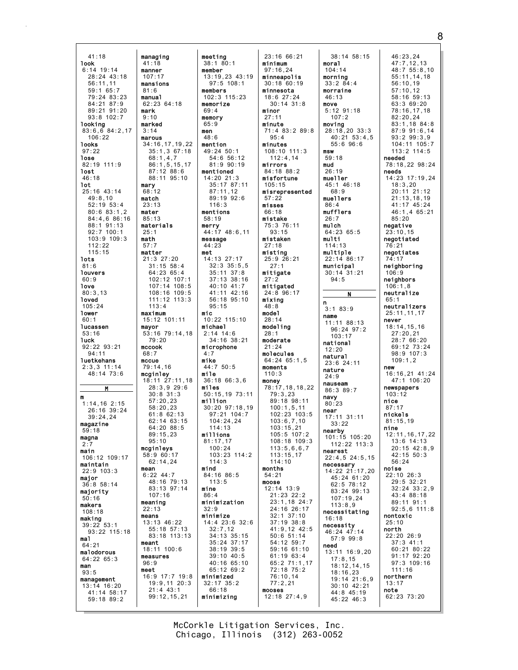managing  $41:18$ **Jook**  $6:14$  19:14  $28:24$  43:18  $\frac{1}{56}:11.11$  $maxions$  $59:165:7$  $79.24.83.23$ manua1 84:21 87:9 mark 89:21 91:20  $93:8$  102:7 looking  $83:6, 6$   $84:2, 17$  $106:22$ **looks**  $97:22$ lose  $82:19$  111:9 lost  $46:18$ **lot**  $25:16$  43:14  $49:8.10$  $52:19:53:4$  $80:683:1.2$ 84:4,6 86:16 88:1 91:13  $92:7$  100:1  $103:9$  109:3  $112.22$  $115:15$ **lots**  $81:6$ **Touvers**  $60:9$ love  $80:3.13$ **loved**  $105:24$ lower  $60:1$ lucassen  $53:16$ **luck** 92:22 93:21  $94:11$ **luetkehans**  $2:3.3$  11:14  $48:14$   $73:6$ M  $\mathbf{m}$  $1:14,16$  2:15 26:16 39:24  $39:24.24$ magazine  $59:18$ magna  $2:7$ main 106:12 109:17 maintain  $22:9$  103:3 major  $36:8$  58:14 majority  $50:16$ makers  $108:18$ making  $39:22$  53:1 93:22 115:18 ma1  $64:21$ malodorous  $64:2265:3$ man  $93:5$ management  $13:14$  16:20  $41:14$  58:17  $59:18$   $89:2$ 

 $41:18$ 

manner

 $107:17$ 

 $81:6$ 

 $9.10$ 

 $3:14$ 

mary

 $68:12$ 

match

 $23:13$ 

mater

 $25:1$ 

math

 $57:7$ 

matter

 $113 \cdot 4$ 

 $79.20$ 

maximum

mavor

mccook

 $68:7$ 

mccue

mcginley

 $95.10$ 

 $107:16$ 

meaning

 $22.13$ 

means

meant

 $96:9$ 

meet

measures

mean

 $85:13$ 

marked

marous

meeting  $38:180:1$ member  $13:19.23$  43:19  $97:5$  108:1 members 102:3 115:23  $62:23$  64:18 memorize  $69.4$ memory  $65:9$ men  $48.6$ 34:16,17,19,22 mention  $35:1,367:18$ 49:24 50:1  $68:1.4.7$  $54:656:12$  $86:1, 5, 15, 17$  $81:990:19$  $87.12 88.6$ mentioned 88:11 95:10  $14:20$  21:3 35:17 87:11  $87:11.12$  $89:19.92:6$  $116:3$ mentions  $58:19$ materials merry<br>44:17 48:6,11 message  $44:23$ met 14:13 27:17 21:3 27:20  $31:15$  58:4  $32:3$   $35:5.5$  $35:11 \ 37:8$  $64:23.65:4$ 102:12 107:1 37:13 38:16  $107:14$   $108:5$  $40:10$   $41:7$  $108:16$  109:5 41:11 42:16  $111:12$   $113:3$ 56:18 95:10  $95:15$ mic  $15:12$  101:11 10:22 115:10 michael  $53:16$  79:14.18  $2:14$  14:6  $34:16$  38:21 microphone  $4:7$ mike  $44:7$  50:5  $79:14.16$ mile  $18:11$  27:11.18  $36:1866:36$  $28:3,929:6$ miles 50:15.19 73:11  $30.831.3$  $57:20.23$ million 30:20 97:18.19  $58:20.23$  $97.21 104.7$  $61.862.13$  $62:14$   $63:15$  $104:24.24$ 64:20 88:5  $114.13$  $89.15.23$ millions  $81:17.17$ mcginleys  $100:24$  $58:960:17$  $103.23$   $114.2$  $62:14.24$  $114:3$ mind 84:16 86:5  $6.22 \, 44.7$  $48:16$  79:13  $113:5$ mine 83:13 97:14  $86:4$ minimization  $32.9$ minimize 13:13 46:22 14:4 23:6 32:6 55:18 57:13  $32:7,12$ 83:18 113:13  $34:13$   $35:15$ 35:24 37:17  $18:11$   $100:6$  $38:19$   $39:5$  $39:10$  40:5 40:16 65:10 65:12 69:2  $16:9$  17:7 19:8 minimized  $19:9, 11$   $20:3$  $32:17$   $35:2$  $21:4.43:1$ 66:18  $99:12, 15, 21$ minimizing

23:16 66:21 minimum  $97:16.24$ minneapolis  $30:18.60:19$ minnesota  $18:627:24$  $30:14$   $31:8$ minor  $27:11$ minute 71:4 83:2 89:8  $95 \cdot 4$ minutes 108:10 111:3  $112:4.14$ mirrors  $81.18$   $88.2$ misfortune  $105:15$ misrepresented  $57:22$ misses  $66:18$ mistake 75:3 76:11  $93:15$ mistaken  $27:18$ misting  $25:9$   $26:21$  $27:1$ mitigate  $27:2$ mitigated  $24:8$  96:17 mixina  $48.8$ model  $28:14$ modeling  $28:1$ moderate  $21:24$ molecules 64:24 65:1.5 moments  $110:3$ money<br>78:17,18,18,22  $79:3.23$ 89:18 98:11  $100:1.5.11$  $102:23$  103:5  $103:6.7.10$  $103:15.21$  $105.5107.2$ 108:18 109:3  $113:5,6,6,7$  $113 \cdot 15$  17  $114:10$ months  $54.21$ moose 12:14 13:9 21:23 22:2  $23:1,18$  24:7  $24:16$  26:17  $32:1$   $37:10$  $37:19$   $38:8$ 41:9,12 42:5  $50:6$  51:14 54:12 59:7 59:16 61:10  $61:1963:4$ 65:2 71:1,17 72:18 75:2  $76:10,14$  $77:2.21$ mooses  $12:18$   $27:4,9$ 

38:14 58:15 moral  $104:14$ mornina  $33:284:4$ morraine  $46.13$ move  $5:12$   $91:18$  $107.2$ moving  $28:18,20$  33:3  $40:21$  53:4.5  $55:696:6$ msw  $59.18$ mud  $26:19$ mueller 45:1 46:18  $68.0$ muellers  $86:$ mufflers  $26:7$ mulch 64:23 65:5 multi  $114:13$ multiple  $22:14.86:17$ municipal  $30:14$  31:21  $94:5$  $\mathbf{N}$  $\mathbf{n}$  $3:183:9$ name  $11:11.88:13$  $96.24$   $97.2$  $103:17$ national  $12.20$ natural 23:6 24:11 nature  $24.9$ nauseam  $86:389:7$ navy  $80:23$ near  $17:11$   $31:11$  $33.22$ nearby  $101:15$  105:20  $112:22$   $113:3$ nearest  $22:4,5$  24:5,15 necessary 14:22 21:17,20 45:24 61:20 62:5 78:12  $83:24$  99:13  $107:19.24$  $113:8.9$ necessitating  $16:18$ necessity 46:24 47:14  $57:999:8$ need  $13:11$   $16:9.20$  $17:8,15$  $18:12.14.15$  $18:16.23$  $19:14$  21:6.9  $30:10$  42:21 44:8 45:19  $45:22$  46:3

46:23,24  $47:7, 12, 13$ <br> $48:7, 55:8, 10$  $55:11.14.18$  $56:10:19$  $57:10, 12$ <br> $58:16$   $59:13$  $63:369:20$ 78:16,17,18  $82.2024$ 83:1.18 84:8 87:9 91:6,14  $93.299.39$ 104:11 105:7 113:2 114:5 needed 78:18,22 98:24 needs 14:23 17:19.24  $18:3,20$  $20:11$   $21:12$  $21:13,18,19$ 41:17 45:24 46:1.4 65:21  $85:20$ negative  $23:10.15$ negotiated  $76:21$ negotiates neighboring  $106:9$ neighbors  $106:1.8$ neutralize  $65:1$ neutralizers 25:11.11.17 never  $18:14, 15, 16$  $27:20.21$  $28:766:20$ 69:12 73:24  $98:9$  107:3  $109:1.2$ new  $16:16.21$   $41:24$  $47:1 106:20$ newspapers  $103:12$ nice  $87:17$ nickels  $81:15.19$ nine  $12.11$   $16$   $17$   $22$  $13:6$  14:13  $20:15$   $42:8,9$ <br> $42:15$   $50:3$  $56:24$ noise  $22:10$  26:3 29:5 32:21  $32:24$   $33:2,9$ 43:4 88:18 89:11 91:1  $92:5.6$  111:8 nontoxic  $25:10$ north 22:20 26:9  $37:3$  41:1 60:21 80:22 91:17 92:20 97:3 109:16  $111:16$ northern  $13:17$ note 62:23 73:20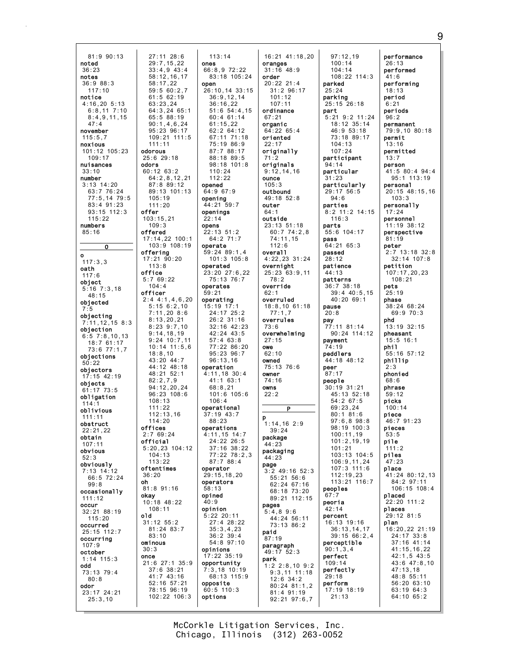$81:990:13$ 27:11 28:6  $29:7, 15, 22$ noted  $33:4.9.43:4$  $36:23$ 58:12.16.17 notes  $36:988:3$  $58:17.22$  $117:10$  $59:560:2.7$  $61:5$  62:19 notice  $4:16,205:13$  $63:23.24$  $6:8,11$  7:10  $65:588:19$  $8:4.9.11.15$  $47:4$  $90:1.4.6.24$ november 95:23 96:17  $115:5.7$ noxious  $111.11$ 101:12 105:23 odorous  $109.17$  $25:6$  29:18 nuisances odors  $60:12$   $63:2$  $33.10$ number  $3:13$  14:20 87:8 89:12  $63:776:24$  $77:5.1479:5$  $105:19$ 83:4 91:23  $111:20$  $93:15$  112:3 offer  $115:22$  $103:15,21$ numbers  $109:3$  $85:16$ offered 17:14,22 100:1  $\overline{0}$ offering  $\mathbf{o}$ 17:21 90:20  $117:3,3$  $113.8$ oath office  $117:6$  $5:769:22$ obiect  $104:4$  $5:16$  7:3,18<br>48:15 officer  $2:4$  4:1,4,6,20 objected  $5:156:2,10$  $7:11,20$  8:6 objecting  $8:13.20.21$  $7:11, 12, 158:3$  $8:23$   $9:7,10$ objection  $9:14.18.19$  $6:5$  7:8,10.13  $18:761:17$  $73:6$   $77:1.7$  $18:8.10$ objections 43:20 44:7  $50:22$  $44:12$   $48:18$ objectors 48:21 52:1  $17:15$  42:19  $82.279$ objects 94:12.20.24  $61:17$   $73:5$  $96:23$  108:6 obligation  $108:13$  $111:22$ oblivious  $112:13.16$  $111:11$  $114:20$ obstruct offices  $22:21.22$  $2.769.24$ obtain official  $107.11$  $5:20,23$  104:12 obvious  $101.13$  $52:3$  $113.22$ obviously oftentimes  $7:13$   $14:12$  $36:20$ 66:5 72:24 oh  $99:8$ 81:8 91:16 occasionally okay<br>10:18 48:22  $111:12$ occur  $108:11$ 32:21 88:19 old  $115:20$  $31:12$   $55:2$ occurred  $81:24$   $83:7$ 25:15 112:7  $83:10$ occurring ominous  $107:9$  $30:3$ october once  $1:14$  115:3 21:6 27:1 35:9 hho  $37:6$   $38:21$  $73:13$   $79:4$  $41:7$   $43:16$  $80:8$ 52:16 57:21 odor 78:15 96:19  $23:17$  24:21  $25:3.10$ 

 $113:14$ ones  $66:8.972:22$ 83:18 105:24 open  $26:10.14.33:15$  $36.91214$  $36:16.22$  $64:3, 2465:1$  $51:6$   $54:4,15$  $60:4$  61:14  $61:15.22$ 62:2 64:12  $109.21$   $111.5$ 67:11 71:18  $75:19.86:9$ 87:7 88:17  $88.18.89.5$ 98:18 101:8  $110.24$  $64:2.8.12.21$  $112:22$ opened  $64:967:9$ 89:13 101:13 opening 44:21 59:7 openings  $22:14$ opens  $22:13$  51:2 64:2 71:7  $103:9$  108:19 operate 59:24 89:1,4  $101:3$   $105:8$ operated 23:20 27:6,22 75:13 76:7 operates  $59:21$ operating  $15:19$  17:1 24:17 25:2  $26:2$  31:16 32:16 42:23  $42:24$  43:5  $9:24$  10:7,11  $57:463:8$  $10:14$  11:5.6 77:22 86:20  $95:23$   $96:7$  $96:13.16$ operation 4:11,18 30:4  $41 \cdot 1$  63.1  $68:8.21$  $101:6$  105:6  $106:4$ operational  $37.19$   $43.7$ 88:23 operations  $4:11, 15$  14:7  $24:22.26:5$ 37:16 38:22<br>77:22 78:2.3  $87:788:4$ operator 29:15,18,20 operators  $58:13$ opined  $40:9$ opinion  $5:22$  20:11 27:4 28:22  $35:3,4,23$  $36:2^{6}39:4$ 54:8 97:10 opinions  $17:22$  35:19 opportunity  $7:3,18$  10:19 68:13 115:9 opposite  $60:5$  110:3 102:22 106:3 options

16:21 41:18,20 oranges  $31:16$  48:9 order  $20:22$  21:4  $31:296:17$  $101.12$  $107:11$ ordinance  $67.21$ organic  $64:22$   $65:4$ oriented  $22:17$ originally originals  $9:12.14.16$ ounce  $105:3$ outbound 49:18 52:8 outer  $64:1$ outside 23:13 51:18  $60:774:2,8$  $74:11,15$  $112:6$ overal1 4:22,23 31:24 overnight 25:23 63:9,11  $78:2$ override  $62:1$ overruled  $18:8,1061:18$  $77:1,7$ overrules  $73:6$ overwhelming  $27:15$ owe  $62:10$ owned -------<br>75:13 76:6 owner  $74.16$ owns  $22:2$  $\overline{P}$  $1:14,16$  2:9  $39:24$ package  $44:23$ packaging  $44:23$ page  $3:2$  49:16 52:3 55:21 56:6 62:24 67:16 68:18 73:20 89:21 112:15 pages  $5:4,8.9:6$ 44:24 56:11 73:13 86:2 paid 87:19 paragraph  $49:17.52:3$ park  $1:2$  2:8.10 9:2  $9:3.11$  11:18  $12:6$  34:2  $80:24$   $81:1.2$ 81:4 91:19  $92:21$   $97:6.7$ 

 $97:12.19$  $100:14$  $104:14$  $108:22$  114:3 parked  $25:24$ parking  $25:15$  26:18 part  $5.219.211.24$  $18:12$   $35:14$  $46:953:18$ 73:18 89:17  $104:13$  $107:24$ participant  $94:14$ particular  $31:23$ particularly 29:17 56:5  $94:6$ parties 8:2 11:2 14:15  $116:3$ parts 55:6 104:17 pass 64:21 65:3 passed  $28:12$ patience  $44:13$ patterns  $36:738:18$  $39:4$  40:5.15 40:20 69:1 pause  $20:8$ pay  $77:11$  81:14 90:24 114:12 payment 74:19 peddlers 44:18 48:12 neer  $87:17$ people  $30:19$  31:21 45:13 52:18  $54:2$  67:5  $69:23.24$  $80.181.6$  $97:6.8.98:8$ 98:19 100:3  $100 \cdot 11$  19  $101:2.19.19$  $101:21$  $103.13.104.5$ 106:9,11,24  $107:3$   $111:6$  $112:19.23$  $113:21$   $116:7$  $peoples$  $67:7$ peoria  $42:14$ percent 16:13 19:16  $36:13, 14, 17$  $39:15.66:2,4$ perceptible  $90:1,3,4$ perfect  $109:14$ perfectly  $29:18$ perform 17:19 18:19  $21:13$ 

performance  $26:13$ performed  $41:6$ performing  $18:13$ period  $6:21$ periods  $96.2$ permanent 79:9,10 80:18 permit  $13:16$ permitted  $13:7$ person  $41:5$  80:4 94:4 95:1 113:19 personal  $20:15$  48:15.16  $103:3$ personally  $17:24$ personnel 11:19 38:12 perspective  $81:19$ peter  $2:7$  13:18 32:8  $32:14$  107:8 petition 107:17,20,23  $108:21$ pets  $25:19$ phase  $38:24$  68:24 69:9 70:3 phd 13:19 32:15 pheasant  $15:5$  16:1 phil  $55:16$  57:12 phillip  $2:3$ phonied  $68.6$ phrase  $59.12$ picks  $100:14$ piece  $46:791:23$ pieces  $53.5$ pile  $111:2$ piles  $47:23$ place 41:24 80:12,13 84:2 97:11 106:15 108:4 placed 22:20 111:2 places 29:12 81:5 plan 16:20,22 21:19  $24:17$  33:8 37:16 41:14  $41:15, 16, 22$  $42:1, 5$   $43:5$  $43:6$   $47:8,10$  $47:13.18$ 48:8 55:11  $56:20$   $63:10$ 63:19 64:3 64:10 65:2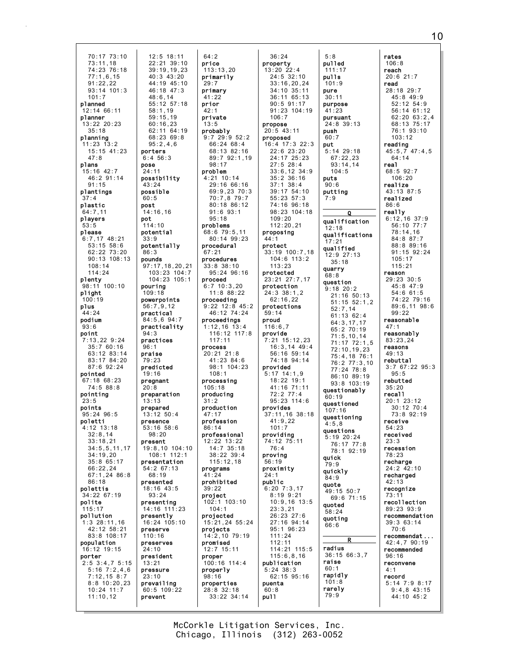70:17 73:10  $73:11.18$  $74:23$  76:18  $77:1.6, 15$  $91:22.22$  $93:14$  101:3  $101.7$ planned  $12:1466:11$ planner 13:22 20:23  $35:18$ planning  $11:23$   $13:2$ 15:15 41:23  $47:8$ plans  $15:16$   $42.7$ 46:2 91:14  $91:15$ plantings plastic  $64:7.11$ players  $53:5$ please  $6:7,17$  48:21  $53:15$   $58:6$ 62:22 73:20  $90:13:108:13$  $108:14$  $114:24$ plenty 98:11 100:10 plight  $100:19$ plus  $44:24$ podium  $93:6$ point  $7:13,229:24$  $35:760:16$ 63:12 83:14  $83:17$   $84:20$  $87:692:24$ pointed  $67.18$   $68.23$  $74:588:8$ pointing つつ・ら points  $95.2496.5$ poletti  $4:12$   $13:18$  $32:8.14$  $33:18.21$  $34:5, 5, 11, 17$  $31.10.20$  $35:865:17$  $66:22,24$  $67:1,2486:8$  $86:18$ polettis 34:22 67:19 polite  $15:17$ pollution  $1:3$  28:11,16 42:12 58:21 83:8 108:17 population 16:12 19:15 porter  $2:5$  3:4,7 5:15  $5:16 \ 7:2,4,6$  $7:12,158:7$  $8:8$  10:20,23  $10:24$  11:7  $11:10,12$ 

 $64:2$  $12:5$  18:11  $22:21$  39:10 price  $39:19.19.23$  $113:13.20$ primarily  $40:3$  43:20  $44:19$   $45:10$  $29:7$  $46:18$   $47:3$ primary  $41.22$  $55:12.57:18$ prior  $42.1$ private  $13:5$ probably 62:11 64:19  $9:7$  29:9 52:2  $68:2369:8$  $66:24.68:4$ 68:13 82:16 89:7 92:1.19  $98:17$ problem  $4:21$  10:14 possibility 29:16 66:16 69:9.23 70:3 70:7,8 79:7 80:18 86:12  $91:693:1$  $95:18$ problems 68:6 79:5,11 80:14 99:23 potentially procedural procedures 97:17,18,20,21  $33:8$   $38:10$ 103:23 104:7 95:24 96:16 104:23 105:1 proceed  $6:7$  10:3.20  $11:8 88:22$ powerpoints proceeding  $9:22$  12:8 45:2 46:12 74:24 84:5,6 94:7 proceedings  $1:12,16$  13:4 practicality  $116:12$  117:8  $117:11$ process  $20:21$  21:8 41:23 84:6  $98:1$  104:23  $108:1$ processing  $105:18$ producing preparation  $31.2$ production  $13:12$   $50:4$  $47.17$ profession  $53:16$   $58:6$  $86.14$ professional 12:22 13:22<br>14:7 35:18 19:8,10 104:10  $38.22 30.4$  $108.1112.1$ presentation  $115:12.18$ 54:2 67:13 programs prohibited 18:16 43:5  $39:22$ project 102:1 103:10  $14:16$   $111:23$  $104.1$ projected 16:24 105:10 15:21,24 55:24 projects 14:2,10 79:19 promised  $12:7$  15:11 proper 100:16 114:4 properly  $98:16$ properties 60:5 109:22 28:8 32:18 33:22 34:14

 $48.614$ 

 $58:1.19$ 

 $59:15.19$ 

 $60:16.23$ 

 $95:2.4.6$ 

porters

pose

 $24.11$ 

43:24

 $60:5$ 

post

pot

possible

 $14:16.16$ 

 $114:10$ 

 $33:9$ 

86:3

pounds

pouring

 $109:18$ 

 $56.7912$ 

practical

practices

predicted

pregnant

 $94:3$ 

 $96:1$ 

praise

 $79:23$ 

 $19:16$ 

 $20:8$ 

 $13:13$ 

prepared

presence

 $98.20$ 

 $68.19$ 

presented

 $93:24$ 

presenting

presently

preserve

preserves

president

 $110:16$ 

 $24:10$ 

 $13:21$ 

 $23:10$ 

prevent

pressure

prevailing

present

potential

 $6:4$  56:3

 $36:24$ property  $13:20$  22:4  $24:5$  32:10  $33:16, 20, 24$  $34:10$   $35:11$  $36.1165.13$  $90:5$  91:17  $91:23$  104:19  $106 \cdot 7$ propose  $20:5$  43:11 proposed 16:4 17:3 22:3  $22:6$   $23:20$  $24:17$   $25:23$  $27:5$  28:4  $33:6.12$   $34:9$  $35:2$  36:16  $37:1$   $38:4$ 39:17 54:10 55:23 57:3 74:16 96:18 98:23 104:18  $109:20$  $112:20.21$ proposing  $44:1$ protect 33:19 100:7,18  $104:6$  113:2  $113:23$ protected 23:21 27:7,17 protection 24:3 38:1,2  $62:16,22$ protections  $59:14$ proud  $116:6.7$ provide  $7:21$   $15:12.23$  $16:3.14$  49:4 56:16 59:14 74:18 94:14 provided  $5:17$  14:1,9  $18:22$  19:1  $41:16$  71:11  $72:277:4$  $95:23$  114:6 provides  $37:11, 16$  38:18  $41:9.22$  $101.7$ providing 74:12 75:11  $76:4$ proving 56:19 proximity  $24:1$ public  $6:20$   $7:3,17$  $8:199:21$  $10:9, 16$  13:5  $23:3.21$ 26:23 27:6 27:16 94:14 95:1 96:23  $111:24$  $112:11$ 114:21 115:5  $115:6, 8, 16$ publication  $5:24$  38:3 62:15 95:16 puenta  $60:8$ pu11

 $5:8$ pulled  $111:17$ pulls  $101:9$ pure  $30:11$ purpose  $41:23$ pursuant  $24:8.39:13$ push  $60.7$ put  $5:14$  29:18  $67:22.23$  $93:14.14$  $104.5$ puts  $90:6$ putting  $7:9$  $\Omega$ qualification  $12:18$ qualifications  $17:21$ qualified 12:9 27:13  $35:18$ quarry  $68:8$ question  $9:18$  20:2  $21:16$  50:13  $51:15.52:1.2$  $52:7,14$  $61:13.62:4$  $64:3, 17, 17$ <br> $65:2$  70:19  $71:5.10.14$ 71:17 72:1,5  $72.10$  19 23  $75:4.18.76:1$ 76:2 77:3,10<br>77:24 78:8 86:10 89:19 93:8 103:19 questionably  $60:19$ questioned  $107:16$ questioning  $4:5.8$ questions  $5:19$  20:24  $76 \cdot 17$   $77 \cdot 8$ 78:1 92:19 quick  $\overline{a} \cdot \overline{a}$ quickly  $84:9$ quote 49:15 50:7 69:6 71:15 quoted  $58:24$ quoting  $66:6$  $\overline{\mathbf{R}}$ radius 36:15 66:3.7 raise  $60:1$ rapidly  $101:8$ rarely  $79:9$ 

rates  $106:8$ reach  $20:621:7$ read  $28:18$   $29:7$  $45.849.9$  $52:12.54:9$ 56:14 61:12  $62.2063.24$ 68:13 75:17 76:1 93:10  $103:12$ reading  $45:5,7$   $47:4,5$  $64:14$ real  $68.592.7$  $106:20$ realize  $43:13.87:5$ realized  $86:6$ really  $6:12,16$  37:9 56:10 77:7  $78:14,16$ 84:8 87:7 88:8 89:16 91:15 92:24  $105:17$  $115:21$ reason 29:23 30:5  $45:8$  47:9  $54:661:5$ 74:22 79:16 89:6,11 98:6  $99:22$ reasonable  $47:1$ reasonably  $83:23.24$ reasons  $49:13$ rebuttal  $3:7$  67:22 95:3  $95:5$ rebutted  $35:20$ recal1  $20:1$   $23:12$  $30:12 \ 70:4$  $73:8$  92:19 receive  $54:23$ received  $23:3$ recession  $78.23$ recharge  $24:2$   $42:10$ recharged  $42:13$ recognize  $73:1'$ recollection  $89:23.93:9$ recommendation 39:3 63:14  $70.6$ recommendat... 42:4,7 90:19 recommended  $96:16$ reconvene  $4:1$ record  $5:14$  7:9 8:17  $9:4,8$  43:15 44:10 45:2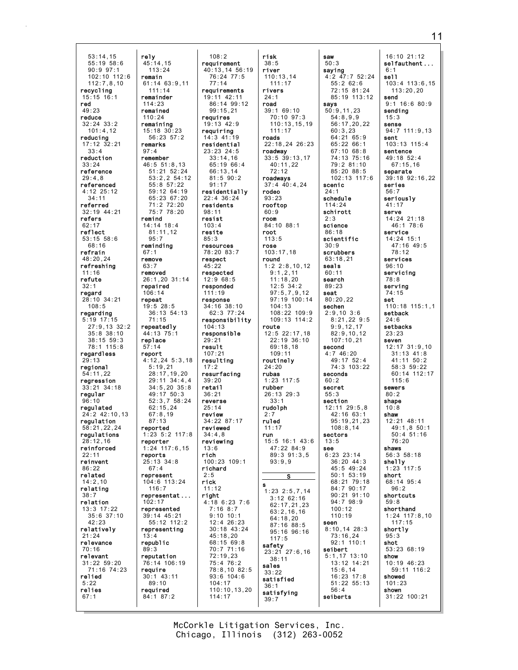53:14,15 55:19 58:6 90:9 97:1 102:10 112:6 112:7,8,10 recycling 15:15 16:1 red  $49.23$ reduce 32:24 33:2 101:4,12 reducing 17:12 32:21 33:4 reduction 33:24 reference 29:4,8 referenced 4:12 25:12 34:11 referred 32:19 44:21 refers 62:17 reflect 53:15 58:6 68:16 refrain 48:20,24 refreshing 11:16 refute 32:1 regard 28:10 34:21  $108:5$ regarding 5:19 17:15 27:9,13 32:2 35:8 38:10 38:15 59:3 78:1 115:8 regardless  $29:13$ regional 54:11,22 regression 33:21 34:18 regular 96:10 regulated  $24.2$   $42.10$  13 regulation 58:21,22,24 regulations 28:12,16 reinforced 22:11 reinvent 86:22 related 14:2,10 relating 38:7 relation 13:3 17:22 35:6 37:10 42:23 relatively 21:24 relevance 70:16 relevant 31:22 59:20 71:16 74:23 relied 5:22 relies 67:1 remain 114:23  $110.24$ remarks 97:4 remind 67:1 remove 63:7 removed 106:14 repeat replace 57:14 report reports 102:17 13:4 89:3 require

rely 45:14,15 113:24 61:14 63:9,11 111:14 remainder remained remaining 15:18 30:23 56:23 57:2 remember 46:5 51:8,13 51:21 52:24 53:2,2 54:12 55:8 57:22 59:12 64:19 65:23 67:20 71:2 72:20 75:7 78:20 14:14 18:4 81:11,12 reminding 26:1,20 31:14 repaired 19:5 28:5 36:13 54:13 71:15 repeatedly 44:13 75:1 4:12,24 5:3,18 5:19,21 28:17,19,20 29:11 34:4,4 34:5,20 35:8 49:17 50:3 52:3,7 58:24 62:15,24  $67.8,19$ 87:13 reported 1:23 5:2 117:8 reporter 1:24 117:6,15 25:13 34:8  $67:4$ represent 104:6 113:24 116:7 representat ... represented 39:14 45:21 55:12 112:2 representing republic reputation 76:14 106:19 30:1 43:11 89:10 required 84:1 87:2 108:2 requirement 40:13,14 56:19 76:24 77:5 77:14 requirements 19:11 42:11 86:14 99:12 99:15,21 requires 19:13 42:9 requiring  $14.3$   $41.19$ residential 23:23 24:5 33:14,16 65:19 66:4 66:13,14 81:5 90:2 91:17 residentially 22:4 36:24 residents 98:11 resist 103:4 resite 85:3 resources 78:20 83:7 respect 45:22 respected 12:9 68:5 responded 111:19 response 34:16 38:10 62:3 77:24 responsibility 104:13 responsible  $29.2$ result 107:21 resulting 17:2 resurfacing  $39.20$ retail  $36:21$ reverse 25:14 review 34:22 87:17 reviewed  $34 \cdot 4$ , 8 reviewing 13:6 rich 100:23 109:1 richard  $2.5$ rick 11:12 right 4:18 6:23 7:6 7:16 8:7 9:10 10:1 12:4 26:23 30:18 43:24 45:18,20 68:15 69:8 70:7 71:16 72:19,23 75:4 76:2 93:6 104:6 104:17 114:17

95:7

78:8,10 82:5 110:10,13,20 risk 38:5 river 110:13,14 111:17 rivers  $24:1$ road 39:1 69:10 70:10 97:3 110:13,15,19 111:17 roads 22:18,24 26:23 roadway 33:5 39:13,17 40:11,22  $72.12$ roadways 37:4 40:4,24 rodeo 93:23 rooftop 60:9 room 84:10 88:1 root 113:5 rose 103:17,18 round 1:2 2:8,10,12 9:1,2,11 11:18,20 12:5 34:2 97:5,7,9,12 97:19 100:14 104:13 108:22 109:9 109:13 114:2 route 12:5 22:17,18 22:19 36:10 69:18,18 109:11 routinely 24:20 rubas 1:23 117:5 rubber 26:13 29:3 33:1 rudolph  $2.7$ ruled 11:17 run 15:5 16:1 43:6 47:22 84:9 89:3 91:3,5 93:9,9 S s 1:23 2:5,7,14 3:12 62:16 62:17,21,23 63:2,16,16 64:18,20 87:16 88:5 95:16 96:16  $117.5$ safety 23:21 27:6,16 38:11 sales 33:22 satisfied 36:1 satisfying 39:7

saw 50:3 saying 4:2 47:7 52:24  $55:2$  62:6 72:15 81:24 85:19 113:12 says 50:9,11,23  $54.899$ 56:17,20,22 60:3,23 64:21 65:9 65:22 66:1 67:10 68:8 74:13 75:16 79:2 81:10 85:20 88:5 102:13 117:6 scenic  $24:1$ schedule 114:24 schirott 2:3 science 86:18 scientific 30:9 scrubbers 63:18,21 seals 60:11 search 89:23 seat 80:20,22 sechen 2:9,10 3:6 8:21,22 9:5 9:9,12,17 82:9,10,12 107:10,21 second 4:7 46:20 49:17 52:4 74:3 103:22 seconds  $60.2$ secret 55:3 section 12:11 29:5,8 42:16 63:1 95:19,21,23 108:8,14 sectors  $13.5$ see  $6:23$  23:14 36:20 44:3 45:5 49:24 50:1 53:19 68:21 79:18 84:7 90:17 90:21 91:10 94:7 98:9  $100:12$ 110:19 seen 8:10,14 28:3 73:16,24 92:1 110:1 seibert 5:1,17 13:10 13:12 14:21 15:6,14 16:23 17:8 51:22 55:13 56:4 seiberts

16:10 21:12 selfauthent ... 6:1 sell 103:4 113:6,15 113:20,20 send 9:1 16:6 80:9 sending  $15:3$ sense 94:7 111:9,13 sent 103:13 115:4 sentence 49:18 52:4 67:15,16 separate 39:18 92:16,22 series 56:7 seriously 41:17 serve 14:24 21:18 46:1 78:6 service 14:24 15:1  $47.16$   $49.5$ 78:12 services 96:10 servicing 78:8 serving 74:15 set 110:18 115:1,1 setback 24:6 setbacks 23:23 seven 12:17 31:9,10 31:13 41:8 41:11 50:2 58:3 59:22 60:14 112:17  $115.6$ sewers  $80.2$ shape  $10:8$ shaw 12:21 48:11 49:1,8 50:1  $50 \cdot 4$   $51 \cdot 16$ 76:20 shaws 56:3 58:18 shelly 1:23 117:5 short 68:14 95:4 96:2 shortcuts 59:8 shorthand 1:24 117:8,10 117:15 shortly 95:3 shot 53:23 68:19 show 10:19 46:23 59:11 116:2 showed 101:23 shown 31:22 100:21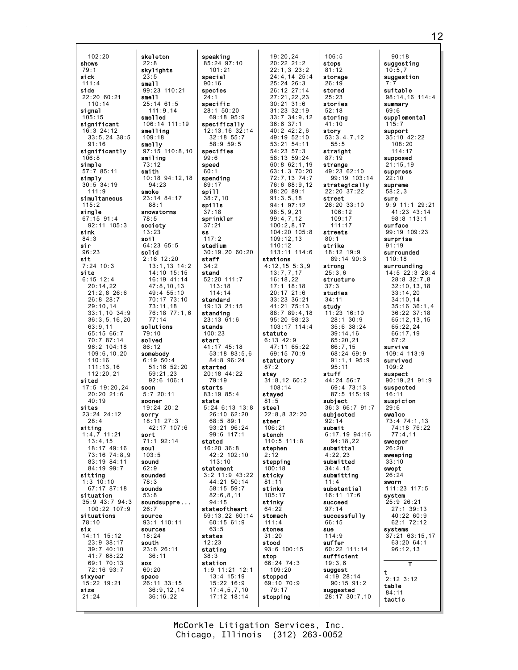$102:20$ skeleton shows 22:8 skylights  $79:1$ sick  $23:5$  $s$ mall  $111:4$ side  $22:20$  60:21  $sma11$  $110:14$  $25:14$  61:5 sional  $105 \cdot 15$ **Smalled** significant smelling 16:3 24:12  $33:5.24$  38:5  $109:18$  $91:16$ smelly significantly  $106:8$ smiling simple  $73:12$  $57:785:11$ smith simply  $30:5$  34:19  $94:23$  $111.9$ smoke simultaneous  $88:1$ single snowstorms  $67:15$  91:4  $78:5$ 92:11 105:3 society sink  $13:23$  $84:3$ soil  $64:2365:5$ sir  $96:23$ solid  $2:16$  12:20 sit  $7:24$  10:3 site  $6:15$  12:4  $20:14.22$  $21:2,8$  26:6  $26:8$  28:7  $29:10,14$  $33:1,10$  34:9  $36:3, 5, 16, 20$ solutions  $63:9.11$  $65:1566:7$  $79:10$ 70:7 87:14 solved  $96:2$  104:18  $86:12$  $109:6, 10, 20$ somebody  $6:19:50:4$  $110:16$  $111:13.16$ 112:20,21 hatia  $17:5$   $19:20.24$ soon  $5:720:11$  $20:20$  21:6  $40:19$ sooner  $19:24$  20:2 sites  $23:24$  24:12 sorry  $18:11$  27:3  $28:4$ siting  $1:4,7$  11:21 sort  $13:4,15$ 71:1 92:14 18:17 49:16<br>73:16 74:8.9 soul  $103.5$ 83:19 84:11 sound 84:19 99:7  $62:9$ sitting sounded  $1:3$  10:10  $78:3$ 67:17 87:18 sounds situation  $53:8$ 35:9 43:7 94:3  $100.22107.9$  $26.7$ situations source 93:1 110:11 78:10 six sources 14:11 15:12  $18:24$ 23:9 38:17 south  $39:740:10$ 23:6 26:11 41:7 68:22  $36:11$ 69:1 70:13 sox 72:16 93:7  $60:20$ sixyear space 15:22 19:21 size  $21:24$ 

 $77:14$ 

speaking  $85:24$   $97:10$  $101:21$ special  $90:16$  $99:23$  110:21 species  $21.1$ specific 28:1 50:20<br>69:18 95:9  $111:9.14$  $106:14$   $111:19$ specifically 12:13,16 32:14  $32.18$  55.7  $58:959:5$ 97:15 110:8,10 specifies  $99.6$ speed  $60.1$ 10:18 94:12.18 spending  $89:17$ spill 23:14 84:17  $38:7,10$ spills  $37:18$ sprinkler  $37:21$  $s<sub>s</sub>$  $117:2$ stadium 30:19,20 60:20 staff  $13:1,13$   $14:2$  $34:2$  $14:10$  15:15 stand 16:19 41:14 52:20 111:7  $113:18$  $47:8,10,13$  $49:4.55:10$  $114:14$  $70:17$  73:10<br> $73:11,18$ standard 19:13 21:15 76:18 77:1,6 standing  $23:13$   $61:6$ stands  $100:23$ start 41:17 45:18  $53:18$   $83:5.6$ 84:8 96:24  $51:16$  52:20 started  $20:18$  44:22  $59:21.23$  $92:6$  106:1  $79:19$ starts 83:19 85:4 state  $5:24$  6:13 13:8  $26.10 62.20$  $68:589:1$ 42:17 107:6 93:21 96:24  $99.6$  117.1 stated 16:20 36:8  $12.2 102.10$  $113:10$ statement  $3:2$  11:9 43:22  $44:21$  50:14 58:15 59:7  $82:6.8.11$ soundsuppre...  $94:15$ stateoftheart 59:13,22 60:14  $60:15$  61:9  $63.5$ states stating  $38:3$ station  $1:9$  11:21 12:1 13:4 15:19 26:11 33:15 15:22 16:9  $36:9, 12, 14$  $17:4,5,7,10$  $36:16,22$  $17:12$  18:14

19:20,24<br>20:22 21:2  $22:1.3.23:2$ 24:4,14 25:4  $25:24.26:3$ 26:12 27:14  $27.21$  22 23  $30:21.31:6$  $31:23$   $32:19$  $33:7$   $34:9.12$  $36:6.37:1$  $40:2$   $42:2.6$  $49.1952.10$  $53:21$   $54:11$ 54:23 57:3  $58:13.59:24$  $60:862:1,19$ 63:1,3 70:20 72:7.13 74:7 76:6 88:9,12 88:20 89:1  $91:3,5,18$ 94:1 97:12  $98:5.9.21$  $99:4,7,12$  $100:2,8,17$ 104:20 105:8  $109:12,13$  $110:12$ 113:11 114:6 stations  $4:12, 15 \ 5:3, 9$  $13:7,7,17$  $16:18,22$  $17:1$  18:18  $20:17$  21:6 33:23 36:21 41:21 75:13 88:7 89:4,18 95:20 98:23 103:17 114:4 statute  $6:13$  42:9  $47:11$  65:22 69:15 70:9 statutory  $87:2$ stay  $31:8.12 \ 60:2$  $108:14$ stayed  $81:5$ steel  $22:8.8$  32:20 steer  $106:21$ stench  $110:5$   $111:8$ stephen stepping  $100:18$ sticky  $81:1$ stinks  $105:17$ stinky  $64:22$ stomach  $111:4$ stones  $31:20$ stood 93:6 100:15 stop 66:24 74:3  $109:20$ stopped 69:10 70:9  $79:17$ stopping

 $106:5$ stops  $81:12$ storage  $26:19$ stored  $25.23$ stories  $52:18$ storing  $41:10$ story  $53:3,4.7.12$  $55.5$ straight  $87:19$ strange  $49:23$  62:10  $99:19$  103:14 strategically  $22:20$  37:22 street 26:20 33:10  $106 \cdot 12$  $109:17$  $111:17$ streets  $80:1$ strike 18:12 19:9 89:14 90:3 strong  $25:3.6$ structure studies  $34:11$ study  $11:23$  16:10  $28:1$  30:9<br>35:6 38:24  $39:14,16$  $65:20,21$  $66:7.15$ 68:24 69:9  $91:1,1$   $95:9$  $95:11$ stuff  $44:24$  56:7  $69:4$  73:13  $87:5$  115:19 subject 36:3 66:7 91:7 subjected  $92:14$ submit  $6:17,19$  94:16  $94.18.22$ submittal  $1.22.23$ submitted  $34:4.15$ submitting substantial 16:11 17:6 succeed  $97.14$ successfully 66:15 sue  $114:9$ suffer 60:22 111:14 sufficient  $19:3.6$ suggest  $4:19$  28:14  $90:15$   $91:2$ suggested 28:17 30:7,10

 $90:18$ suggesting  $10:5.7$ suggestion suitable  $98:14.16$  114:4 summary  $69.6$ supplemental  $115:7$ support  $35:10$  42:22  $108.20$  $114:17$ supposed  $21:15,19$ suppress  $22:10$ supreme  $58:2.3$ sure 9:9 11:1 29:21  $41:23$   $43:14$  $98:8$  113:1 surface 99:19 109:23 surprise  $91:19$ surrounded  $110:18$ surrounding 14:5 22:3 28:4  $28:8$  32:7,8  $32:10, 13, 18$  $33:14,20$  $34:10.14$  $35:16^{6}36:1,4$ 36:22 37:18  $65:12.13.15$  $65:22.24$  $66:17.19$  $67.2$ survive  $109:4$  113:9 survived  $109:2$ suspect  $90:19.21.91:9$ suspected  $16:11$ suspicion  $29:6$ swalco 73:4 74:1.13  $74:18$  76:22  $77.4$  11 sweeper  $26:20$ sweeping  $33:10$ swept  $26:24$ sworn 111:23 117:5 system 25:9 26:21  $27:1$  39:13 40:22 60:9 62:1 72:12 svstems  $37:21$  63:15,17 63:20 64:1  $96:12.13$ Т  $\mathbf t$  $2:12$  3:12 table  $84:11$ tactic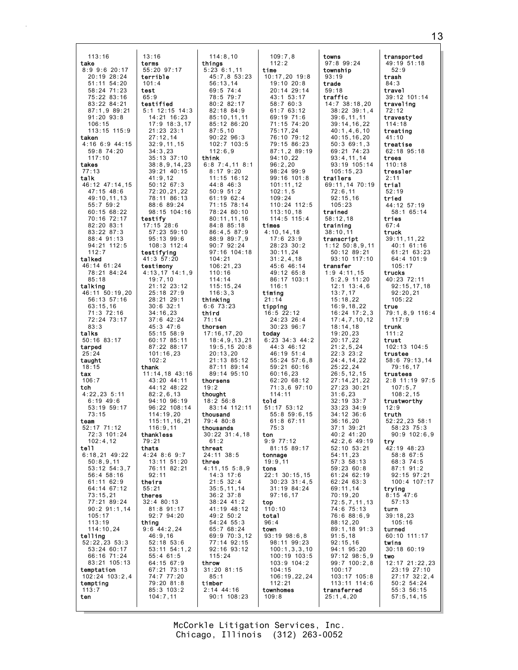| 113:16                          | 13:16                             | 114:8,10                        | 109:7.8                            | towns                            | transported                   |
|---------------------------------|-----------------------------------|---------------------------------|------------------------------------|----------------------------------|-------------------------------|
| take                            | terms                             | things                          | 112:2                              | $97:8$ 99:24                     | 49:19 51:18                   |
| $8:9$ 9:6 20:17                 | 55:20 97:17                       | 5:236:1,11                      | time                               | township                         | 52:9                          |
| 20:19 28:24                     | terrible                          | 45:7,8 53:23                    | $10:17,20$ 19:8                    | 93:19                            | trash                         |
| 51:11 54:20<br>58:24 71:23      | 101:4<br>test                     | 56:13,14<br>69:5 74:4           | $19:10$ $20:8$<br>20:14 29:14      | trade<br>59:18                   | 84:3<br>travel                |
| 75:22 83:16                     | 65:9                              | 78:5 79:7                       | 43:1 53:17                         | traffic                          | 39:12 101:14                  |
| 83:22 84:21                     | testified                         | 80:282:17                       | 58:7 60:3                          | $14:7$ 38:18,20                  | traveling                     |
| 87:1,9 89:21<br>$91:20$ $93:8$  | $5:1$ 12:15 14:3<br>14:21 16:23   | 82:18 84:9<br>85:10, 11, 11     | 61:763:12<br>69:19 71:6            | $38:22$ $39:1,4$<br>39:6, 11, 11 | 72:12<br>travesty             |
| 106:15                          | 17:9 18:3,17                      | 85:12 86:20                     | 71:15 74:20                        | 39:14,16,22                      | 114:18                        |
| 113:15 115:9                    | 21:23 23:1                        | 87:5,10                         | 75:17,24                           | 40:1, 4, 6, 10                   | treating                      |
| taken                           | 27:12,14                          | $90:22$ $96:3$                  | 76:10 79:12                        | 40:15,16,20                      | 41:10                         |
| $4:16$ 6:9 44:15<br>59:8 74:20  | 32:9, 11, 15<br>34:3,23           | $102:7$ $103:5$<br>112:6,9      | 79:15 86:23<br>$87:1,2$ $89:19$    | 50:369:1,3<br>69:21 74:23        | treatise<br>$62:18$ $95:18$   |
| 117:10                          | $35:13$ $37:10$                   | think                           | 94:10,22                           | 93:4,11,14                       | trees                         |
| takes                           | 38:8,9,14,23                      | $6:8$ 7:4,11 8:1                | 96:2,20                            | 93:19 105:14                     | 110:18                        |
| 77:13<br>talk                   | 39:21 40:15<br>41:9,12            | 8:179:20<br>11:15 16:12         | 98:24 99:9<br>$99:16$ 101:8        | 105:15,23<br>trailers            | tressler<br>2:11              |
| 46:12 47:14,15                  | $50:12$ 67:3                      | 44:8 46:3                       | 101:11,12                          | 69:11,14 70:19                   | trial                         |
| 47:15 48:6                      | 72:20,21,22                       | $50:9$ $51:2$                   | 102:1,5                            | 72:6,11                          | 52:19                         |
| 49:10,11,13<br>55:759:2         | 78:11 86:13<br>88:6 89:24         | $61:19$ 62:4<br>71:15 78:14     | 109:24<br>110:24 112:5             | 92:15,16<br>105:23               | tried<br>44:12 57:19          |
| 60:1568:22                      | $98:15$ 104:16                    | 78:24 80:10                     | 113:10,18                          | trained                          | 58:1 65:14                    |
| 70:16 72:17                     | testify                           | 80:11,11,16                     | $114:5$ 115:4                      | 58:12,18                         | tries                         |
| $82:20$ $83:1$                  | $17:15$ 28:6                      | 84:8 85:18                      | times                              | training                         | 67:4                          |
| $83:22$ $87:3$<br>88:4 91:13    | $57:23$ $59:10$<br>$95:13$ $99:6$ | 86:4,587:9<br>88:9 89:7,9       | 4:10, 14, 18<br>$17:6$ 23:9        | 38:10,11<br>transcript           | truck<br>39:11,11,22          |
| 94:21 112:5                     | $108:3$ $112:4$                   | $90:7$ $92:24$                  | 28:23 30:2                         | $1:12 \, 50:8,9,11$              | $40:1$ 61:16                  |
| 112:7                           | testifying                        | $97:16$ 104:18                  | 30:11,24                           | 50:12 89:21                      | 61:21 63:23                   |
| talked<br>46:14 61:24           | 41:3 57:20<br>testimony           | 104:21<br>106:21,23             | 31:2,4,18<br>45:6 46:14            | 93:10 117:10<br>transfer         | 64:4 101:9<br>105:17          |
| 78:21 84:24                     | $4:13,17$ $14:1,9$                | 110:16                          | 49:12 65:8                         | $1:9$ 4:11,15                    | trucks                        |
| 85:18                           | 19:7,10                           | 114:14                          | 86:17 103:1                        | $5:2,9$ 11:20                    | 40:23 72:11                   |
| talking<br>46:11 50:19,20       | 21:12 23:12<br>25:18 27:9         | 115:15,24<br>116:3,3            | 116:1<br>timing                    | $12:1$ $13:4,6$<br>13:7,17       | 92:15,17,18<br>92:20,21       |
| 56:13 57:16                     | 28:21 29:1                        | thinking                        | 21:14                              | 15:18,22                         | 105:22                        |
| 63:15,16                        | $30:6$ $32:1$                     | 6:673:23                        | tipping                            | 16:9, 18, 22                     | true                          |
| 71:3 72:16<br>72:24 73:17       | 34:16,23<br>37:6 42:24            | third<br>71:14                  | 16:522:12<br>24:23 26:4            | $16:24$ $17:2,3$<br>17:4,7,10,12 | 79:1,8,9 116:4<br>117:9       |
| 83:3                            | 45:3 47:6                         | thorsen                         | $30:23$ $96:7$                     | 18:14,18                         | trunk                         |
| talks                           | 55:15 58:9                        | 17:16, 17, 20                   | today                              | 19:20,23                         | 111:2                         |
| $50:16$ 83:17<br>tarped         | $60:17$ $85:11$<br>87:22 88:17    | 18:4,9,13,21<br>$19:5, 15$ 20:8 | $6:23$ $34:3$ $44:2$<br>44:3 46:12 | 20:17,22<br>21:2,5,24            | trust<br>102:13 104:5         |
| 25:24                           | 101:16,23                         | 20:13,20                        | 46:19 51:4                         | 22:3 23:2                        | trustee                       |
| taught                          | 102:2                             | 21:13 85:12                     | $55:24$ $57:6,8$                   | 24:4,14,22                       | 58:6 79:13,14                 |
| 18:15<br>tax                    | thank<br>$11:14,18$ $43:16$       | 87:11 89:14<br>89:14 95:10      | 59:21 60:16<br>60:16,23            | 25:22,24<br>26:5, 12, 15         | 79:16,17<br>trustees          |
| 106:7                           | 43:20 44:11                       | thorsens                        | 62:20 68:12                        | 27:14,21,22                      | $2:8$ 11:19 97:5              |
| tch                             | 44:12 48:22                       | 19:2                            | $71:3,6$ $97:10$                   | 27:23 30:21                      | 107:5,7                       |
| $4:22,23$ 5:11<br>$6:19$ 49:6   | 82:2,6,13<br>94:10 96:19          | thought<br>18:2 56:8            | 114:11<br>told                     | 31:6,23<br>$32:19$ $33:7$        | 108:2,15<br>trustworthy       |
| 53:19 59:17                     | 96:22 108:14                      | 83:14 112:11                    | $51:17$ $53:12$                    | $33:23$ $34:9$                   | 12:9                          |
| 73:15                           | 114:19,20                         | thousand                        | $55:8$ $59:6,15$                   | $34:12$ $36:6$                   | truth                         |
| team<br>$52:17$ $71:12$         | 115:11,16,21<br>116:9,11          | 79:4 80:8<br>thousands          | 61:8 67:11<br>75:3                 | 36:16,20<br>$37:1$ $39:21$       | 52:22.23.58:1<br>58:23 75:3   |
| 72:3 101:24                     | thankless                         | $30:22$ $31:4,18$               | ton                                | 40:2 41:20                       | $90:9$ 102:6,9                |
| 102:4,12                        | 79:21                             | 61:2                            | $9:9$ 77:12                        | $42:2,6$ $49:19$                 | try                           |
| te11<br>$6:18,21$ 49:22         | thats<br>$4:24$ 8:6 9:7           | threat<br>24:11 38:5            | 81:15 89:17<br>tonnage             | 52:10 53:21<br>54:11,23          | 42:19 48:23<br>58:8 67:5      |
| 50:8.9.11                       | 13:11 51:20                       | three                           | 19:9,11                            | $57:3$ $58:13$                   | 68:3 74:5                     |
| $53:12 \ 54:3,7$                | 76:11 82:21                       | 4:11,155:8,9                    | tons                               | 59:2360:8                        | 87:1 91:2                     |
| 56:4 58:16<br>61:11 62:9        | 92:11<br>theirs                   | $14:3$ 17:6<br>$21:5$ 32:4      | 22:1 30:15,15<br>$30:23 \ 31:4,5$  | 61:24 62:19<br>62:24 63:3        | 92:15 97:21<br>100:4 107:17   |
| 64:14 67:12                     | 55:21                             | 35:5, 11, 14                    | $31:19$ 84:24                      | 69:11.14                         | trving                        |
| 73:15,21                        | theres                            | $36:2$ $37:8$                   | 97:16,17                           | 70:19,20                         | $8:15$ 47:6                   |
| 77:21 89:24<br>$90:2$ $91:1,14$ | $32:4$ 80:13<br>81:8 91:17        | $38:24$ 41:2<br>41:19 48:12     | top<br>110:10                      | 72:5,7,11,13<br>74:6 75:13       | 57:13<br>turn                 |
| 105:17                          | 92:7 94:20                        | 49:2 50:2                       | total                              | 76:6 88:6,9                      | 39:18,23                      |
| 113:19                          | thing                             | 54:24 55:3                      | 96:4                               | 88:12,20                         | 105:16                        |
| 114:10,24                       | $9:6$ 44:2,24                     | 65:7 68:24                      | town                               | $89:1,18$ $91:3$                 | turned                        |
| telling<br>$52:22,23$ $53:3$    | 46:9,16<br>52:18 53:6             | 69:9 70:3,12<br>77:14 92:15     | $93:19$ $98:6,8$<br>98:11 99:23    | 91:5,18<br>92:15,16              | 60:10 111:17<br>twins         |
| 53:24 60:17                     | $53:11$ $54:1,2$                  | $92:16$ $93:12$                 | 100:1, 3, 3, 10                    | 94:1 95:20                       | $30:18$ 60:19                 |
| 66:16 71:24                     | $55:4$ 61:5                       | 115:24                          | $100:19$ $103:5$                   | $97:12$ $98:5,9$                 | two                           |
| 83:21 105:13<br>temptation      | 64:15 67:9<br>67:21 73:13         | throw<br>31:20 81:15            | $103:9$ $104:2$<br>104:15          | 99:7 100:2,8<br>100:17           | 12:17 21:22,23<br>23:19 27:10 |
| $102:24$ $103:2,4$              | 74:7 77:20                        | 85:1                            | 106:19,22,24                       | $103:17$ $105:8$                 | $27:17$ $32:2,4$              |
| tempting                        | 79:20 81:8                        | timber                          | 112:21                             | 113:11 114:6                     | $50:2 \ 54:24$                |
| 113:7<br>ten                    | $85:3$ 103:2<br>104:7,11          | $2:14$ 44:16<br>$90:1$ 108:23   | townhomes<br>109:8                 | transferred<br>25:1,4,20         | 55:3 56:15<br>57:5, 14, 15    |
|                                 |                                   |                                 |                                    |                                  |                               |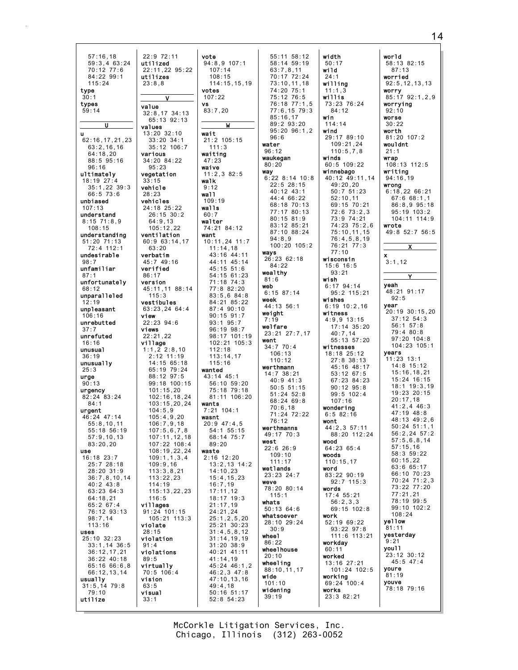| 57:16,18                         | 22:9 72:11             | vote                       | 55:11 58:12      | width                  |
|----------------------------------|------------------------|----------------------------|------------------|------------------------|
| 59:3,463:24                      | utilized               | $94:8,9$ 107:1             | 58:14 59:19      | 50:17                  |
| 70:12 77:6                       | 22:11,22 95:22         | 107:14                     | 63:7,8,11        | wild                   |
| 84:22 99:1                       | utilizes               | 108:15                     | 70:17 72:24      | 24:1                   |
| 115:24                           | 23:8,8                 | 114:15,15,19               | 73:10, 11, 18    | willing                |
| type                             |                        | votes                      | 74:20 75:1       | 11:1,3                 |
| 30:1                             | ۷                      | 107:22                     | 75:12 76:5       | willis                 |
| types                            |                        | <b>vs</b>                  | 76:18 77:1.5     | 73:23 76:24            |
| 59:14                            | value                  | 83:7,20                    | 77:6,15 79:3     | 84:12                  |
|                                  | $32:8,17$ 34:13        |                            | 85:16,17         | win                    |
| U                                | 65:13 92:13            | W                          | 89:2 93:20       | 114:14                 |
|                                  | values                 |                            | $95:20$ $96:1,2$ | wind                   |
| u                                | $13:20$ $32:10$        | wait                       | 96:6             | 29:17 89:10            |
| 62:16,17,21,23                   | $33:20$ $34:1$         | 21:2 105:15                | water            | 109:21.24              |
| 63:2,16,16                       | $35:12$ 106:7          | 111:3                      | 96:12            | 110:5.7.8              |
| 64:18,20                         | various                | waiting                    | waukegan         | winds                  |
| 88:5 95:16                       | 34:20 84:22            | 47:23                      | 80:20            | $60:5$ 109:22          |
| 96:16                            | 95:23                  | waive                      | way              | winnebago              |
| ultimately                       | vegetation             | 11:2,382:5                 | $6:22$ 8:14 10:8 | 40:12 49:11,14         |
| $18:19$ 27:4                     | 33:15                  | walk<br>9:12               | $22:5$ 28:15     | 49:20,20               |
| 35:1,22 39:3                     | vehicle                |                            | 40:12 43:1       | $50:7$ $51:23$         |
| 66:5 73:6                        | 28:23                  | wall                       | 44:4 66:22       | 52:10,11               |
| unbiased                         | vehicles               | 109:19                     | 68:18 70:13      | 69:15 70:21            |
| 107:13                           | 24:18 25:22            | walls                      | 77:17 80:13      | $72:6$ $73:2.3$        |
| understand                       | 26:15 30:2             | 60:7                       | $80:15$ $81:9$   | 73:9 74:21             |
| $8:15$ $71:8,9$<br>108:15        | 64:9,13                | walter                     | 83:12 85:21      | 74:23 75:2.6           |
|                                  | 105:12,22              | 74:21 84:12                | 87:10 88:24      | 75:10,11,15            |
| understanding<br>$51:20$ $71:13$ | ventilation            | want                       | 94:8.9           | 76:4,5,8,19            |
| 72:4 112:1                       | 60:9 63:14,17<br>63:20 | 10:11,24 11:7              | $100:20$ $105:2$ | 76:21 77:3             |
|                                  |                        | 11:14,18                   | ways             | 77:10                  |
| undesirable                      | verbatim               | 43:16 44:11<br>44:11 45:14 | 26:23 62:18      | wisconsin              |
| 98:7                             | 45:7 49:16<br>verified | 45:15 51:6                 | 84:22            | 15:6 16:5              |
| unfamiliar<br>87:1               | 86:17                  |                            | wealthy          | 93:21                  |
|                                  |                        | 54:15 61:23                | 81:6             | wish                   |
| unfortunately                    | version                | 71:18 74:3<br>77:8 82:20   | web              | $6:17$ 94:14           |
| 68:12                            | 45:11,11 88:14         |                            | $6:15$ 87:14     | 95:2 115:21            |
| unparalleled                     | 115:3                  | 83:5,684:8                 | week             | wishes                 |
| 12:19                            | vestibules             | 84:21 85:22                | 44:13 56:1       | $6:19$ 10:2,16         |
| unpleasant                       | 63:23,24 64:4          | 87:4 90:10                 | weight           | witness                |
| 106:16                           | view                   | $90:15$ $91:7$             | 7:19             | $4:9,9$ 13:15          |
| unrebutted<br>37:7               | 22:23 94:6<br>views    | 93:1 95:7<br>96:19 98:7    | welfare          | 17:14 35:20            |
| unrefuted                        | 22:21,22               | 98:17 101:19               | 23:21 27:7,17    | 40:7,14                |
| 16:16                            | village                | 102:21 105:3               | went             | 55:13 57:20            |
| unusua1                          | $1:1,2$ 2:8,10         | 112:18                     | 34:7770:4        | witnesses              |
| 36:19                            | $2:12$ 11:19           | 113:14,17                  | 106:13           | 18:18 25:12            |
| unusually                        | 14:15 65:18            | 115:16                     | 110:12           | $27:8$ 38:13           |
| 25:3                             | 65:19 79:24            | wanted                     | werthmann        | 45:16 48:17            |
|                                  | 88:12 97:5             | $43:14$ $45:1$             | $14:7$ 38:21     | 53:12 67:5             |
| urge<br>90:13                    | 99:18 100:15           | 56:10 59:20                | $40:9$ 41:3      | 67:23 84:23            |
|                                  | 101:15,20              | 75:18 79:18                | $50:5$ 51:15     | $90:12$ $95:8$         |
| urgency<br>82:24 83:24           | 102:16,18,24           | 81:11 106:20               | $51:24$ $52:8$   | 99:5 102:4             |
| 84:1                             | 103:15,20,24           | wants                      | $68:24$ 69:8     | 107:16                 |
|                                  | 104:5,9                | $7:21$ 104:1               | 70:6,18          | wondering              |
| urgent<br>46:24 47:14            | 105:4,9,20             | wasnt                      | 71:24 72:22      | 6:582:16               |
| 55:8,10,11                       | 106:7,9,18             | $20:9$ 47:4,5              | 76:12            | wont                   |
| 55:18 56:19                      | 107:5,6,7,8            | 54:1 55:15                 | werthmanns       | 44:2,3 57:11           |
| 57:9, 10, 13                     | 107:11,12,18           | 68:14 75:7                 | 49:17 70:3       | 88:20 112:24           |
| 83:20,20                         | 107:22 108:4           | 89:20                      | west             | wood                   |
| <b>use</b>                       | 108:19,22,24           | waste                      | $22:6$ 26:9      | 64:2365:4              |
| 16:18 23:7                       | 109:1, 1, 3, 4         | $2:16$ 12:20               | 109:10           | woods                  |
| 25:728:18                        | 109:9,16               | $13:2,13$ $14:2$           | 111:17           | 110:15,17              |
| 28:20 31:9                       | 113:3.8.21             | 14:10,23                   | wetlands         | word                   |
| 36:7,8,10,14                     | 113:22,23              | 15:4, 15, 23               | 23:23 24:7       | 83:22 90:19            |
| $40:2$ $43:8$                    | 114:19                 | 16:7.19                    | weve             | $92:7$ 115:3           |
| 63:23 64:3                       | 115:13,22,23           | 17:11,12                   | 78:20 80:14      | words                  |
| 64:18,21                         | 116:5                  | $18:17$ $19:3$             | 115:1            | $17:4$ 55:21           |
| 65:2 67:4                        | villages               | 21:17,19                   | whats            | 56:2,3,3               |
| 76:12 93:13                      | 91:24 101:15           | 24:21,24                   | $50:13$ 64:6     | 69:15 102:8            |
| 98:7,14                          | $105:21$ 113:3         | 25:1, 2, 5, 20             | whatsoever       | work                   |
| 113:16                           | violate                | 25:21 30:23                | 28:10 29:24      | 52:19 69:22            |
| uses                             | 28:15                  | 31:4,5,8,12                | 30:9             | $93:22$ $97:8$         |
| 25:10 32:23                      | violation              | 31:14,19,19                | wheel            | 111:6 113:21           |
| $33:1,14$ 36:5                   | 91:4                   | $31:20$ $38:9$             | 86:22            | workday                |
| 36:12,17,21                      | violations             | 40:21 41:11                | wheelhouse       | 60:11                  |
| 36:22 40:18                      | 89:5                   | 41:14,19                   | 20:10            | worked                 |
| 65:16 66:6,8                     | virtually              | 45:24 46:1,2               | wheeling         | 13:16 27:21            |
| 66:12,13,14                      | $70:5$ 106:4           | 46:2,3 47:8                | 88:10,11,17      | 101:24 102:5           |
| usually                          | vision                 | 47:10,13,16                | wide<br>101:10   | working<br>69:24 100:4 |
| 31:5, 1479:8                     | 63:5                   | 49:4,18                    |                  | works                  |
| 79:10                            |                        |                            |                  |                        |
|                                  | visual                 | 50:16 51:17                | widening         |                        |
| utilize                          | 33:1                   | 52:8 54:23                 | 39:19            | 23:3 82:21             |

world  $58:13$  82:15  $87:13$ worried  $92:5, 12, 13, 13$ worry<br>85:17 92:1,2,9 worrying  $92:10$ worse  $30:22$ worth 81:20 107:2 wouldnt  $21:1$ 

 $\frac{1}{108:13}$  112:5 writing<br> $94:16,19$ wrong<br>6:18,22 66:21  $67:668:1,1$ 86:8,9 95:18 95:19 103:2 104:11 114:9

 $49:8$  52:7 56:5 <u>x</u>

Ÿ

wrote

 $\bar{\mathbf{x}}$  $3:1,12$ 

yeah 48:21 91:17  $92:5$ **year**<br>20:19 30:15,20  $37:12$  54:3<br>56:1 57:8 79:4 80:8  $97:20$  104:8 104:23 105:1 **years**<br>11:23 13:1 14:8 15:12  $15:16, 18, 21$ <br> $15:24$  16:15  $18:1$  19:3, 19 19:23 20:15  $20:17,18$  $41:2,4$  46:3<br> $47:19$  48:8 48:13 49:2,6  $50:24$   $51:1,1$  $56:2, 24$   $57:2$  $57:5,6,8,14$  $57:15,16$ <br> $58:3$   $59:22$  $60:15,22$ 63:6 65:17 66:10 70:23<br>70:24 71:2,3  $73:22$   $77:20$ <br> $77:21,21$  $78:199:5$ <br>99:10 102:2  $108:24$ yellow  $81:11$ yesterday  $9:21$ you11  $23:12$   $30:12$  $45:5$  47:4 youre  $81:19$ youve 78:18 79:16